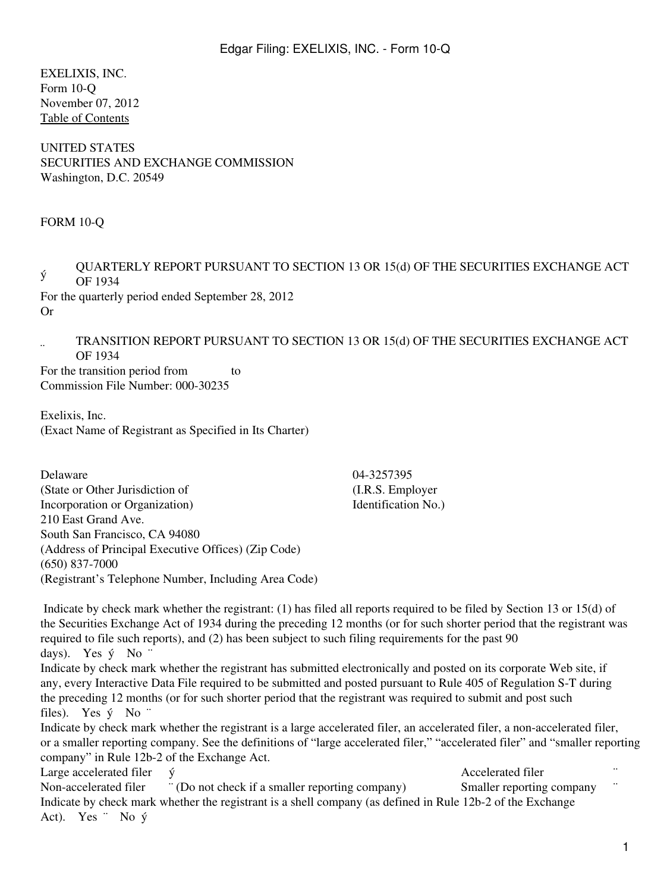EXELIXIS, INC. Form 10-Q November 07, 2012 [Table of Contents](#page-2-0)

UNITED STATES SECURITIES AND EXCHANGE COMMISSION Washington, D.C. 20549

#### FORM 10-Q

#### ý QUARTERLY REPORT PURSUANT TO SECTION 13 OR 15(d) OF THE SECURITIES EXCHANGE ACT OF 1934 For the quarterly period ended September 28, 2012

Or

#### ¨ TRANSITION REPORT PURSUANT TO SECTION 13 OR 15(d) OF THE SECURITIES EXCHANGE ACT OF 1934

For the transition period from to Commission File Number: 000-30235

Exelixis, Inc. (Exact Name of Registrant as Specified in Its Charter)

Delaware 04-3257395 (State or Other Jurisdiction of Incorporation or Organization) 210 East Grand Ave. South San Francisco, CA 94080 (Address of Principal Executive Offices) (Zip Code) (650) 837-7000 (Registrant's Telephone Number, Including Area Code)

(I.R.S. Employer Identification No.)

 Indicate by check mark whether the registrant: (1) has filed all reports required to be filed by Section 13 or 15(d) of the Securities Exchange Act of 1934 during the preceding 12 months (or for such shorter period that the registrant was required to file such reports), and (2) has been subject to such filing requirements for the past 90 days). Yes  $\acute{v}$  No Indicate by check mark whether the registrant has submitted electronically and posted on its corporate Web site, if any, every Interactive Data File required to be submitted and posted pursuant to Rule 405 of Regulation S-T during the preceding 12 months (or for such shorter period that the registrant was required to submit and post such files). Yes ý No " Indicate by check mark whether the registrant is a large accelerated filer, an accelerated filer, a non-accelerated filer, or a smaller reporting company. See the definitions of "large accelerated filer," "accelerated filer" and "smaller reporting company" in Rule 12b-2 of the Exchange Act. Large accelerated filer  $\check{y}$  Accelerated filer  $\check{y}$ Non-accelerated filer <sup>"</sup> (Do not check if a smaller reporting company) Smaller reporting company Indicate by check mark whether the registrant is a shell company (as defined in Rule 12b-2 of the Exchange Act). Yes  $\cdot$  No  $\circ$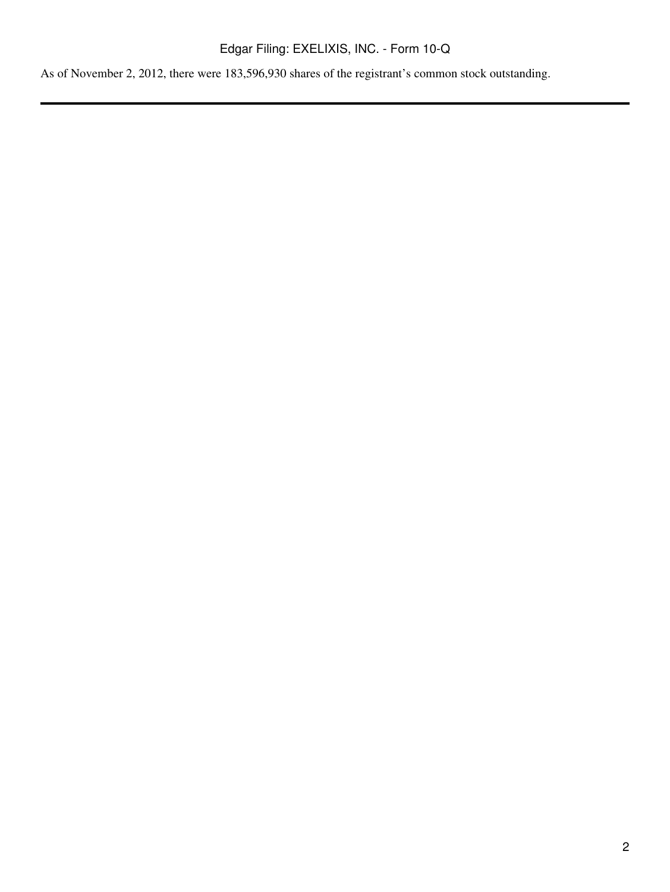As of November 2, 2012, there were 183,596,930 shares of the registrant's common stock outstanding.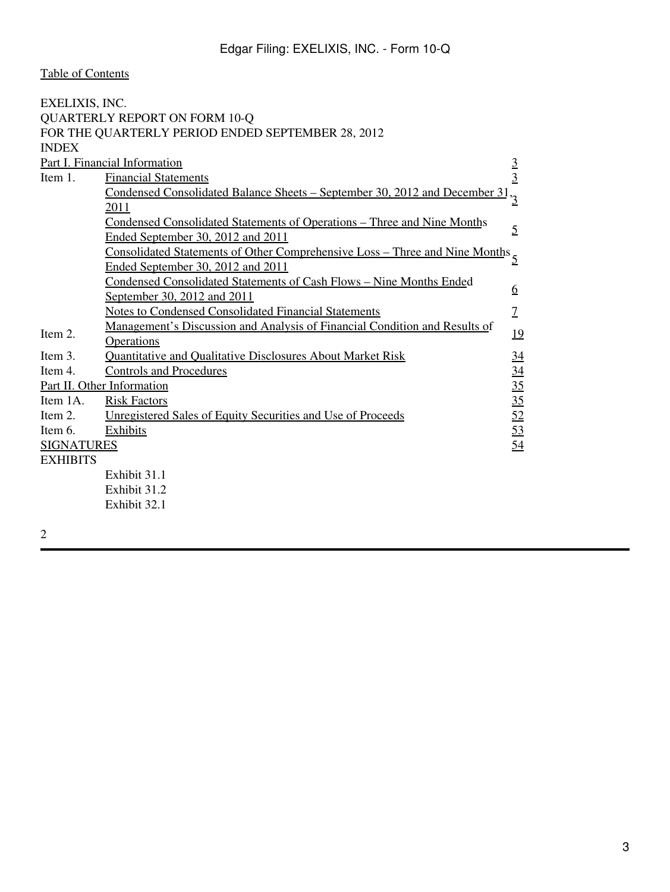<span id="page-2-0"></span>

| EXELIXIS, INC.    |                                                                                         |                 |
|-------------------|-----------------------------------------------------------------------------------------|-----------------|
|                   | QUARTERLY REPORT ON FORM 10-Q                                                           |                 |
|                   | FOR THE QUARTERLY PERIOD ENDED SEPTEMBER 28, 2012                                       |                 |
| <b>INDEX</b>      |                                                                                         |                 |
|                   | Part I. Financial Information                                                           |                 |
| Item 1.           | <b>Financial Statements</b>                                                             | $\frac{3}{3}$   |
|                   | Condensed Consolidated Balance Sheets – September 30, 2012 and December 31 <sup>3</sup> |                 |
|                   | 2011                                                                                    |                 |
|                   | Condensed Consolidated Statements of Operations - Three and Nine Months                 | $\overline{2}$  |
|                   | Ended September 30, 2012 and 2011                                                       |                 |
|                   | Consolidated Statements of Other Comprehensive Loss – Three and Nine Months 5           |                 |
|                   | Ended September 30, 2012 and 2011                                                       |                 |
|                   | Condensed Consolidated Statements of Cash Flows - Nine Months Ended                     | <u>6</u>        |
|                   | September 30, 2012 and 2011                                                             |                 |
|                   | <b>Notes to Condensed Consolidated Financial Statements</b>                             | $\overline{1}$  |
| Item 2.           | Management's Discussion and Analysis of Financial Condition and Results of              | 19              |
|                   | <b>Operations</b>                                                                       |                 |
| Item 3.           | <b>Quantitative and Qualitative Disclosures About Market Risk</b>                       | $\overline{34}$ |
| Item 4.           | <b>Controls and Procedures</b>                                                          | $\overline{34}$ |
|                   | Part II. Other Information                                                              | 35              |
| Item 1A.          | <b>Risk Factors</b>                                                                     | 35              |
| Item 2.           | Unregistered Sales of Equity Securities and Use of Proceeds                             | 52              |
| Item 6.           | Exhibits                                                                                | 53              |
| <b>SIGNATURES</b> |                                                                                         | 54              |
| <b>EXHIBITS</b>   |                                                                                         |                 |
|                   | Exhibit 31.1                                                                            |                 |
|                   | Exhibit 31.2                                                                            |                 |
|                   | Exhibit 32.1                                                                            |                 |
|                   |                                                                                         |                 |

2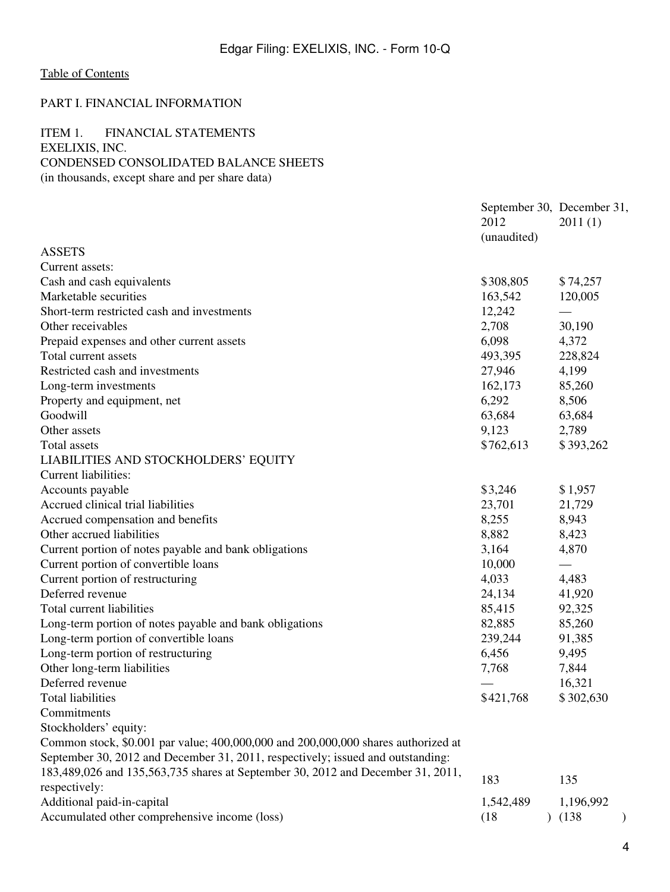### <span id="page-3-0"></span>PART I. FINANCIAL INFORMATION

#### <span id="page-3-2"></span><span id="page-3-1"></span>ITEM 1. FINANCIAL STATEMENTS EXELIXIS, INC. CONDENSED CONSOLIDATED BALANCE SHEETS (in thousands, except share and per share data)

|                                                                                   | September 30, December 31,<br>2012<br>(unaudited) | 2011(1)                         |  |
|-----------------------------------------------------------------------------------|---------------------------------------------------|---------------------------------|--|
| <b>ASSETS</b>                                                                     |                                                   |                                 |  |
| Current assets:                                                                   |                                                   |                                 |  |
| Cash and cash equivalents                                                         | \$308,805                                         | \$74,257                        |  |
| Marketable securities                                                             | 163,542                                           | 120,005                         |  |
| Short-term restricted cash and investments                                        | 12,242                                            |                                 |  |
| Other receivables                                                                 | 2,708                                             | 30,190                          |  |
| Prepaid expenses and other current assets                                         | 6,098                                             | 4,372                           |  |
| Total current assets                                                              | 493,395                                           | 228,824                         |  |
| Restricted cash and investments                                                   | 27,946                                            | 4,199                           |  |
| Long-term investments                                                             | 162,173                                           | 85,260                          |  |
| Property and equipment, net                                                       | 6,292                                             | 8,506                           |  |
| Goodwill                                                                          | 63,684                                            | 63,684                          |  |
| Other assets                                                                      | 9,123                                             | 2,789                           |  |
| Total assets                                                                      | \$762,613                                         | \$393,262                       |  |
| LIABILITIES AND STOCKHOLDERS' EQUITY                                              |                                                   |                                 |  |
| <b>Current liabilities:</b>                                                       |                                                   |                                 |  |
| Accounts payable                                                                  | \$3,246                                           | \$1,957                         |  |
| Accrued clinical trial liabilities                                                | 23,701                                            | 21,729                          |  |
| Accrued compensation and benefits                                                 | 8,255                                             | 8,943                           |  |
| Other accrued liabilities                                                         | 8,882                                             | 8,423                           |  |
| Current portion of notes payable and bank obligations                             | 3,164                                             | 4,870                           |  |
| Current portion of convertible loans                                              | 10,000                                            | $\overbrace{\qquad \qquad }^{}$ |  |
| Current portion of restructuring                                                  | 4,033                                             | 4,483                           |  |
| Deferred revenue                                                                  | 24,134                                            | 41,920                          |  |
| Total current liabilities                                                         | 85,415                                            | 92,325                          |  |
| Long-term portion of notes payable and bank obligations                           | 82,885                                            | 85,260                          |  |
| Long-term portion of convertible loans                                            | 239,244                                           | 91,385                          |  |
| Long-term portion of restructuring                                                | 6,456                                             | 9,495                           |  |
| Other long-term liabilities                                                       | 7,768                                             | 7,844                           |  |
| Deferred revenue                                                                  |                                                   | 16,321                          |  |
| <b>Total liabilities</b>                                                          | \$421,768                                         | \$302,630                       |  |
| Commitments                                                                       |                                                   |                                 |  |
| Stockholders' equity:                                                             |                                                   |                                 |  |
| Common stock, \$0.001 par value; 400,000,000 and 200,000,000 shares authorized at |                                                   |                                 |  |
| September 30, 2012 and December 31, 2011, respectively; issued and outstanding:   |                                                   |                                 |  |
| 183,489,026 and 135,563,735 shares at September 30, 2012 and December 31, 2011,   |                                                   |                                 |  |
| respectively:                                                                     | 183                                               | 135                             |  |
| Additional paid-in-capital                                                        | 1,542,489                                         | 1,196,992                       |  |
| Accumulated other comprehensive income (loss)                                     | (18)                                              | (138)                           |  |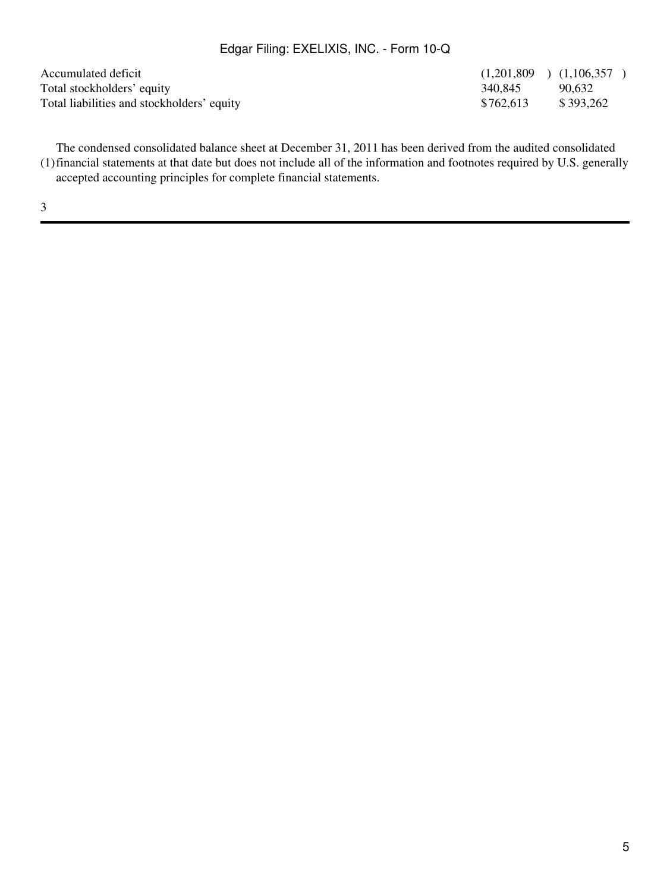| Accumulated deficit                        | $(1,201,809)$ $(1,106,357)$ |           |
|--------------------------------------------|-----------------------------|-----------|
| Total stockholders' equity                 | 340.845                     | 90.632    |
| Total liabilities and stockholders' equity | \$762.613                   | \$393,262 |

| (1,201,809) | (1,106,357) |  |
|-------------|-------------|--|
| 340.845     | 90,632      |  |
| \$762,613   | \$393,262   |  |

(1) financial statements at that date but does not include all of the information and footnotes required by U.S. generally The condensed consolidated balance sheet at December 31, 2011 has been derived from the audited consolidated accepted accounting principles for complete financial statements.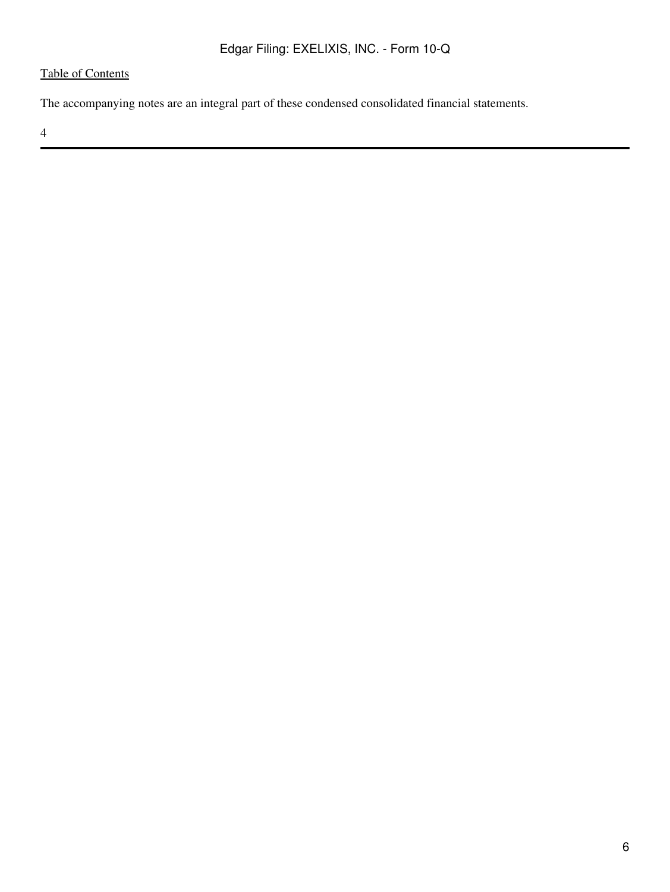The accompanying notes are an integral part of these condensed consolidated financial statements.

4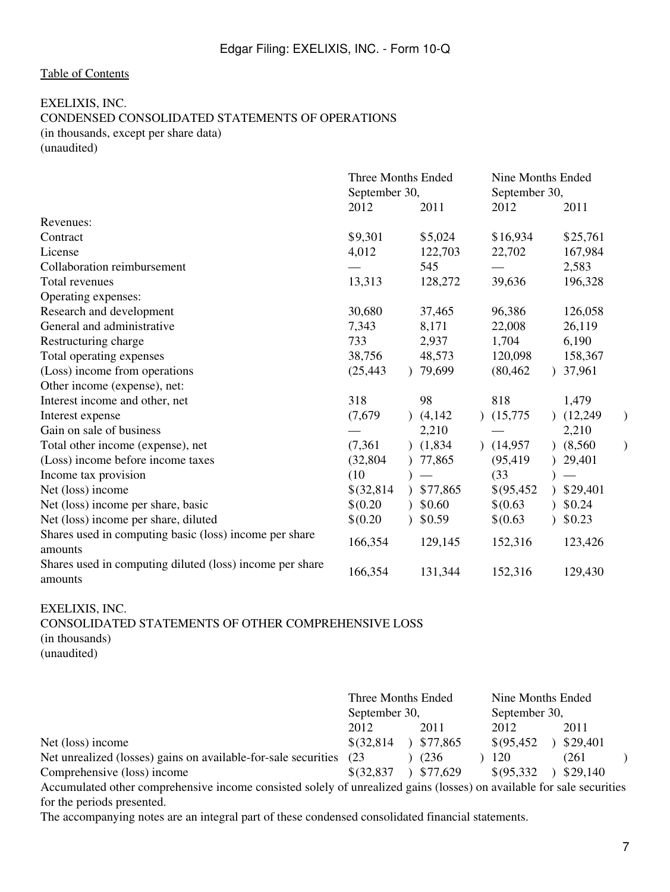#### <span id="page-6-0"></span>EXELIXIS, INC. CONDENSED CONSOLIDATED STATEMENTS OF OPERATIONS (in thousands, except per share data) (unaudited)

|                                                                     | Three Months Ended |                          | Nine Months Ended |                       |  |
|---------------------------------------------------------------------|--------------------|--------------------------|-------------------|-----------------------|--|
|                                                                     | September 30,      |                          | September 30,     |                       |  |
|                                                                     | 2012               | 2011                     | 2012              | 2011                  |  |
| Revenues:                                                           |                    |                          |                   |                       |  |
| Contract                                                            | \$9,301            | \$5,024                  | \$16,934          | \$25,761              |  |
| License                                                             | 4,012              | 122,703                  | 22,702            | 167,984               |  |
| Collaboration reimbursement                                         |                    | 545                      |                   | 2,583                 |  |
| Total revenues                                                      | 13,313             | 128,272                  | 39,636            | 196,328               |  |
| Operating expenses:                                                 |                    |                          |                   |                       |  |
| Research and development                                            | 30,680             | 37,465                   | 96,386            | 126,058               |  |
| General and administrative                                          | 7,343              | 8,171                    | 22,008            | 26,119                |  |
| Restructuring charge                                                | 733                | 2,937                    | 1,704             | 6,190                 |  |
| Total operating expenses                                            | 38,756             | 48,573                   | 120,098           | 158,367               |  |
| (Loss) income from operations                                       | (25, 443)          | 79,699<br>$\lambda$      | (80, 462)         | 37,961                |  |
| Other income (expense), net:                                        |                    |                          |                   |                       |  |
| Interest income and other, net                                      | 318                | 98                       | 818               | 1,479                 |  |
| Interest expense                                                    | (7,679)            | (4,142)<br>$\mathcal{L}$ | (15,775)          | (12,249)<br>$\lambda$ |  |
| Gain on sale of business                                            |                    | 2,210                    |                   | 2,210                 |  |
| Total other income (expense), net                                   | (7, 361)           | (1,834)                  | (14,957)          | (8,560)<br>$\lambda$  |  |
| (Loss) income before income taxes                                   | (32, 804)          | 77,865                   | (95, 419)         | 29,401                |  |
| Income tax provision                                                | (10)               |                          | (33)              |                       |  |
| Net (loss) income                                                   | $$$ (32,814)       | \$77,865                 | \$ (95, 452)      | \$29,401              |  |
| Net (loss) income per share, basic                                  | \$(0.20)           | \$0.60                   | $$^{(0.63)}$      | \$0.24                |  |
| Net (loss) income per share, diluted                                | \$(0.20)           | \$0.59<br>$\lambda$      | $$$ (0.63)        | \$0.23                |  |
| Shares used in computing basic (loss) income per share<br>amounts   | 166,354            | 129,145                  | 152,316           | 123,426               |  |
| Shares used in computing diluted (loss) income per share<br>amounts | 166,354            | 131,344                  | 152,316           | 129,430               |  |

#### <span id="page-6-1"></span>EXELIXIS, INC.

CONSOLIDATED STATEMENTS OF OTHER COMPREHENSIVE LOSS (in thousands)

(unaudited)

|                                                                                                                       | Three Months Ended |         |               | Nine Months Ended |  |         |  |  |
|-----------------------------------------------------------------------------------------------------------------------|--------------------|---------|---------------|-------------------|--|---------|--|--|
|                                                                                                                       | September 30,      |         | September 30, |                   |  |         |  |  |
|                                                                                                                       | 2012               | 2011    |               | 2012              |  | 2011    |  |  |
| Net (loss) income                                                                                                     | \$(32,814)         | 377,865 |               | \$(95, 452)       |  | 329,401 |  |  |
| Net unrealized (losses) gains on available-for-sale securities (23)                                                   |                    | (236)   |               | 120               |  | (261)   |  |  |
| Comprehensive (loss) income                                                                                           | \$ (32,837)        | 377,629 |               | \$(95,332)        |  | 329,140 |  |  |
| Accumulated other comprehensive income consisted solely of unrealized gains (losses) on available for sale securities |                    |         |               |                   |  |         |  |  |

for the periods presented.

The accompanying notes are an integral part of these condensed consolidated financial statements.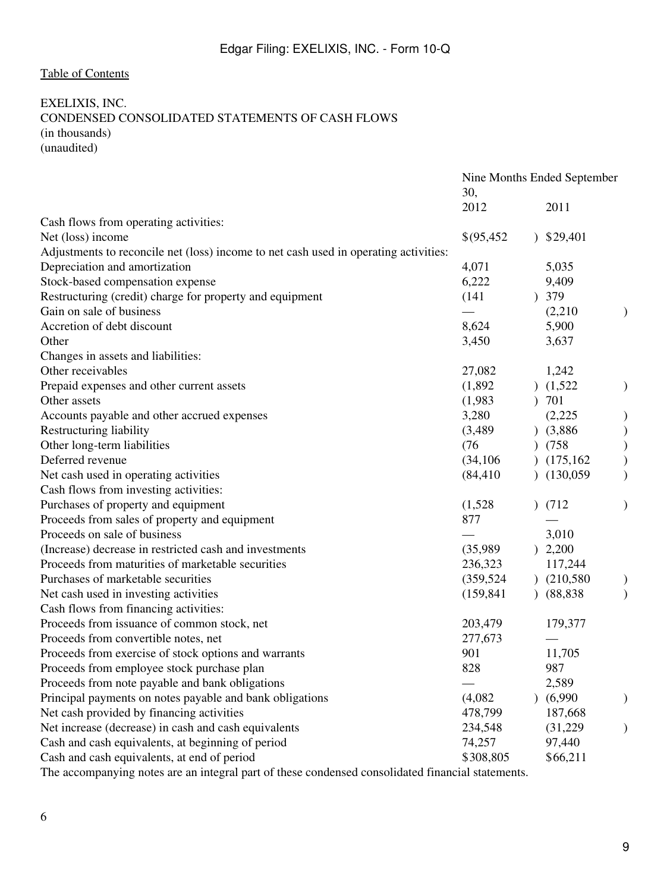#### <span id="page-8-0"></span>EXELIXIS, INC. CONDENSED CONSOLIDATED STATEMENTS OF CASH FLOWS (in thousands) (unaudited)

|                                                                                                   | Nine Months Ended September |               |             |               |
|---------------------------------------------------------------------------------------------------|-----------------------------|---------------|-------------|---------------|
|                                                                                                   | 30,                         |               |             |               |
|                                                                                                   | 2012                        |               | 2011        |               |
| Cash flows from operating activities:                                                             |                             |               |             |               |
| Net (loss) income                                                                                 | \$ (95, 452)                |               | 329,401     |               |
| Adjustments to reconcile net (loss) income to net cash used in operating activities:              |                             |               |             |               |
| Depreciation and amortization                                                                     | 4,071                       |               | 5,035       |               |
| Stock-based compensation expense                                                                  | 6,222                       |               | 9,409       |               |
| Restructuring (credit) charge for property and equipment                                          | (141)                       |               | ) 379       |               |
| Gain on sale of business                                                                          |                             |               | (2,210)     | )             |
| Accretion of debt discount                                                                        | 8,624                       |               | 5,900       |               |
| Other                                                                                             | 3,450                       |               | 3,637       |               |
| Changes in assets and liabilities:                                                                |                             |               |             |               |
| Other receivables                                                                                 | 27,082                      |               | 1,242       |               |
| Prepaid expenses and other current assets                                                         | (1,892)                     |               | (1,522)     | $\mathcal{E}$ |
| Other assets                                                                                      | (1,983)                     |               | ) 701       |               |
| Accounts payable and other accrued expenses                                                       | 3,280                       |               | (2,225)     |               |
| Restructuring liability                                                                           | (3,489)                     |               | $)$ (3,886) | )             |
| Other long-term liabilities                                                                       | (76)                        |               | (758)       | $\big)$       |
| Deferred revenue                                                                                  | (34, 106)                   |               | (175, 162)  |               |
| Net cash used in operating activities                                                             | (84, 410)                   |               | (130,059)   |               |
| Cash flows from investing activities:                                                             |                             |               |             |               |
| Purchases of property and equipment                                                               | (1,528)                     | $\mathcal{L}$ | (712)       | ⟩             |
| Proceeds from sales of property and equipment                                                     | 877                         |               |             |               |
| Proceeds on sale of business                                                                      |                             |               | 3,010       |               |
| (Increase) decrease in restricted cash and investments                                            | (35,989)                    |               | ) 2,200     |               |
| Proceeds from maturities of marketable securities                                                 | 236,323                     |               | 117,244     |               |
| Purchases of marketable securities                                                                | (359, 524)                  |               | (210,580)   |               |
| Net cash used in investing activities                                                             | (159, 841)                  | $\mathcal{L}$ | (88, 838)   | $\mathcal{E}$ |
| Cash flows from financing activities:                                                             |                             |               |             |               |
| Proceeds from issuance of common stock, net                                                       | 203,479                     |               | 179,377     |               |
| Proceeds from convertible notes, net                                                              | 277,673                     |               |             |               |
| Proceeds from exercise of stock options and warrants                                              | 901                         |               | 11,705      |               |
| Proceeds from employee stock purchase plan                                                        | 828                         |               | 987         |               |
| Proceeds from note payable and bank obligations                                                   |                             |               | 2,589       |               |
| Principal payments on notes payable and bank obligations                                          | (4,082)                     | $\mathcal{L}$ | (6,990)     | $\mathcal{Y}$ |
| Net cash provided by financing activities                                                         | 478,799                     |               | 187,668     |               |
| Net increase (decrease) in cash and cash equivalents                                              | 234,548                     |               | (31,229)    |               |
| Cash and cash equivalents, at beginning of period                                                 | 74,257                      |               | 97,440      |               |
| Cash and cash equivalents, at end of period                                                       | \$308,805                   |               | \$66,211    |               |
| The accompanying notes are an integral part of these condensed consolidated financial statements. |                             |               |             |               |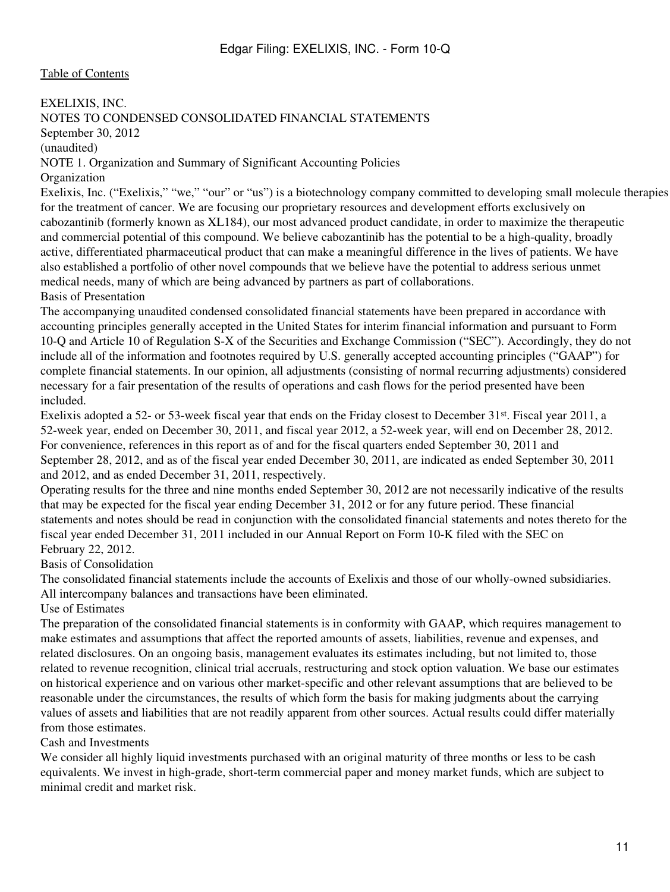### <span id="page-10-0"></span>EXELIXIS, INC. NOTES TO CONDENSED CONSOLIDATED FINANCIAL STATEMENTS September 30, 2012 (unaudited) NOTE 1. Organization and Summary of Significant Accounting Policies

**Organization** 

Exelixis, Inc. ("Exelixis," "we," "our" or "us") is a biotechnology company committed to developing small molecule therapies for the treatment of cancer. We are focusing our proprietary resources and development efforts exclusively on cabozantinib (formerly known as XL184), our most advanced product candidate, in order to maximize the therapeutic and commercial potential of this compound. We believe cabozantinib has the potential to be a high-quality, broadly active, differentiated pharmaceutical product that can make a meaningful difference in the lives of patients. We have also established a portfolio of other novel compounds that we believe have the potential to address serious unmet medical needs, many of which are being advanced by partners as part of collaborations.

Basis of Presentation

The accompanying unaudited condensed consolidated financial statements have been prepared in accordance with accounting principles generally accepted in the United States for interim financial information and pursuant to Form 10-Q and Article 10 of Regulation S-X of the Securities and Exchange Commission ("SEC"). Accordingly, they do not include all of the information and footnotes required by U.S. generally accepted accounting principles ("GAAP") for complete financial statements. In our opinion, all adjustments (consisting of normal recurring adjustments) considered necessary for a fair presentation of the results of operations and cash flows for the period presented have been included.

Exelixis adopted a 52- or 53-week fiscal year that ends on the Friday closest to December 31st. Fiscal year 2011, a 52-week year, ended on December 30, 2011, and fiscal year 2012, a 52-week year, will end on December 28, 2012. For convenience, references in this report as of and for the fiscal quarters ended September 30, 2011 and September 28, 2012, and as of the fiscal year ended December 30, 2011, are indicated as ended September 30, 2011 and 2012, and as ended December 31, 2011, respectively.

Operating results for the three and nine months ended September 30, 2012 are not necessarily indicative of the results that may be expected for the fiscal year ending December 31, 2012 or for any future period. These financial statements and notes should be read in conjunction with the consolidated financial statements and notes thereto for the fiscal year ended December 31, 2011 included in our Annual Report on Form 10-K filed with the SEC on February 22, 2012.

#### Basis of Consolidation

The consolidated financial statements include the accounts of Exelixis and those of our wholly-owned subsidiaries. All intercompany balances and transactions have been eliminated.

Use of Estimates

The preparation of the consolidated financial statements is in conformity with GAAP, which requires management to make estimates and assumptions that affect the reported amounts of assets, liabilities, revenue and expenses, and related disclosures. On an ongoing basis, management evaluates its estimates including, but not limited to, those related to revenue recognition, clinical trial accruals, restructuring and stock option valuation. We base our estimates on historical experience and on various other market-specific and other relevant assumptions that are believed to be reasonable under the circumstances, the results of which form the basis for making judgments about the carrying values of assets and liabilities that are not readily apparent from other sources. Actual results could differ materially from those estimates.

#### Cash and Investments

We consider all highly liquid investments purchased with an original maturity of three months or less to be cash equivalents. We invest in high-grade, short-term commercial paper and money market funds, which are subject to minimal credit and market risk.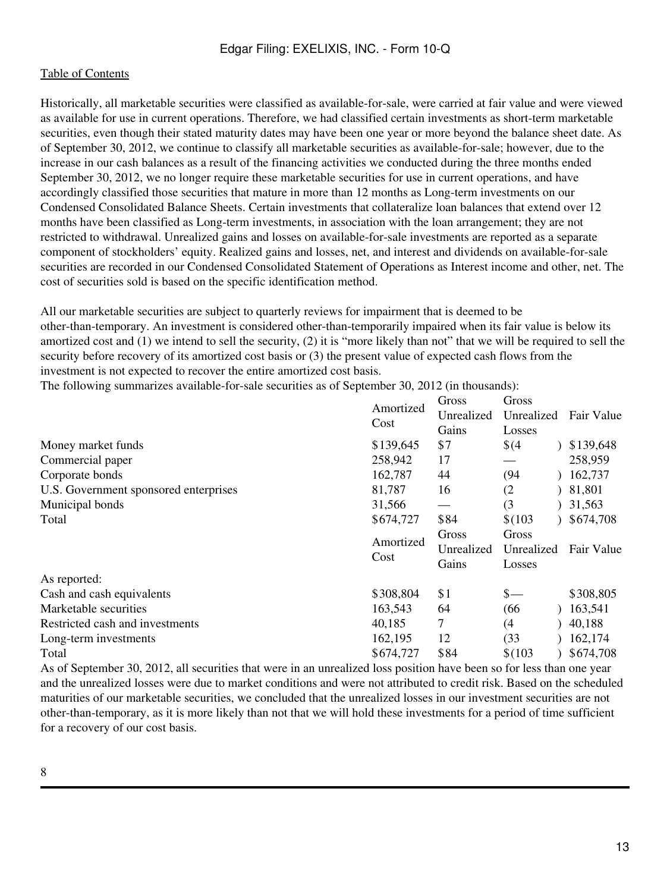Historically, all marketable securities were classified as available-for-sale, were carried at fair value and were viewed as available for use in current operations. Therefore, we had classified certain investments as short-term marketable securities, even though their stated maturity dates may have been one year or more beyond the balance sheet date. As of September 30, 2012, we continue to classify all marketable securities as available-for-sale; however, due to the increase in our cash balances as a result of the financing activities we conducted during the three months ended September 30, 2012, we no longer require these marketable securities for use in current operations, and have accordingly classified those securities that mature in more than 12 months as Long-term investments on our Condensed Consolidated Balance Sheets. Certain investments that collateralize loan balances that extend over 12 months have been classified as Long-term investments, in association with the loan arrangement; they are not restricted to withdrawal. Unrealized gains and losses on available-for-sale investments are reported as a separate component of stockholders' equity. Realized gains and losses, net, and interest and dividends on available-for-sale securities are recorded in our Condensed Consolidated Statement of Operations as Interest income and other, net. The cost of securities sold is based on the specific identification method.

All our marketable securities are subject to quarterly reviews for impairment that is deemed to be other-than-temporary. An investment is considered other-than-temporarily impaired when its fair value is below its amortized cost and (1) we intend to sell the security, (2) it is "more likely than not" that we will be required to sell the security before recovery of its amortized cost basis or (3) the present value of expected cash flows from the investment is not expected to recover the entire amortized cost basis.

The following summarizes available-for-sale securities as of September 30, 2012 (in thousands):

|                                       | Amortized | Gross      | Gross<br>Unrealized |  | Fair Value |  |
|---------------------------------------|-----------|------------|---------------------|--|------------|--|
|                                       |           | Unrealized |                     |  |            |  |
|                                       | Cost      | Gains      | Losses              |  |            |  |
| Money market funds                    | \$139,645 | \$7        | $$^{(4)}$           |  | \$139,648  |  |
| Commercial paper                      | 258,942   | 17         |                     |  | 258,959    |  |
| Corporate bonds                       | 162,787   | 44         | (94)                |  | 162,737    |  |
| U.S. Government sponsored enterprises | 81,787    | 16         | (2)                 |  | 81,801     |  |
| Municipal bonds                       | 31,566    |            | (3)                 |  | 31,563     |  |
| Total                                 | \$674,727 | \$84       | \$(103)             |  | \$674,708  |  |
|                                       |           | Gross      | Gross               |  |            |  |
|                                       | Amortized | Unrealized | Unrealized          |  | Fair Value |  |
|                                       | Cost      | Gains      | Losses              |  |            |  |
| As reported:                          |           |            |                     |  |            |  |
| Cash and cash equivalents             | \$308,804 | \$1        | $\mathsf{s}-$       |  | \$308,805  |  |
| Marketable securities                 | 163,543   | 64         | (66)                |  | 163,541    |  |
| Restricted cash and investments       | 40,185    | 7          | (4)                 |  | 40,188     |  |
| Long-term investments                 | 162,195   | 12         | (33)                |  | 162,174    |  |
| Total                                 | \$674,727 | \$84       | \$(103)             |  | \$674,708  |  |

As of September 30, 2012, all securities that were in an unrealized loss position have been so for less than one year and the unrealized losses were due to market conditions and were not attributed to credit risk. Based on the scheduled maturities of our marketable securities, we concluded that the unrealized losses in our investment securities are not other-than-temporary, as it is more likely than not that we will hold these investments for a period of time sufficient for a recovery of our cost basis.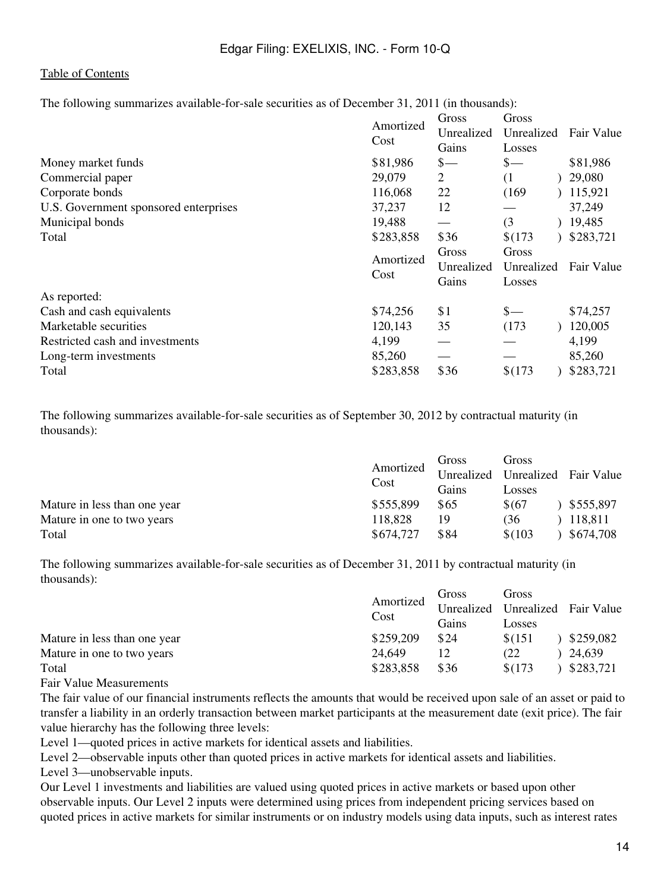The following summarizes available-for-sale securities as of December 31, 2011 (in thousands):

| Unrealized<br>Unrealized<br>Fair Value<br>Cost<br>Gains<br>Losses<br>\$81,986<br>$\frac{\ }{\ }$<br>$\mathbb{S}-$<br>\$81,986<br>29,079<br>2<br>29,080<br>(1)<br>115,921<br>116,068<br>22<br>(169)<br>12<br>37,249<br>37,237<br>19,488<br>(3)<br>19,485<br>\$36<br>\$283,721<br>\$283,858<br>\$(173)<br>Total<br>Gross<br>Gross<br>Amortized<br>Unrealized<br>Fair Value<br>Unrealized<br>Cost<br>Gains<br>Losses<br>\$1<br>\$74,256<br>\$74,257<br>$\mathsf{s}-$<br>35<br>Marketable securities<br>(173)<br>120,005<br>120,143<br>Restricted cash and investments<br>4,199<br>4,199<br>85,260<br>85,260<br>\$36<br>\$283,858<br>\$283,721<br>\$(173)<br>Total |                                       | Amortized | Gross | Gross |  |  |  |
|----------------------------------------------------------------------------------------------------------------------------------------------------------------------------------------------------------------------------------------------------------------------------------------------------------------------------------------------------------------------------------------------------------------------------------------------------------------------------------------------------------------------------------------------------------------------------------------------------------------------------------------------------------------|---------------------------------------|-----------|-------|-------|--|--|--|
|                                                                                                                                                                                                                                                                                                                                                                                                                                                                                                                                                                                                                                                                |                                       |           |       |       |  |  |  |
|                                                                                                                                                                                                                                                                                                                                                                                                                                                                                                                                                                                                                                                                |                                       |           |       |       |  |  |  |
|                                                                                                                                                                                                                                                                                                                                                                                                                                                                                                                                                                                                                                                                | Money market funds                    |           |       |       |  |  |  |
|                                                                                                                                                                                                                                                                                                                                                                                                                                                                                                                                                                                                                                                                | Commercial paper                      |           |       |       |  |  |  |
|                                                                                                                                                                                                                                                                                                                                                                                                                                                                                                                                                                                                                                                                | Corporate bonds                       |           |       |       |  |  |  |
|                                                                                                                                                                                                                                                                                                                                                                                                                                                                                                                                                                                                                                                                | U.S. Government sponsored enterprises |           |       |       |  |  |  |
|                                                                                                                                                                                                                                                                                                                                                                                                                                                                                                                                                                                                                                                                | Municipal bonds                       |           |       |       |  |  |  |
|                                                                                                                                                                                                                                                                                                                                                                                                                                                                                                                                                                                                                                                                |                                       |           |       |       |  |  |  |
|                                                                                                                                                                                                                                                                                                                                                                                                                                                                                                                                                                                                                                                                |                                       |           |       |       |  |  |  |
|                                                                                                                                                                                                                                                                                                                                                                                                                                                                                                                                                                                                                                                                |                                       |           |       |       |  |  |  |
|                                                                                                                                                                                                                                                                                                                                                                                                                                                                                                                                                                                                                                                                |                                       |           |       |       |  |  |  |
|                                                                                                                                                                                                                                                                                                                                                                                                                                                                                                                                                                                                                                                                | As reported:                          |           |       |       |  |  |  |
|                                                                                                                                                                                                                                                                                                                                                                                                                                                                                                                                                                                                                                                                | Cash and cash equivalents             |           |       |       |  |  |  |
|                                                                                                                                                                                                                                                                                                                                                                                                                                                                                                                                                                                                                                                                |                                       |           |       |       |  |  |  |
|                                                                                                                                                                                                                                                                                                                                                                                                                                                                                                                                                                                                                                                                |                                       |           |       |       |  |  |  |
|                                                                                                                                                                                                                                                                                                                                                                                                                                                                                                                                                                                                                                                                | Long-term investments                 |           |       |       |  |  |  |
|                                                                                                                                                                                                                                                                                                                                                                                                                                                                                                                                                                                                                                                                |                                       |           |       |       |  |  |  |

The following summarizes available-for-sale securities as of September 30, 2012 by contractual maturity (in thousands):

|                              | Amortized | Gross | Gross                            |  |           |
|------------------------------|-----------|-------|----------------------------------|--|-----------|
|                              | Cost      |       | Unrealized Unrealized Fair Value |  |           |
|                              |           | Gains | Losses                           |  |           |
| Mature in less than one year | \$555,899 | \$65  | \$ (67)                          |  | \$555,897 |
| Mature in one to two years   | 118.828   | 19    | (36)                             |  | 118.811   |
| Total                        | \$674,727 | \$84  | \$(103)                          |  | \$674,708 |

The following summarizes available-for-sale securities as of December 31, 2011 by contractual maturity (in thousands):

|                              | Amortized<br>Cost | Gross<br>Gains | Gross<br>Losses | Unrealized Unrealized Fair Value |
|------------------------------|-------------------|----------------|-----------------|----------------------------------|
| Mature in less than one year | \$259,209         | \$24           | \$(151)         | \$259,082                        |
| Mature in one to two years   | 24,649            | 12             | (22)            | 24.639                           |
| Total                        | \$283,858         | \$36           | \$(173          | \$283,721                        |

Fair Value Measurements

The fair value of our financial instruments reflects the amounts that would be received upon sale of an asset or paid to transfer a liability in an orderly transaction between market participants at the measurement date (exit price). The fair value hierarchy has the following three levels:

Level 1—quoted prices in active markets for identical assets and liabilities.

Level 2—observable inputs other than quoted prices in active markets for identical assets and liabilities.

Level 3—unobservable inputs.

Our Level 1 investments and liabilities are valued using quoted prices in active markets or based upon other observable inputs. Our Level 2 inputs were determined using prices from independent pricing services based on quoted prices in active markets for similar instruments or on industry models using data inputs, such as interest rates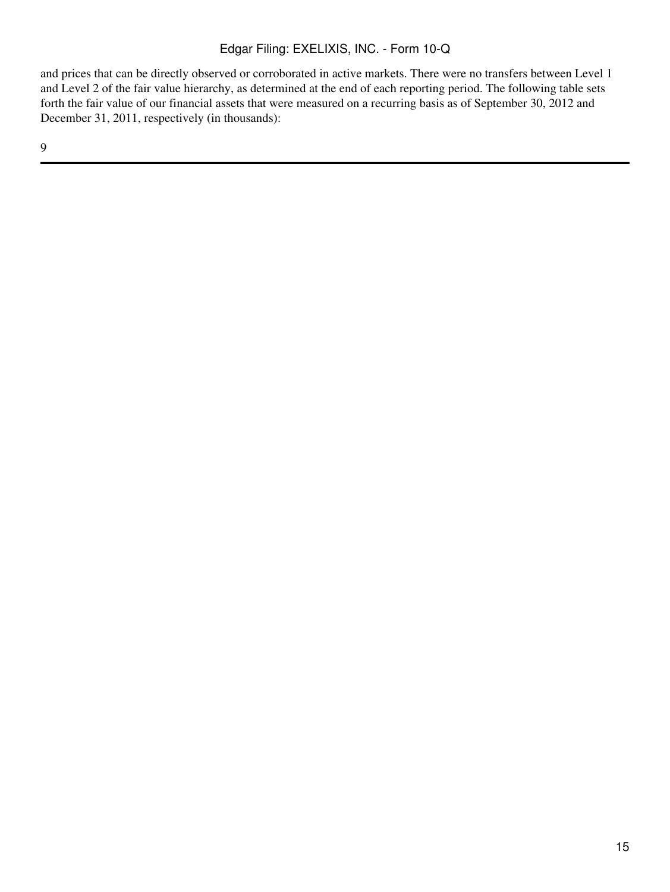and prices that can be directly observed or corroborated in active markets. There were no transfers between Level 1 and Level 2 of the fair value hierarchy, as determined at the end of each reporting period. The following table sets forth the fair value of our financial assets that were measured on a recurring basis as of September 30, 2012 and December 31, 2011, respectively (in thousands):

9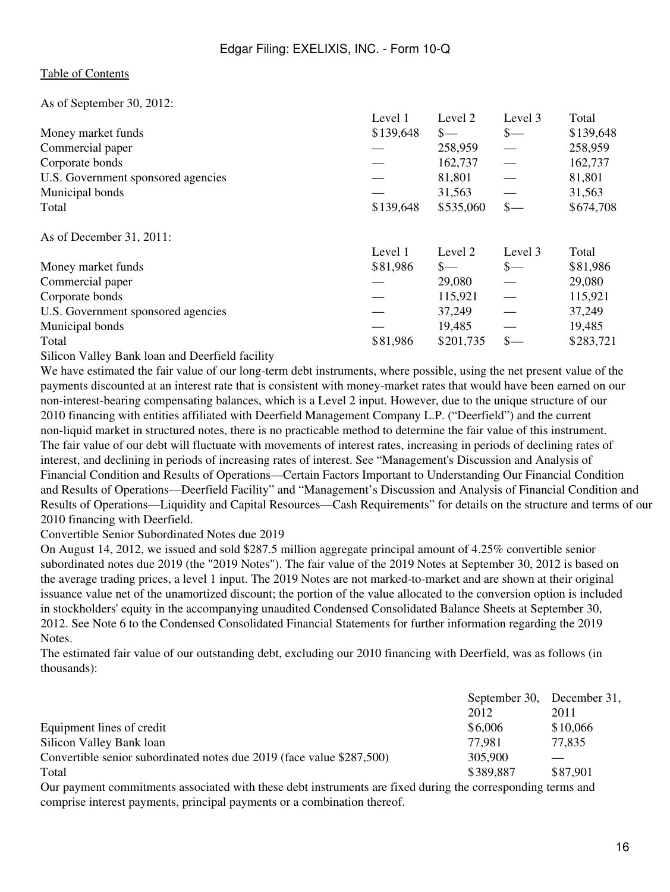As of September 30, 2012:

|                                    | Level 1   | Level 2        | Level 3         | Total     |
|------------------------------------|-----------|----------------|-----------------|-----------|
| Money market funds                 | \$139,648 | $\mathcal{S}-$ | $\frac{1}{2}$   | \$139,648 |
| Commercial paper                   |           | 258,959        |                 | 258,959   |
| Corporate bonds                    |           | 162,737        |                 | 162,737   |
| U.S. Government sponsored agencies |           | 81,801         |                 | 81,801    |
| Municipal bonds                    |           | 31,563         |                 | 31,563    |
| Total                              | \$139,648 | \$535,060      | $\frac{1}{2}$   | \$674,708 |
| As of December 31, 2011:           |           |                |                 |           |
|                                    | Level 1   | Level 2        | Level 3         | Total     |
| Money market funds                 | \$81,986  | $S-$           | $\frac{1}{2}$   | \$81,986  |
| Commercial paper                   |           | 29,080         |                 | 29,080    |
| Corporate bonds                    |           | 115,921        |                 | 115,921   |
| U.S. Government sponsored agencies |           | 37,249         |                 | 37,249    |
| Municipal bonds                    |           | 19,485         |                 | 19,485    |
| Total                              | \$81,986  | \$201,735      | $\frac{\S}{\S}$ | \$283,721 |

Silicon Valley Bank loan and Deerfield facility

We have estimated the fair value of our long-term debt instruments, where possible, using the net present value of the payments discounted at an interest rate that is consistent with money-market rates that would have been earned on our non-interest-bearing compensating balances, which is a Level 2 input. However, due to the unique structure of our 2010 financing with entities affiliated with Deerfield Management Company L.P. ("Deerfield") and the current non-liquid market in structured notes, there is no practicable method to determine the fair value of this instrument. The fair value of our debt will fluctuate with movements of interest rates, increasing in periods of declining rates of interest, and declining in periods of increasing rates of interest. See "Management's Discussion and Analysis of Financial Condition and Results of Operations—Certain Factors Important to Understanding Our Financial Condition and Results of Operations—Deerfield Facility" and "Management's Discussion and Analysis of Financial Condition and Results of Operations—Liquidity and Capital Resources—Cash Requirements" for details on the structure and terms of our 2010 financing with Deerfield.

Convertible Senior Subordinated Notes due 2019

On August 14, 2012, we issued and sold \$287.5 million aggregate principal amount of 4.25% convertible senior subordinated notes due 2019 (the "2019 Notes"). The fair value of the 2019 Notes at September 30, 2012 is based on the average trading prices, a level 1 input. The 2019 Notes are not marked-to-market and are shown at their original issuance value net of the unamortized discount; the portion of the value allocated to the conversion option is included in stockholders' equity in the accompanying unaudited Condensed Consolidated Balance Sheets at September 30, 2012. See Note 6 to the Condensed Consolidated Financial Statements for further information regarding the 2019 Notes.

The estimated fair value of our outstanding debt, excluding our 2010 financing with Deerfield, was as follows (in thousands):

|                                                                       | September 30, December 31, |          |
|-----------------------------------------------------------------------|----------------------------|----------|
|                                                                       | 2012                       | 2011     |
| Equipment lines of credit                                             | \$6,006                    | \$10,066 |
| Silicon Valley Bank loan                                              | 77.981                     | 77.835   |
| Convertible senior subordinated notes due 2019 (face value \$287,500) | 305,900                    |          |
| Total                                                                 | \$389,887                  | \$87,901 |

Our payment commitments associated with these debt instruments are fixed during the corresponding terms and comprise interest payments, principal payments or a combination thereof.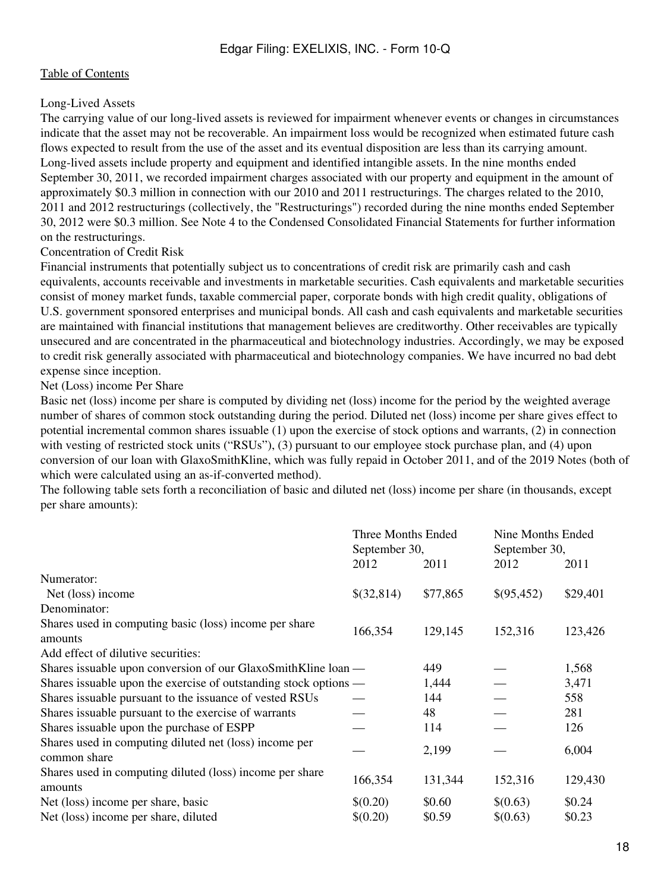### Long-Lived Assets

The carrying value of our long-lived assets is reviewed for impairment whenever events or changes in circumstances indicate that the asset may not be recoverable. An impairment loss would be recognized when estimated future cash flows expected to result from the use of the asset and its eventual disposition are less than its carrying amount. Long-lived assets include property and equipment and identified intangible assets. In the nine months ended September 30, 2011, we recorded impairment charges associated with our property and equipment in the amount of approximately \$0.3 million in connection with our 2010 and 2011 restructurings. The charges related to the 2010, 2011 and 2012 restructurings (collectively, the "Restructurings") recorded during the nine months ended September 30, 2012 were \$0.3 million. See Note 4 to the Condensed Consolidated Financial Statements for further information on the restructurings.

### Concentration of Credit Risk

Financial instruments that potentially subject us to concentrations of credit risk are primarily cash and cash equivalents, accounts receivable and investments in marketable securities. Cash equivalents and marketable securities consist of money market funds, taxable commercial paper, corporate bonds with high credit quality, obligations of U.S. government sponsored enterprises and municipal bonds. All cash and cash equivalents and marketable securities are maintained with financial institutions that management believes are creditworthy. Other receivables are typically unsecured and are concentrated in the pharmaceutical and biotechnology industries. Accordingly, we may be exposed to credit risk generally associated with pharmaceutical and biotechnology companies. We have incurred no bad debt expense since inception.

#### Net (Loss) income Per Share

Basic net (loss) income per share is computed by dividing net (loss) income for the period by the weighted average number of shares of common stock outstanding during the period. Diluted net (loss) income per share gives effect to potential incremental common shares issuable (1) upon the exercise of stock options and warrants, (2) in connection with vesting of restricted stock units ("RSUs"), (3) pursuant to our employee stock purchase plan, and (4) upon conversion of our loan with GlaxoSmithKline, which was fully repaid in October 2011, and of the 2019 Notes (both of which were calculated using an as-if-converted method).

The following table sets forth a reconciliation of basic and diluted net (loss) income per share (in thousands, except per share amounts):

|                                                                        | Three Months Ended<br>September 30, |          | Nine Months Ended<br>September 30, |          |
|------------------------------------------------------------------------|-------------------------------------|----------|------------------------------------|----------|
|                                                                        | 2012                                | 2011     | 2012                               | 2011     |
| Numerator:                                                             |                                     |          |                                    |          |
| Net (loss) income                                                      | \$(32,814)                          | \$77,865 | \$(95,452)                         | \$29,401 |
| Denominator:                                                           |                                     |          |                                    |          |
| Shares used in computing basic (loss) income per share                 | 166,354                             | 129,145  | 152,316                            |          |
| amounts                                                                |                                     |          |                                    | 123,426  |
| Add effect of dilutive securities:                                     |                                     |          |                                    |          |
| Shares issuable upon conversion of our GlaxoSmithKline loan —          |                                     | 449      |                                    | 1,568    |
| Shares is suable upon the exercise of outstanding stock options —      |                                     | 1,444    |                                    | 3,471    |
| Shares is suable pursuant to the issuance of vested RSUs               |                                     | 144      |                                    | 558      |
| Shares is suable pursuant to the exercise of warrants                  |                                     | 48       |                                    | 281      |
| Shares is suable upon the purchase of ESPP                             |                                     | 114      |                                    | 126      |
| Shares used in computing diluted net (loss) income per<br>common share |                                     | 2,199    |                                    | 6,004    |
| Shares used in computing diluted (loss) income per share<br>amounts    | 166,354                             | 131,344  | 152,316                            | 129,430  |
| Net (loss) income per share, basic                                     | \$(0.20)                            | \$0.60   | \$(0.63)                           | \$0.24   |
| Net (loss) income per share, diluted                                   | \$(0.20)                            | \$0.59   | \$(0.63)                           | \$0.23   |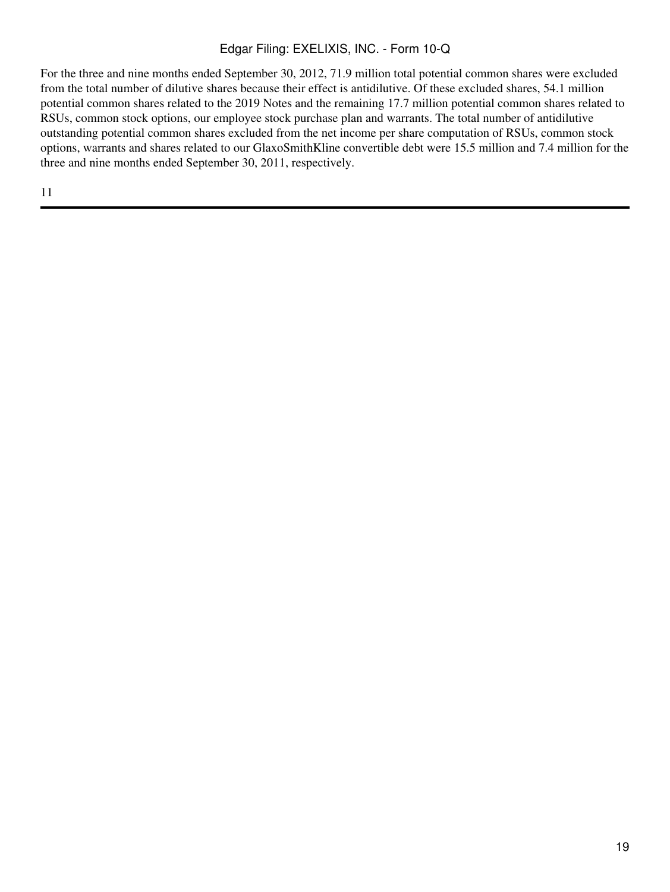For the three and nine months ended September 30, 2012, 71.9 million total potential common shares were excluded from the total number of dilutive shares because their effect is antidilutive. Of these excluded shares, 54.1 million potential common shares related to the 2019 Notes and the remaining 17.7 million potential common shares related to RSUs, common stock options, our employee stock purchase plan and warrants. The total number of antidilutive outstanding potential common shares excluded from the net income per share computation of RSUs, common stock options, warrants and shares related to our GlaxoSmithKline convertible debt were 15.5 million and 7.4 million for the three and nine months ended September 30, 2011, respectively.

11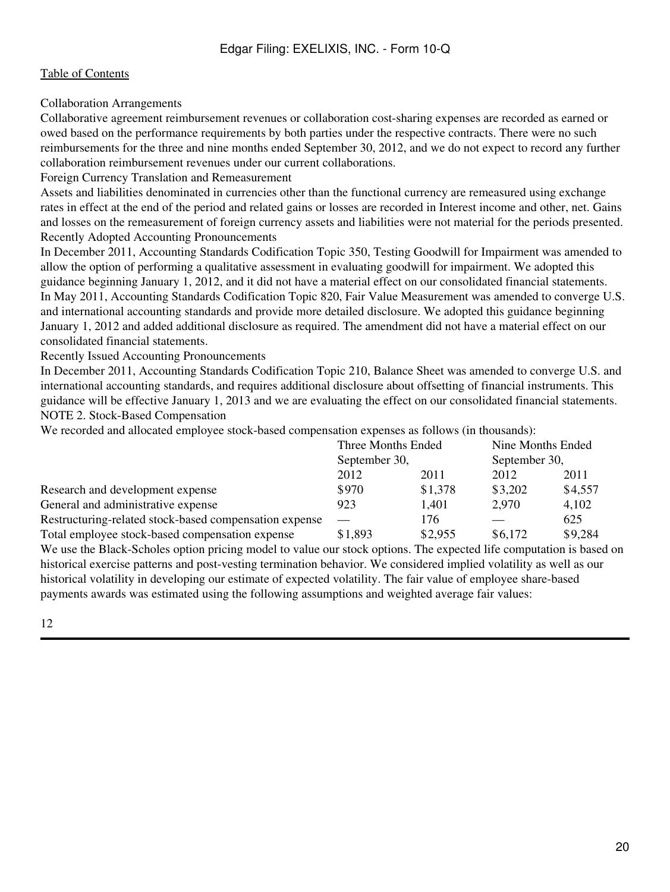Collaboration Arrangements

Collaborative agreement reimbursement revenues or collaboration cost-sharing expenses are recorded as earned or owed based on the performance requirements by both parties under the respective contracts. There were no such reimbursements for the three and nine months ended September 30, 2012, and we do not expect to record any further collaboration reimbursement revenues under our current collaborations.

Foreign Currency Translation and Remeasurement

Assets and liabilities denominated in currencies other than the functional currency are remeasured using exchange rates in effect at the end of the period and related gains or losses are recorded in Interest income and other, net. Gains and losses on the remeasurement of foreign currency assets and liabilities were not material for the periods presented. Recently Adopted Accounting Pronouncements

In December 2011, Accounting Standards Codification Topic 350, Testing Goodwill for Impairment was amended to allow the option of performing a qualitative assessment in evaluating goodwill for impairment. We adopted this guidance beginning January 1, 2012, and it did not have a material effect on our consolidated financial statements. In May 2011, Accounting Standards Codification Topic 820, Fair Value Measurement was amended to converge U.S. and international accounting standards and provide more detailed disclosure. We adopted this guidance beginning January 1, 2012 and added additional disclosure as required. The amendment did not have a material effect on our consolidated financial statements.

Recently Issued Accounting Pronouncements

In December 2011, Accounting Standards Codification Topic 210, Balance Sheet was amended to converge U.S. and international accounting standards, and requires additional disclosure about offsetting of financial instruments. This guidance will be effective January 1, 2013 and we are evaluating the effect on our consolidated financial statements. NOTE 2. Stock-Based Compensation

We recorded and allocated employee stock-based compensation expenses as follows (in thousands):

|                                                        | Three Months Ended<br>September 30, |         | Nine Months Ended<br>September 30, |         |
|--------------------------------------------------------|-------------------------------------|---------|------------------------------------|---------|
|                                                        |                                     |         |                                    |         |
|                                                        | 2012                                | 2011    | 2012                               | 2011    |
| Research and development expense                       | \$970                               | \$1,378 | \$3,202                            | \$4,557 |
| General and administrative expense                     | 923                                 | 1.401   | 2,970                              | 4,102   |
| Restructuring-related stock-based compensation expense |                                     | 176     |                                    | 625     |
| Total employee stock-based compensation expense        | \$1,893                             | \$2,955 | \$6,172                            | \$9,284 |

We use the Black-Scholes option pricing model to value our stock options. The expected life computation is based on historical exercise patterns and post-vesting termination behavior. We considered implied volatility as well as our historical volatility in developing our estimate of expected volatility. The fair value of employee share-based payments awards was estimated using the following assumptions and weighted average fair values: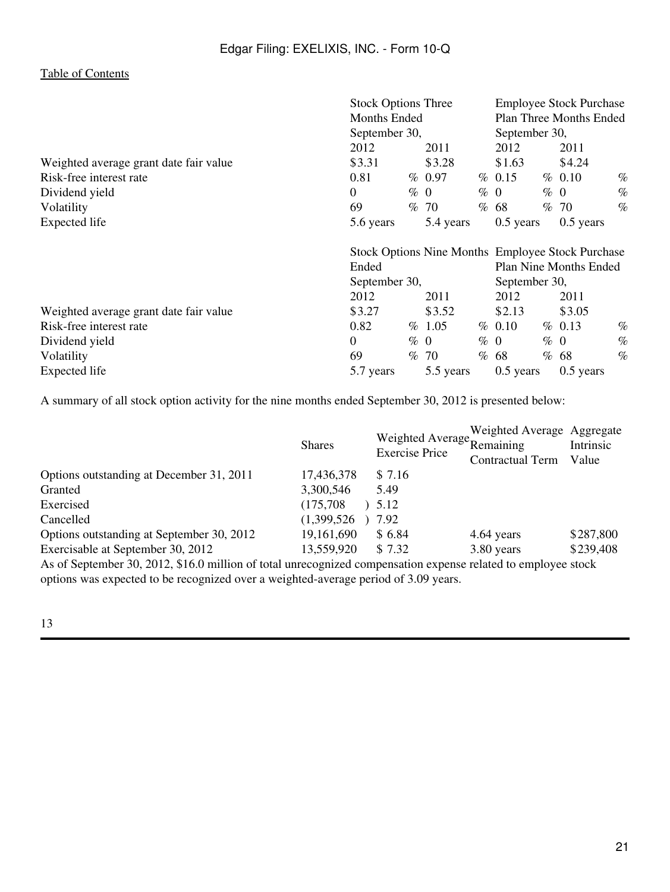|                                        | <b>Stock Options Three</b>    |      |           |               | <b>Employee Stock Purchase</b>                           |      |                        |      |
|----------------------------------------|-------------------------------|------|-----------|---------------|----------------------------------------------------------|------|------------------------|------|
|                                        | Months Ended                  |      |           |               | <b>Plan Three Months Ended</b>                           |      |                        |      |
|                                        | September 30,<br>2011<br>2012 |      |           | September 30, |                                                          |      |                        |      |
|                                        |                               |      |           | 2012          |                                                          | 2011 |                        |      |
| Weighted average grant date fair value | \$3.31                        |      | \$3.28    |               | \$1.63                                                   |      | \$4.24                 |      |
| Risk-free interest rate                | 0.81                          |      | % 0.97    |               | % 0.15                                                   |      | % 0.10                 | $\%$ |
| Dividend yield                         | $\Omega$                      |      | $\%$ 0    | $\%$ 0        |                                                          | % 0  |                        | $\%$ |
| Volatility                             | 69                            | $\%$ | 70        |               | % 68                                                     |      | % 70                   | $\%$ |
| Expected life<br>5.6 years             |                               |      | 5.4 years |               | $0.5$ years                                              |      | $0.5$ years            |      |
|                                        |                               |      |           |               | <b>Stock Options Nine Months Employee Stock Purchase</b> |      |                        |      |
|                                        |                               |      |           |               |                                                          |      |                        |      |
|                                        | Ended                         |      |           |               |                                                          |      | Plan Nine Months Ended |      |
|                                        | September 30,                 |      |           |               | September 30,                                            |      |                        |      |
|                                        | 2012                          |      | 2011      |               | 2012                                                     |      | 2011                   |      |
| Weighted average grant date fair value | \$3.27                        |      | \$3.52    |               | \$2.13                                                   |      | \$3.05                 |      |
| Risk-free interest rate                | 0.82                          |      | % 1.05    |               | % 0.10                                                   |      | % 0.13                 | $\%$ |
| Dividend yield                         | $\Omega$                      |      | $\%$ 0    | $\%$ 0        |                                                          |      | % 0                    | $\%$ |
| Volatility                             | 69                            | $\%$ | 70        |               | % 68                                                     |      | % 68                   | $\%$ |

A summary of all stock option activity for the nine months ended September 30, 2012 is presented below:

|                                           | <b>Shares</b> | Weighted Average Remaining<br><b>Exercise Price</b> | Weighted Average Aggregate<br><b>Contractual Term</b> | Intrinsic<br>Value |
|-------------------------------------------|---------------|-----------------------------------------------------|-------------------------------------------------------|--------------------|
| Options outstanding at December 31, 2011  | 17,436,378    | \$7.16                                              |                                                       |                    |
| Granted                                   | 3,300,546     | 5.49                                                |                                                       |                    |
| Exercised                                 | (175,708)     | 5.12                                                |                                                       |                    |
| Cancelled                                 | (1,399,526)   | 7.92                                                |                                                       |                    |
| Options outstanding at September 30, 2012 | 19,161,690    | \$6.84                                              | 4.64 years                                            | \$287,800          |
| Exercisable at September 30, 2012         | 13,559,920    | \$7.32                                              | 3.80 years                                            | \$239,408          |

As of September 30, 2012, \$16.0 million of total unrecognized compensation expense related to employee stock options was expected to be recognized over a weighted-average period of 3.09 years.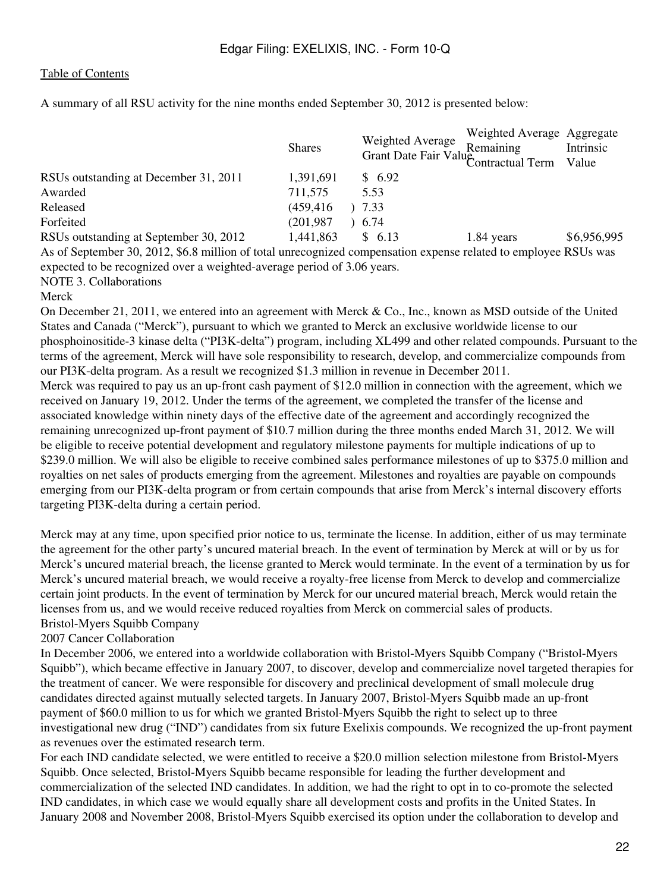A summary of all RSU activity for the nine months ended September 30, 2012 is presented below:

|                                                                                                                 | <b>Shares</b> | Weighted Average<br>Grant Date Fair Value Contractual Term | Weighted Average Aggregate<br>Remaining | Intrinsic<br>Value |
|-----------------------------------------------------------------------------------------------------------------|---------------|------------------------------------------------------------|-----------------------------------------|--------------------|
| RSUs outstanding at December 31, 2011                                                                           | 1,391,691     | \$6.92                                                     |                                         |                    |
| Awarded                                                                                                         | 711,575       | 5.53                                                       |                                         |                    |
| Released                                                                                                        | (459, 416)    | 7.33                                                       |                                         |                    |
| Forfeited                                                                                                       | (201, 987)    | 6.74                                                       |                                         |                    |
| RSUs outstanding at September 30, 2012                                                                          | 1,441,863     | \$ 6.13                                                    | 1.84 years                              | \$6,956,995        |
| As of September 30, 2012, \$6.8 million of total unrecognized compensation expense related to employee RSUs was |               |                                                            |                                         |                    |

expected to be recognized over a weighted-average period of 3.06 years.

NOTE 3. Collaborations

#### Merck

On December 21, 2011, we entered into an agreement with Merck & Co., Inc., known as MSD outside of the United States and Canada ("Merck"), pursuant to which we granted to Merck an exclusive worldwide license to our phosphoinositide-3 kinase delta ("PI3K-delta") program, including XL499 and other related compounds. Pursuant to the terms of the agreement, Merck will have sole responsibility to research, develop, and commercialize compounds from our PI3K-delta program. As a result we recognized \$1.3 million in revenue in December 2011. Merck was required to pay us an up-front cash payment of \$12.0 million in connection with the agreement, which we received on January 19, 2012. Under the terms of the agreement, we completed the transfer of the license and associated knowledge within ninety days of the effective date of the agreement and accordingly recognized the remaining unrecognized up-front payment of \$10.7 million during the three months ended March 31, 2012. We will be eligible to receive potential development and regulatory milestone payments for multiple indications of up to \$239.0 million. We will also be eligible to receive combined sales performance milestones of up to \$375.0 million and royalties on net sales of products emerging from the agreement. Milestones and royalties are payable on compounds emerging from our PI3K-delta program or from certain compounds that arise from Merck's internal discovery efforts targeting PI3K-delta during a certain period.

Merck may at any time, upon specified prior notice to us, terminate the license. In addition, either of us may terminate the agreement for the other party's uncured material breach. In the event of termination by Merck at will or by us for Merck's uncured material breach, the license granted to Merck would terminate. In the event of a termination by us for Merck's uncured material breach, we would receive a royalty-free license from Merck to develop and commercialize certain joint products. In the event of termination by Merck for our uncured material breach, Merck would retain the licenses from us, and we would receive reduced royalties from Merck on commercial sales of products. Bristol-Myers Squibb Company

#### 2007 Cancer Collaboration

In December 2006, we entered into a worldwide collaboration with Bristol-Myers Squibb Company ("Bristol-Myers Squibb"), which became effective in January 2007, to discover, develop and commercialize novel targeted therapies for the treatment of cancer. We were responsible for discovery and preclinical development of small molecule drug candidates directed against mutually selected targets. In January 2007, Bristol-Myers Squibb made an up-front payment of \$60.0 million to us for which we granted Bristol-Myers Squibb the right to select up to three investigational new drug ("IND") candidates from six future Exelixis compounds. We recognized the up-front payment as revenues over the estimated research term.

For each IND candidate selected, we were entitled to receive a \$20.0 million selection milestone from Bristol-Myers Squibb. Once selected, Bristol-Myers Squibb became responsible for leading the further development and commercialization of the selected IND candidates. In addition, we had the right to opt in to co-promote the selected IND candidates, in which case we would equally share all development costs and profits in the United States. In January 2008 and November 2008, Bristol-Myers Squibb exercised its option under the collaboration to develop and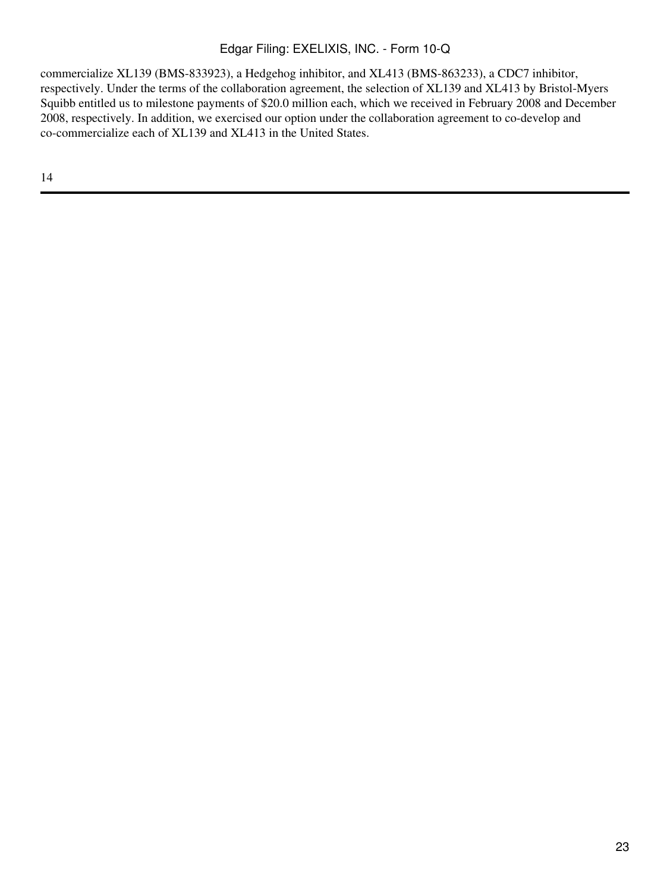commercialize XL139 (BMS-833923), a Hedgehog inhibitor, and XL413 (BMS-863233), a CDC7 inhibitor, respectively. Under the terms of the collaboration agreement, the selection of XL139 and XL413 by Bristol-Myers Squibb entitled us to milestone payments of \$20.0 million each, which we received in February 2008 and December 2008, respectively. In addition, we exercised our option under the collaboration agreement to co-develop and co-commercialize each of XL139 and XL413 in the United States.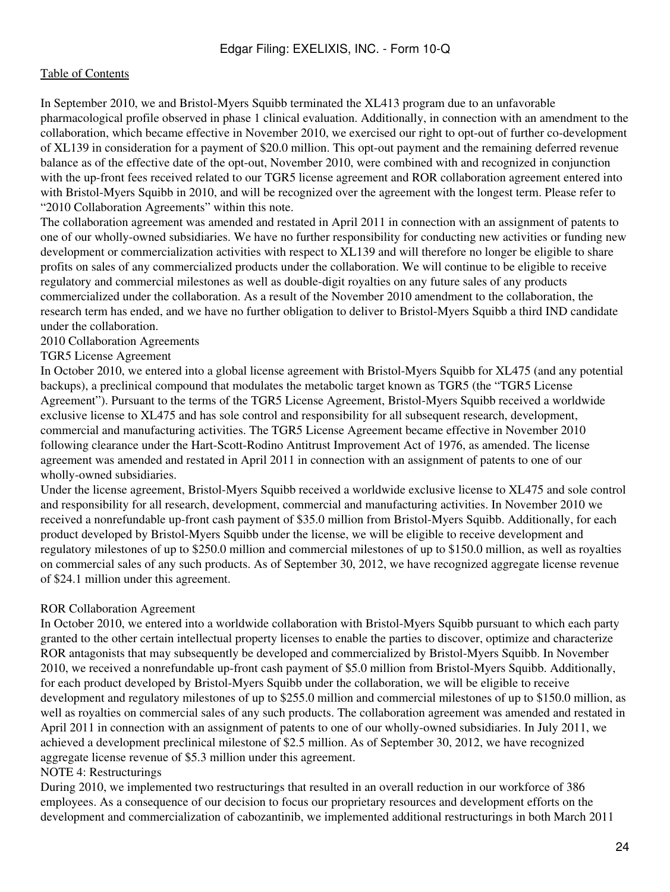In September 2010, we and Bristol-Myers Squibb terminated the XL413 program due to an unfavorable pharmacological profile observed in phase 1 clinical evaluation. Additionally, in connection with an amendment to the collaboration, which became effective in November 2010, we exercised our right to opt-out of further co-development of XL139 in consideration for a payment of \$20.0 million. This opt-out payment and the remaining deferred revenue balance as of the effective date of the opt-out, November 2010, were combined with and recognized in conjunction with the up-front fees received related to our TGR5 license agreement and ROR collaboration agreement entered into with Bristol-Myers Squibb in 2010, and will be recognized over the agreement with the longest term. Please refer to "2010 Collaboration Agreements" within this note.

The collaboration agreement was amended and restated in April 2011 in connection with an assignment of patents to one of our wholly-owned subsidiaries. We have no further responsibility for conducting new activities or funding new development or commercialization activities with respect to XL139 and will therefore no longer be eligible to share profits on sales of any commercialized products under the collaboration. We will continue to be eligible to receive regulatory and commercial milestones as well as double-digit royalties on any future sales of any products commercialized under the collaboration. As a result of the November 2010 amendment to the collaboration, the research term has ended, and we have no further obligation to deliver to Bristol-Myers Squibb a third IND candidate under the collaboration.

#### 2010 Collaboration Agreements

#### TGR5 License Agreement

In October 2010, we entered into a global license agreement with Bristol-Myers Squibb for XL475 (and any potential backups), a preclinical compound that modulates the metabolic target known as TGR5 (the "TGR5 License Agreement"). Pursuant to the terms of the TGR5 License Agreement, Bristol-Myers Squibb received a worldwide exclusive license to XL475 and has sole control and responsibility for all subsequent research, development, commercial and manufacturing activities. The TGR5 License Agreement became effective in November 2010 following clearance under the Hart-Scott-Rodino Antitrust Improvement Act of 1976, as amended. The license agreement was amended and restated in April 2011 in connection with an assignment of patents to one of our wholly-owned subsidiaries.

Under the license agreement, Bristol-Myers Squibb received a worldwide exclusive license to XL475 and sole control and responsibility for all research, development, commercial and manufacturing activities. In November 2010 we received a nonrefundable up-front cash payment of \$35.0 million from Bristol-Myers Squibb. Additionally, for each product developed by Bristol-Myers Squibb under the license, we will be eligible to receive development and regulatory milestones of up to \$250.0 million and commercial milestones of up to \$150.0 million, as well as royalties on commercial sales of any such products. As of September 30, 2012, we have recognized aggregate license revenue of \$24.1 million under this agreement.

#### ROR Collaboration Agreement

In October 2010, we entered into a worldwide collaboration with Bristol-Myers Squibb pursuant to which each party granted to the other certain intellectual property licenses to enable the parties to discover, optimize and characterize ROR antagonists that may subsequently be developed and commercialized by Bristol-Myers Squibb. In November 2010, we received a nonrefundable up-front cash payment of \$5.0 million from Bristol-Myers Squibb. Additionally, for each product developed by Bristol-Myers Squibb under the collaboration, we will be eligible to receive development and regulatory milestones of up to \$255.0 million and commercial milestones of up to \$150.0 million, as well as royalties on commercial sales of any such products. The collaboration agreement was amended and restated in April 2011 in connection with an assignment of patents to one of our wholly-owned subsidiaries. In July 2011, we achieved a development preclinical milestone of \$2.5 million. As of September 30, 2012, we have recognized aggregate license revenue of \$5.3 million under this agreement.

#### NOTE 4: Restructurings

During 2010, we implemented two restructurings that resulted in an overall reduction in our workforce of 386 employees. As a consequence of our decision to focus our proprietary resources and development efforts on the development and commercialization of cabozantinib, we implemented additional restructurings in both March 2011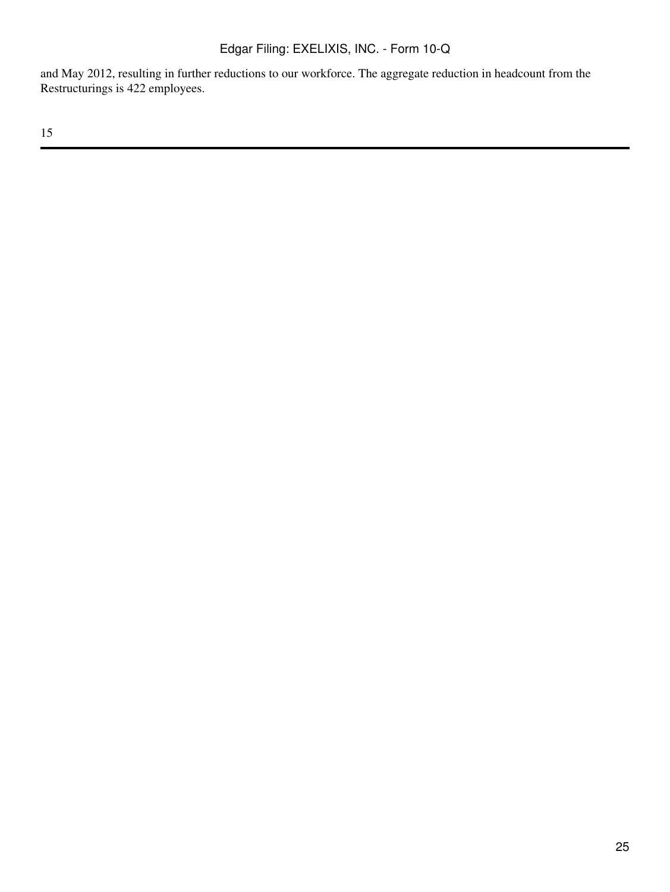and May 2012, resulting in further reductions to our workforce. The aggregate reduction in headcount from the Restructurings is 422 employees.

15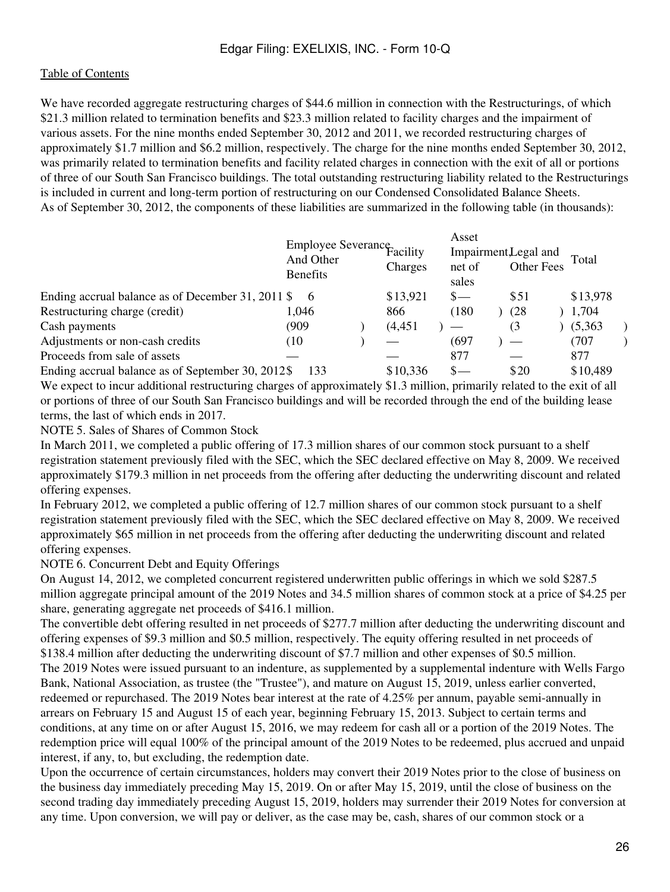We have recorded aggregate restructuring charges of \$44.6 million in connection with the Restructurings, of which \$21.3 million related to termination benefits and \$23.3 million related to facility charges and the impairment of various assets. For the nine months ended September 30, 2012 and 2011, we recorded restructuring charges of approximately \$1.7 million and \$6.2 million, respectively. The charge for the nine months ended September 30, 2012, was primarily related to termination benefits and facility related charges in connection with the exit of all or portions of three of our South San Francisco buildings. The total outstanding restructuring liability related to the Restructurings is included in current and long-term portion of restructuring on our Condensed Consolidated Balance Sheets. As of September 30, 2012, the components of these liabilities are summarized in the following table (in thousands):

|                                                     | Employee Severance Facility<br>And Other |  | Asset    | Impairment, Legal and |                   |          |  |
|-----------------------------------------------------|------------------------------------------|--|----------|-----------------------|-------------------|----------|--|
|                                                     | <b>Benefits</b>                          |  | Charges  | net of<br>sales       | <b>Other Fees</b> | Total    |  |
| Ending accrual balance as of December 31, 2011 \$ 6 |                                          |  | \$13,921 | $s-$                  | \$51              | \$13,978 |  |
| Restructuring charge (credit)                       | 1.046                                    |  | 866      | (180)                 | (28)              | 1,704    |  |
| Cash payments                                       | (909                                     |  | (4, 451) |                       | (3                | (5,363)  |  |
| Adjustments or non-cash credits                     | (10                                      |  |          | (697                  |                   | (707     |  |
| Proceeds from sale of assets                        |                                          |  |          | 877                   |                   | 877      |  |
| Ending accrual balance as of September 30, 2012\$   | 133                                      |  | \$10,336 | $S-$                  | \$20              | \$10,489 |  |

We expect to incur additional restructuring charges of approximately \$1.3 million, primarily related to the exit of all or portions of three of our South San Francisco buildings and will be recorded through the end of the building lease terms, the last of which ends in 2017.

NOTE 5. Sales of Shares of Common Stock

In March 2011, we completed a public offering of 17.3 million shares of our common stock pursuant to a shelf registration statement previously filed with the SEC, which the SEC declared effective on May 8, 2009. We received approximately \$179.3 million in net proceeds from the offering after deducting the underwriting discount and related offering expenses.

In February 2012, we completed a public offering of 12.7 million shares of our common stock pursuant to a shelf registration statement previously filed with the SEC, which the SEC declared effective on May 8, 2009. We received approximately \$65 million in net proceeds from the offering after deducting the underwriting discount and related offering expenses.

NOTE 6. Concurrent Debt and Equity Offerings

On August 14, 2012, we completed concurrent registered underwritten public offerings in which we sold \$287.5 million aggregate principal amount of the 2019 Notes and 34.5 million shares of common stock at a price of \$4.25 per share, generating aggregate net proceeds of \$416.1 million.

The convertible debt offering resulted in net proceeds of \$277.7 million after deducting the underwriting discount and offering expenses of \$9.3 million and \$0.5 million, respectively. The equity offering resulted in net proceeds of \$138.4 million after deducting the underwriting discount of \$7.7 million and other expenses of \$0.5 million. The 2019 Notes were issued pursuant to an indenture, as supplemented by a supplemental indenture with Wells Fargo Bank, National Association, as trustee (the "Trustee"), and mature on August 15, 2019, unless earlier converted, redeemed or repurchased. The 2019 Notes bear interest at the rate of 4.25% per annum, payable semi-annually in arrears on February 15 and August 15 of each year, beginning February 15, 2013. Subject to certain terms and conditions, at any time on or after August 15, 2016, we may redeem for cash all or a portion of the 2019 Notes. The redemption price will equal 100% of the principal amount of the 2019 Notes to be redeemed, plus accrued and unpaid interest, if any, to, but excluding, the redemption date.

Upon the occurrence of certain circumstances, holders may convert their 2019 Notes prior to the close of business on the business day immediately preceding May 15, 2019. On or after May 15, 2019, until the close of business on the second trading day immediately preceding August 15, 2019, holders may surrender their 2019 Notes for conversion at any time. Upon conversion, we will pay or deliver, as the case may be, cash, shares of our common stock or a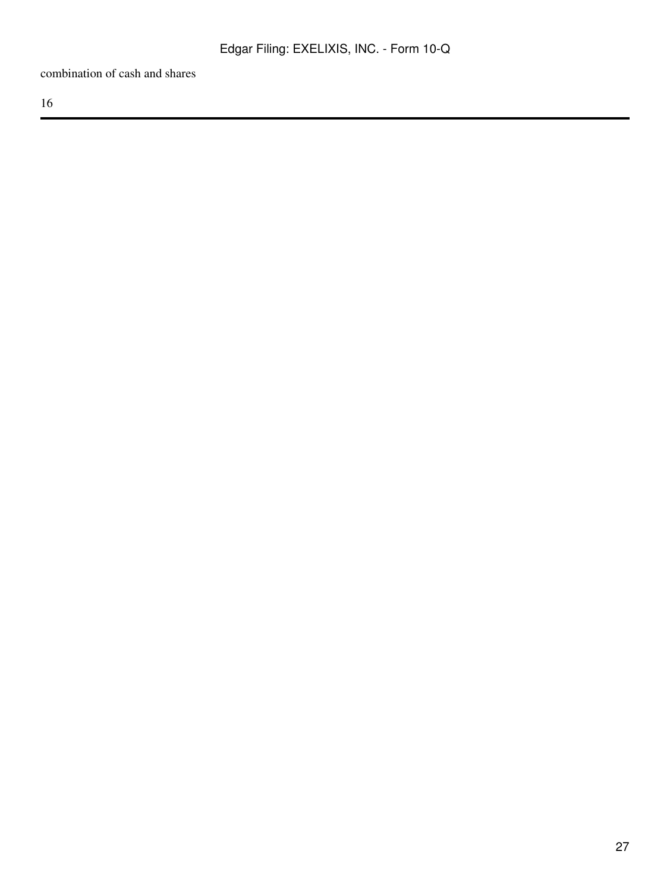combination of cash and shares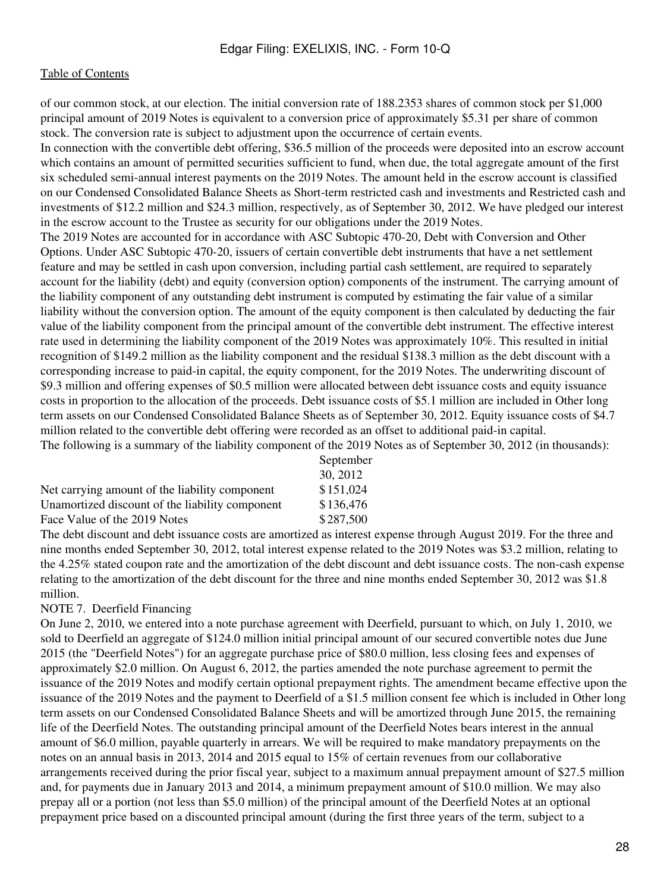of our common stock, at our election. The initial conversion rate of 188.2353 shares of common stock per \$1,000 principal amount of 2019 Notes is equivalent to a conversion price of approximately \$5.31 per share of common stock. The conversion rate is subject to adjustment upon the occurrence of certain events.

In connection with the convertible debt offering, \$36.5 million of the proceeds were deposited into an escrow account which contains an amount of permitted securities sufficient to fund, when due, the total aggregate amount of the first six scheduled semi-annual interest payments on the 2019 Notes. The amount held in the escrow account is classified on our Condensed Consolidated Balance Sheets as Short-term restricted cash and investments and Restricted cash and investments of \$12.2 million and \$24.3 million, respectively, as of September 30, 2012. We have pledged our interest in the escrow account to the Trustee as security for our obligations under the 2019 Notes.

The 2019 Notes are accounted for in accordance with ASC Subtopic 470-20, Debt with Conversion and Other Options. Under ASC Subtopic 470-20, issuers of certain convertible debt instruments that have a net settlement feature and may be settled in cash upon conversion, including partial cash settlement, are required to separately account for the liability (debt) and equity (conversion option) components of the instrument. The carrying amount of the liability component of any outstanding debt instrument is computed by estimating the fair value of a similar liability without the conversion option. The amount of the equity component is then calculated by deducting the fair value of the liability component from the principal amount of the convertible debt instrument. The effective interest rate used in determining the liability component of the 2019 Notes was approximately 10%. This resulted in initial recognition of \$149.2 million as the liability component and the residual \$138.3 million as the debt discount with a corresponding increase to paid-in capital, the equity component, for the 2019 Notes. The underwriting discount of \$9.3 million and offering expenses of \$0.5 million were allocated between debt issuance costs and equity issuance costs in proportion to the allocation of the proceeds. Debt issuance costs of \$5.1 million are included in Other long term assets on our Condensed Consolidated Balance Sheets as of September 30, 2012. Equity issuance costs of \$4.7 million related to the convertible debt offering were recorded as an offset to additional paid-in capital. The following is a summary of the liability component of the 2019 Notes as of September 30, 2012 (in thousands):

|                                                 | 30, 2012  |
|-------------------------------------------------|-----------|
| Net carrying amount of the liability component  | \$151,024 |
| Unamortized discount of the liability component | \$136,476 |
| Face Value of the 2019 Notes                    | \$287,500 |

The debt discount and debt issuance costs are amortized as interest expense through August 2019. For the three and nine months ended September 30, 2012, total interest expense related to the 2019 Notes was \$3.2 million, relating to the 4.25% stated coupon rate and the amortization of the debt discount and debt issuance costs. The non-cash expense relating to the amortization of the debt discount for the three and nine months ended September 30, 2012 was \$1.8 million.

September

#### NOTE 7. Deerfield Financing

On June 2, 2010, we entered into a note purchase agreement with Deerfield, pursuant to which, on July 1, 2010, we sold to Deerfield an aggregate of \$124.0 million initial principal amount of our secured convertible notes due June 2015 (the "Deerfield Notes") for an aggregate purchase price of \$80.0 million, less closing fees and expenses of approximately \$2.0 million. On August 6, 2012, the parties amended the note purchase agreement to permit the issuance of the 2019 Notes and modify certain optional prepayment rights. The amendment became effective upon the issuance of the 2019 Notes and the payment to Deerfield of a \$1.5 million consent fee which is included in Other long term assets on our Condensed Consolidated Balance Sheets and will be amortized through June 2015, the remaining life of the Deerfield Notes. The outstanding principal amount of the Deerfield Notes bears interest in the annual amount of \$6.0 million, payable quarterly in arrears. We will be required to make mandatory prepayments on the notes on an annual basis in 2013, 2014 and 2015 equal to 15% of certain revenues from our collaborative arrangements received during the prior fiscal year, subject to a maximum annual prepayment amount of \$27.5 million and, for payments due in January 2013 and 2014, a minimum prepayment amount of \$10.0 million. We may also prepay all or a portion (not less than \$5.0 million) of the principal amount of the Deerfield Notes at an optional prepayment price based on a discounted principal amount (during the first three years of the term, subject to a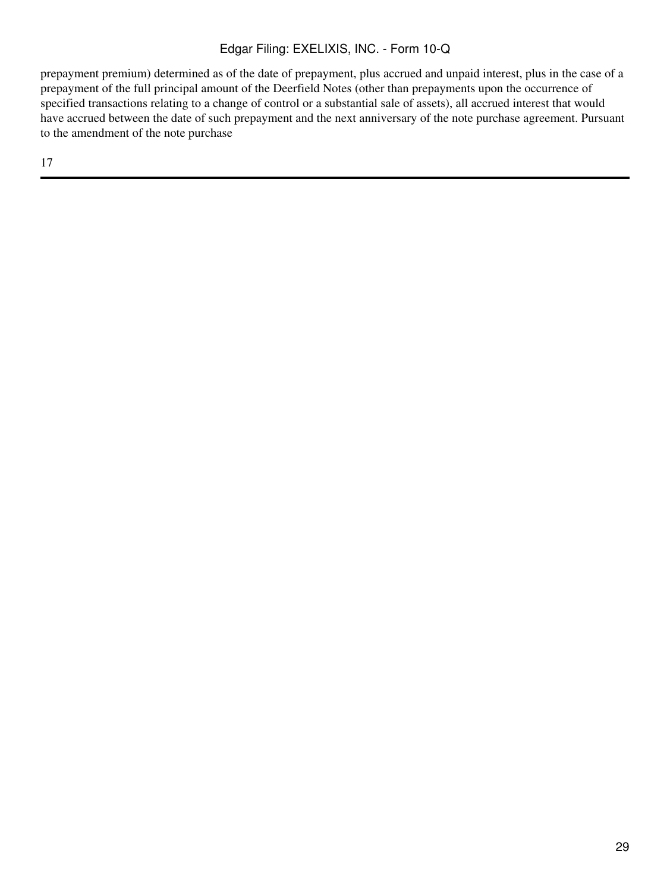prepayment premium) determined as of the date of prepayment, plus accrued and unpaid interest, plus in the case of a prepayment of the full principal amount of the Deerfield Notes (other than prepayments upon the occurrence of specified transactions relating to a change of control or a substantial sale of assets), all accrued interest that would have accrued between the date of such prepayment and the next anniversary of the note purchase agreement. Pursuant to the amendment of the note purchase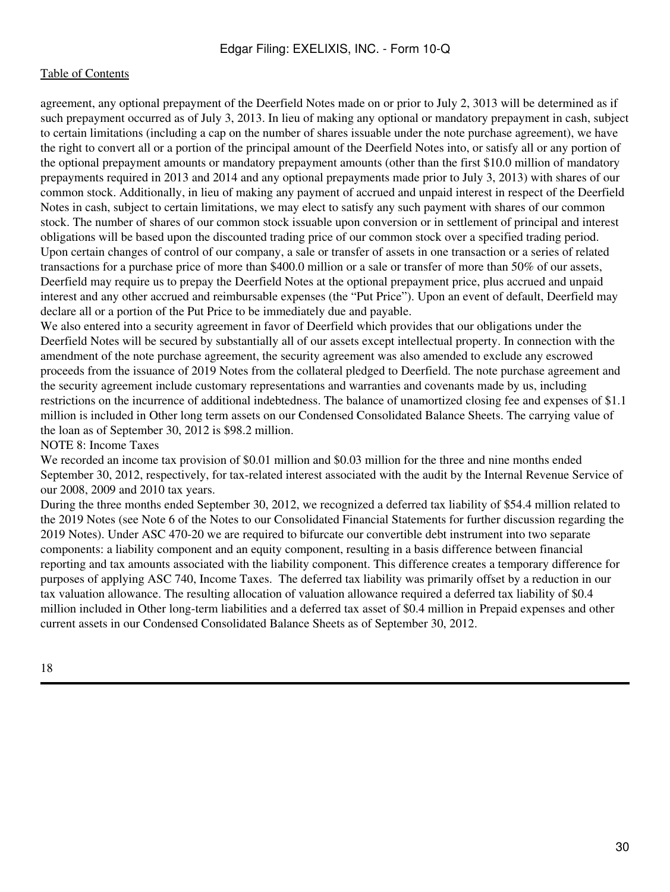agreement, any optional prepayment of the Deerfield Notes made on or prior to July 2, 3013 will be determined as if such prepayment occurred as of July 3, 2013. In lieu of making any optional or mandatory prepayment in cash, subject to certain limitations (including a cap on the number of shares issuable under the note purchase agreement), we have the right to convert all or a portion of the principal amount of the Deerfield Notes into, or satisfy all or any portion of the optional prepayment amounts or mandatory prepayment amounts (other than the first \$10.0 million of mandatory prepayments required in 2013 and 2014 and any optional prepayments made prior to July 3, 2013) with shares of our common stock. Additionally, in lieu of making any payment of accrued and unpaid interest in respect of the Deerfield Notes in cash, subject to certain limitations, we may elect to satisfy any such payment with shares of our common stock. The number of shares of our common stock issuable upon conversion or in settlement of principal and interest obligations will be based upon the discounted trading price of our common stock over a specified trading period. Upon certain changes of control of our company, a sale or transfer of assets in one transaction or a series of related transactions for a purchase price of more than \$400.0 million or a sale or transfer of more than 50% of our assets, Deerfield may require us to prepay the Deerfield Notes at the optional prepayment price, plus accrued and unpaid interest and any other accrued and reimbursable expenses (the "Put Price"). Upon an event of default, Deerfield may declare all or a portion of the Put Price to be immediately due and payable.

We also entered into a security agreement in favor of Deerfield which provides that our obligations under the Deerfield Notes will be secured by substantially all of our assets except intellectual property. In connection with the amendment of the note purchase agreement, the security agreement was also amended to exclude any escrowed proceeds from the issuance of 2019 Notes from the collateral pledged to Deerfield. The note purchase agreement and the security agreement include customary representations and warranties and covenants made by us, including restrictions on the incurrence of additional indebtedness. The balance of unamortized closing fee and expenses of \$1.1 million is included in Other long term assets on our Condensed Consolidated Balance Sheets. The carrying value of the loan as of September 30, 2012 is \$98.2 million.

#### NOTE 8: Income Taxes

We recorded an income tax provision of \$0.01 million and \$0.03 million for the three and nine months ended September 30, 2012, respectively, for tax-related interest associated with the audit by the Internal Revenue Service of our 2008, 2009 and 2010 tax years.

During the three months ended September 30, 2012, we recognized a deferred tax liability of \$54.4 million related to the 2019 Notes (see Note 6 of the Notes to our Consolidated Financial Statements for further discussion regarding the 2019 Notes). Under ASC 470-20 we are required to bifurcate our convertible debt instrument into two separate components: a liability component and an equity component, resulting in a basis difference between financial reporting and tax amounts associated with the liability component. This difference creates a temporary difference for purposes of applying ASC 740, Income Taxes. The deferred tax liability was primarily offset by a reduction in our tax valuation allowance. The resulting allocation of valuation allowance required a deferred tax liability of \$0.4 million included in Other long-term liabilities and a deferred tax asset of \$0.4 million in Prepaid expenses and other current assets in our Condensed Consolidated Balance Sheets as of September 30, 2012.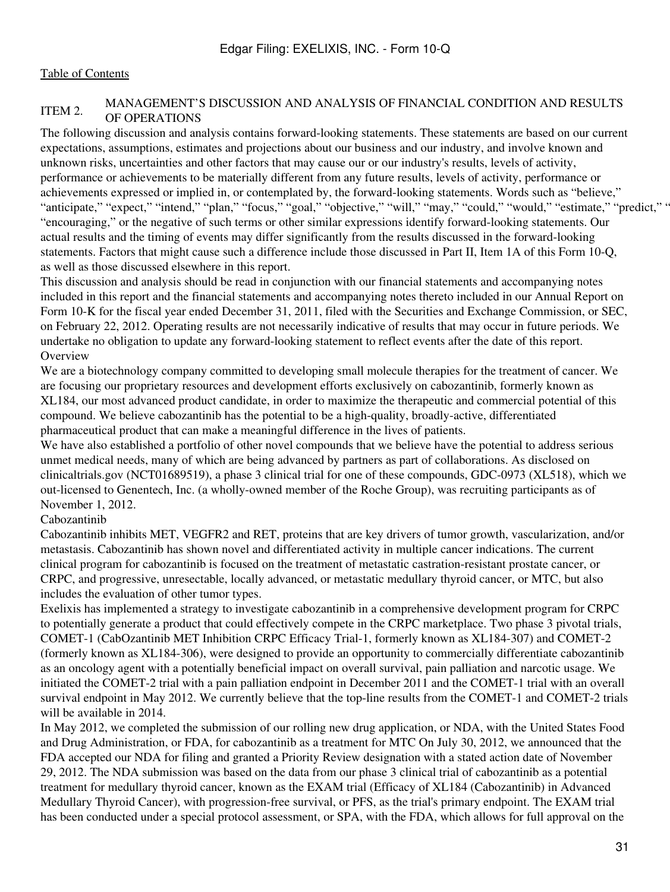#### <span id="page-30-0"></span>MANAGEMENT'S DISCUSSION AND ANALYSIS OF FINANCIAL CONDITION AND RESULTS OF OPERATIONS

The following discussion and analysis contains forward-looking statements. These statements are based on our current expectations, assumptions, estimates and projections about our business and our industry, and involve known and unknown risks, uncertainties and other factors that may cause our or our industry's results, levels of activity, performance or achievements to be materially different from any future results, levels of activity, performance or achievements expressed or implied in, or contemplated by, the forward-looking statements. Words such as "believe," "anticipate," "expect," "intend," "plan," "focus," "goal," "objective," "will," "may," "could," "would," "estimate," "predict," " "encouraging," or the negative of such terms or other similar expressions identify forward-looking statements. Our actual results and the timing of events may differ significantly from the results discussed in the forward-looking statements. Factors that might cause such a difference include those discussed in Part II, Item 1A of this Form 10-Q, as well as those discussed elsewhere in this report.

This discussion and analysis should be read in conjunction with our financial statements and accompanying notes included in this report and the financial statements and accompanying notes thereto included in our Annual Report on Form 10-K for the fiscal year ended December 31, 2011, filed with the Securities and Exchange Commission, or SEC, on February 22, 2012. Operating results are not necessarily indicative of results that may occur in future periods. We undertake no obligation to update any forward-looking statement to reflect events after the date of this report. **Overview** 

We are a biotechnology company committed to developing small molecule therapies for the treatment of cancer. We are focusing our proprietary resources and development efforts exclusively on cabozantinib, formerly known as XL184, our most advanced product candidate, in order to maximize the therapeutic and commercial potential of this compound. We believe cabozantinib has the potential to be a high-quality, broadly-active, differentiated pharmaceutical product that can make a meaningful difference in the lives of patients.

We have also established a portfolio of other novel compounds that we believe have the potential to address serious unmet medical needs, many of which are being advanced by partners as part of collaborations. As disclosed on clinicaltrials.gov (NCT01689519), a phase 3 clinical trial for one of these compounds, GDC-0973 (XL518), which we out-licensed to Genentech, Inc. (a wholly-owned member of the Roche Group), was recruiting participants as of November 1, 2012.

#### Cabozantinib

Cabozantinib inhibits MET, VEGFR2 and RET, proteins that are key drivers of tumor growth, vascularization, and/or metastasis. Cabozantinib has shown novel and differentiated activity in multiple cancer indications. The current clinical program for cabozantinib is focused on the treatment of metastatic castration-resistant prostate cancer, or CRPC, and progressive, unresectable, locally advanced, or metastatic medullary thyroid cancer, or MTC, but also includes the evaluation of other tumor types.

Exelixis has implemented a strategy to investigate cabozantinib in a comprehensive development program for CRPC to potentially generate a product that could effectively compete in the CRPC marketplace. Two phase 3 pivotal trials, COMET-1 (CabOzantinib MET Inhibition CRPC Efficacy Trial-1, formerly known as XL184-307) and COMET-2 (formerly known as XL184-306), were designed to provide an opportunity to commercially differentiate cabozantinib as an oncology agent with a potentially beneficial impact on overall survival, pain palliation and narcotic usage. We initiated the COMET-2 trial with a pain palliation endpoint in December 2011 and the COMET-1 trial with an overall survival endpoint in May 2012. We currently believe that the top-line results from the COMET-1 and COMET-2 trials will be available in 2014.

In May 2012, we completed the submission of our rolling new drug application, or NDA, with the United States Food and Drug Administration, or FDA, for cabozantinib as a treatment for MTC On July 30, 2012, we announced that the FDA accepted our NDA for filing and granted a Priority Review designation with a stated action date of November 29, 2012. The NDA submission was based on the data from our phase 3 clinical trial of cabozantinib as a potential treatment for medullary thyroid cancer, known as the EXAM trial (Efficacy of XL184 (Cabozantinib) in Advanced Medullary Thyroid Cancer), with progression-free survival, or PFS, as the trial's primary endpoint. The EXAM trial has been conducted under a special protocol assessment, or SPA, with the FDA, which allows for full approval on the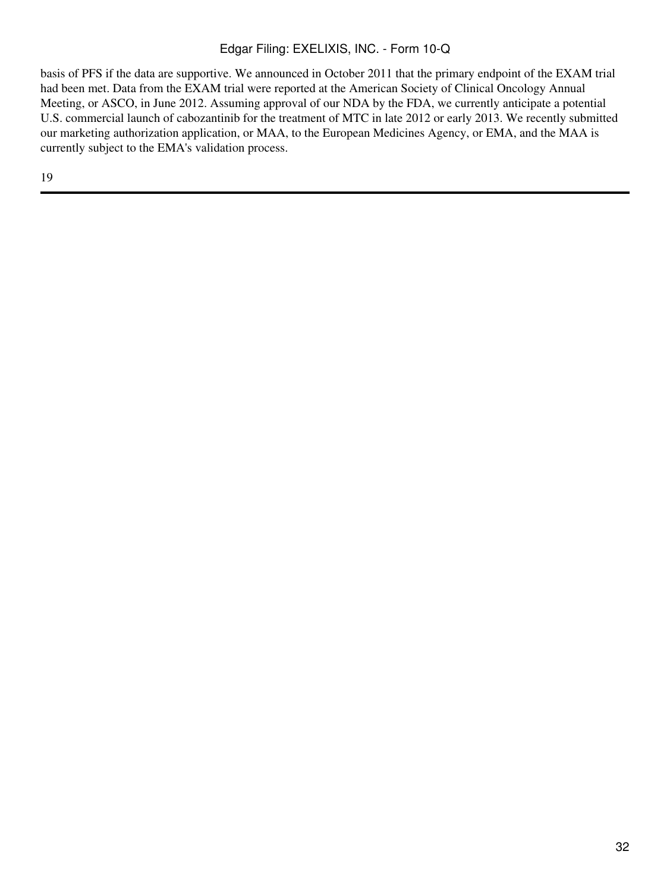basis of PFS if the data are supportive. We announced in October 2011 that the primary endpoint of the EXAM trial had been met. Data from the EXAM trial were reported at the American Society of Clinical Oncology Annual Meeting, or ASCO, in June 2012. Assuming approval of our NDA by the FDA, we currently anticipate a potential U.S. commercial launch of cabozantinib for the treatment of MTC in late 2012 or early 2013. We recently submitted our marketing authorization application, or MAA, to the European Medicines Agency, or EMA, and the MAA is currently subject to the EMA's validation process.

19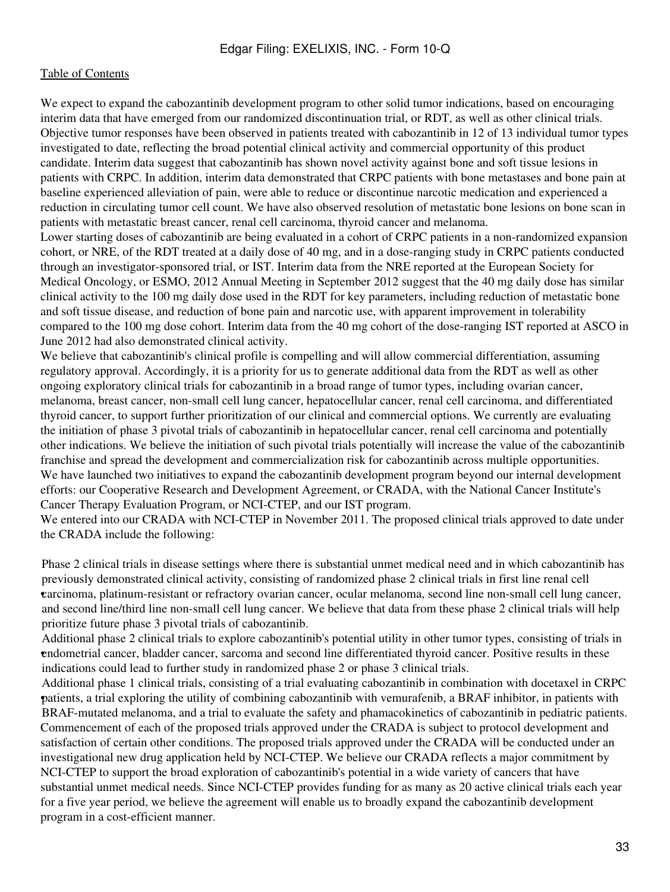We expect to expand the cabozantinib development program to other solid tumor indications, based on encouraging interim data that have emerged from our randomized discontinuation trial, or RDT, as well as other clinical trials. Objective tumor responses have been observed in patients treated with cabozantinib in 12 of 13 individual tumor types investigated to date, reflecting the broad potential clinical activity and commercial opportunity of this product candidate. Interim data suggest that cabozantinib has shown novel activity against bone and soft tissue lesions in patients with CRPC. In addition, interim data demonstrated that CRPC patients with bone metastases and bone pain at baseline experienced alleviation of pain, were able to reduce or discontinue narcotic medication and experienced a reduction in circulating tumor cell count. We have also observed resolution of metastatic bone lesions on bone scan in patients with metastatic breast cancer, renal cell carcinoma, thyroid cancer and melanoma.

Lower starting doses of cabozantinib are being evaluated in a cohort of CRPC patients in a non-randomized expansion cohort, or NRE, of the RDT treated at a daily dose of 40 mg, and in a dose-ranging study in CRPC patients conducted through an investigator-sponsored trial, or IST. Interim data from the NRE reported at the European Society for Medical Oncology, or ESMO, 2012 Annual Meeting in September 2012 suggest that the 40 mg daily dose has similar clinical activity to the 100 mg daily dose used in the RDT for key parameters, including reduction of metastatic bone and soft tissue disease, and reduction of bone pain and narcotic use, with apparent improvement in tolerability compared to the 100 mg dose cohort. Interim data from the 40 mg cohort of the dose-ranging IST reported at ASCO in June 2012 had also demonstrated clinical activity.

We believe that cabozantinib's clinical profile is compelling and will allow commercial differentiation, assuming regulatory approval. Accordingly, it is a priority for us to generate additional data from the RDT as well as other ongoing exploratory clinical trials for cabozantinib in a broad range of tumor types, including ovarian cancer, melanoma, breast cancer, non-small cell lung cancer, hepatocellular cancer, renal cell carcinoma, and differentiated thyroid cancer, to support further prioritization of our clinical and commercial options. We currently are evaluating the initiation of phase 3 pivotal trials of cabozantinib in hepatocellular cancer, renal cell carcinoma and potentially other indications. We believe the initiation of such pivotal trials potentially will increase the value of the cabozantinib franchise and spread the development and commercialization risk for cabozantinib across multiple opportunities. We have launched two initiatives to expand the cabozantinib development program beyond our internal development efforts: our Cooperative Research and Development Agreement, or CRADA, with the National Cancer Institute's Cancer Therapy Evaluation Program, or NCI-CTEP, and our IST program.

We entered into our CRADA with NCI-CTEP in November 2011. The proposed clinical trials approved to date under the CRADA include the following:

• carcinoma, platinum-resistant or refractory ovarian cancer, ocular melanoma, second line non-small cell lung cancer, Phase 2 clinical trials in disease settings where there is substantial unmet medical need and in which cabozantinib has previously demonstrated clinical activity, consisting of randomized phase 2 clinical trials in first line renal cell and second line/third line non-small cell lung cancer. We believe that data from these phase 2 clinical trials will help prioritize future phase 3 pivotal trials of cabozantinib.

endometrial cancer, bladder cancer, sarcoma and second line differentiated thyroid cancer. Positive results in these Additional phase 2 clinical trials to explore cabozantinib's potential utility in other tumor types, consisting of trials in indications could lead to further study in randomized phase 2 or phase 3 clinical trials.

• patients, a trial exploring the utility of combining cabozantinib with vemurafenib, a BRAF inhibitor, in patients with Additional phase 1 clinical trials, consisting of a trial evaluating cabozantinib in combination with docetaxel in CRPC BRAF-mutated melanoma, and a trial to evaluate the safety and phamacokinetics of cabozantinib in pediatric patients. Commencement of each of the proposed trials approved under the CRADA is subject to protocol development and satisfaction of certain other conditions. The proposed trials approved under the CRADA will be conducted under an investigational new drug application held by NCI-CTEP. We believe our CRADA reflects a major commitment by NCI-CTEP to support the broad exploration of cabozantinib's potential in a wide variety of cancers that have substantial unmet medical needs. Since NCI-CTEP provides funding for as many as 20 active clinical trials each year for a five year period, we believe the agreement will enable us to broadly expand the cabozantinib development program in a cost-efficient manner.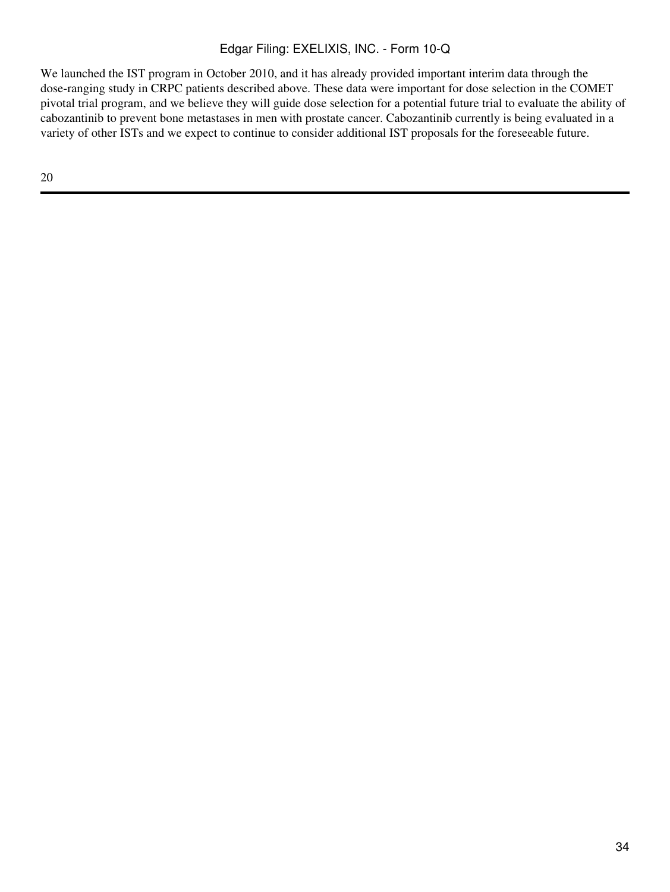We launched the IST program in October 2010, and it has already provided important interim data through the dose-ranging study in CRPC patients described above. These data were important for dose selection in the COMET pivotal trial program, and we believe they will guide dose selection for a potential future trial to evaluate the ability of cabozantinib to prevent bone metastases in men with prostate cancer. Cabozantinib currently is being evaluated in a variety of other ISTs and we expect to continue to consider additional IST proposals for the foreseeable future.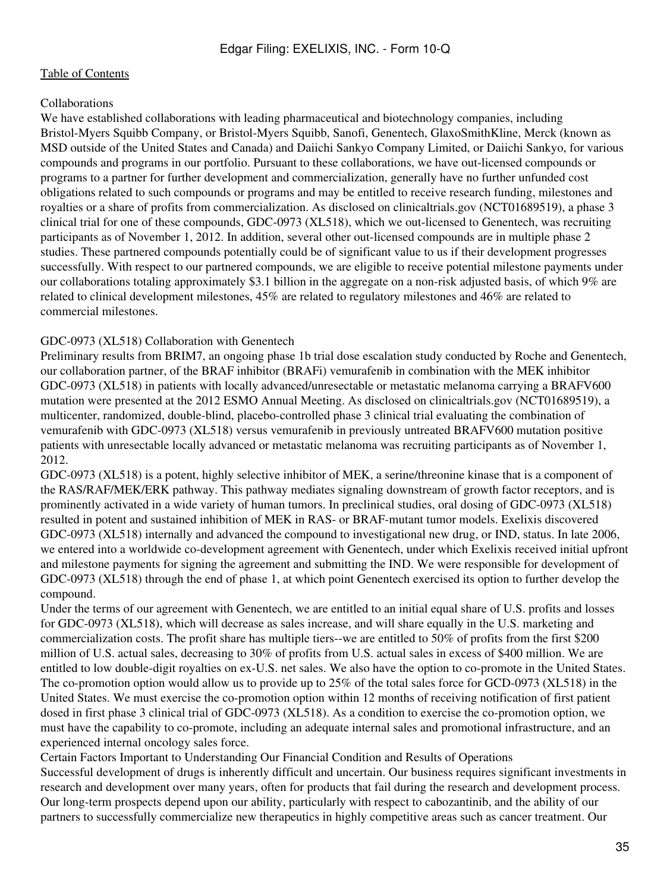### Collaborations

We have established collaborations with leading pharmaceutical and biotechnology companies, including Bristol-Myers Squibb Company, or Bristol-Myers Squibb, Sanofi, Genentech, GlaxoSmithKline, Merck (known as MSD outside of the United States and Canada) and Daiichi Sankyo Company Limited, or Daiichi Sankyo, for various compounds and programs in our portfolio. Pursuant to these collaborations, we have out-licensed compounds or programs to a partner for further development and commercialization, generally have no further unfunded cost obligations related to such compounds or programs and may be entitled to receive research funding, milestones and royalties or a share of profits from commercialization. As disclosed on clinicaltrials.gov (NCT01689519), a phase 3 clinical trial for one of these compounds, GDC-0973 (XL518), which we out-licensed to Genentech, was recruiting participants as of November 1, 2012. In addition, several other out-licensed compounds are in multiple phase 2 studies. These partnered compounds potentially could be of significant value to us if their development progresses successfully. With respect to our partnered compounds, we are eligible to receive potential milestone payments under our collaborations totaling approximately \$3.1 billion in the aggregate on a non-risk adjusted basis, of which 9% are related to clinical development milestones, 45% are related to regulatory milestones and 46% are related to commercial milestones.

### GDC-0973 (XL518) Collaboration with Genentech

Preliminary results from BRIM7, an ongoing phase 1b trial dose escalation study conducted by Roche and Genentech, our collaboration partner, of the BRAF inhibitor (BRAFi) vemurafenib in combination with the MEK inhibitor GDC-0973 (XL518) in patients with locally advanced/unresectable or metastatic melanoma carrying a BRAFV600 mutation were presented at the 2012 ESMO Annual Meeting. As disclosed on clinicaltrials.gov (NCT01689519), a multicenter, randomized, double-blind, placebo-controlled phase 3 clinical trial evaluating the combination of vemurafenib with GDC-0973 (XL518) versus vemurafenib in previously untreated BRAFV600 mutation positive patients with unresectable locally advanced or metastatic melanoma was recruiting participants as of November 1, 2012.

GDC-0973 (XL518) is a potent, highly selective inhibitor of MEK, a serine/threonine kinase that is a component of the RAS/RAF/MEK/ERK pathway. This pathway mediates signaling downstream of growth factor receptors, and is prominently activated in a wide variety of human tumors. In preclinical studies, oral dosing of GDC-0973 (XL518) resulted in potent and sustained inhibition of MEK in RAS- or BRAF-mutant tumor models. Exelixis discovered GDC-0973 (XL518) internally and advanced the compound to investigational new drug, or IND, status. In late 2006, we entered into a worldwide co-development agreement with Genentech, under which Exelixis received initial upfront and milestone payments for signing the agreement and submitting the IND. We were responsible for development of GDC-0973 (XL518) through the end of phase 1, at which point Genentech exercised its option to further develop the compound.

Under the terms of our agreement with Genentech, we are entitled to an initial equal share of U.S. profits and losses for GDC-0973 (XL518), which will decrease as sales increase, and will share equally in the U.S. marketing and commercialization costs. The profit share has multiple tiers--we are entitled to 50% of profits from the first \$200 million of U.S. actual sales, decreasing to 30% of profits from U.S. actual sales in excess of \$400 million. We are entitled to low double-digit royalties on ex-U.S. net sales. We also have the option to co-promote in the United States. The co-promotion option would allow us to provide up to 25% of the total sales force for GCD-0973 (XL518) in the United States. We must exercise the co-promotion option within 12 months of receiving notification of first patient dosed in first phase 3 clinical trial of GDC-0973 (XL518). As a condition to exercise the co-promotion option, we must have the capability to co-promote, including an adequate internal sales and promotional infrastructure, and an experienced internal oncology sales force.

Certain Factors Important to Understanding Our Financial Condition and Results of Operations Successful development of drugs is inherently difficult and uncertain. Our business requires significant investments in research and development over many years, often for products that fail during the research and development process. Our long-term prospects depend upon our ability, particularly with respect to cabozantinib, and the ability of our partners to successfully commercialize new therapeutics in highly competitive areas such as cancer treatment. Our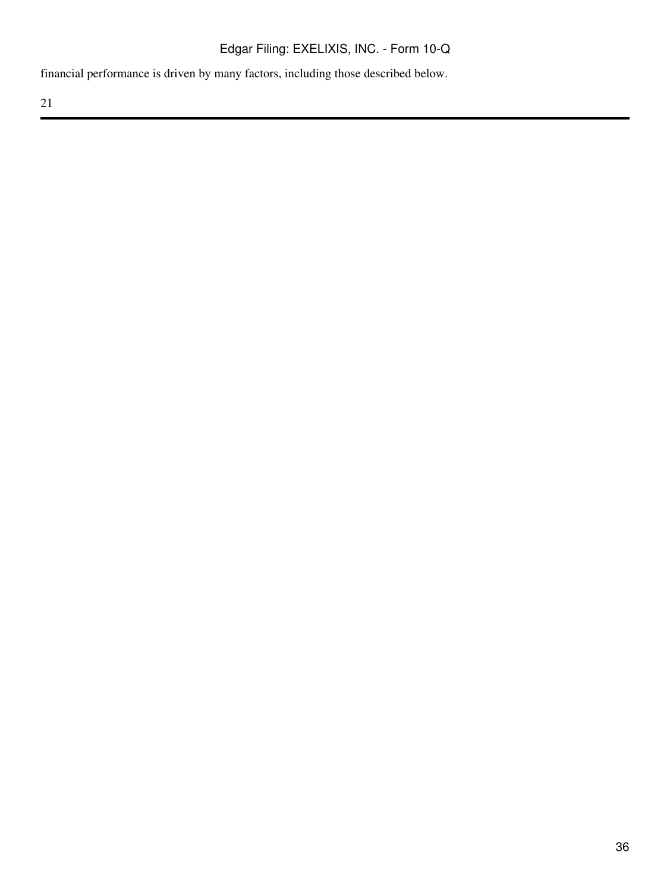financial performance is driven by many factors, including those described below.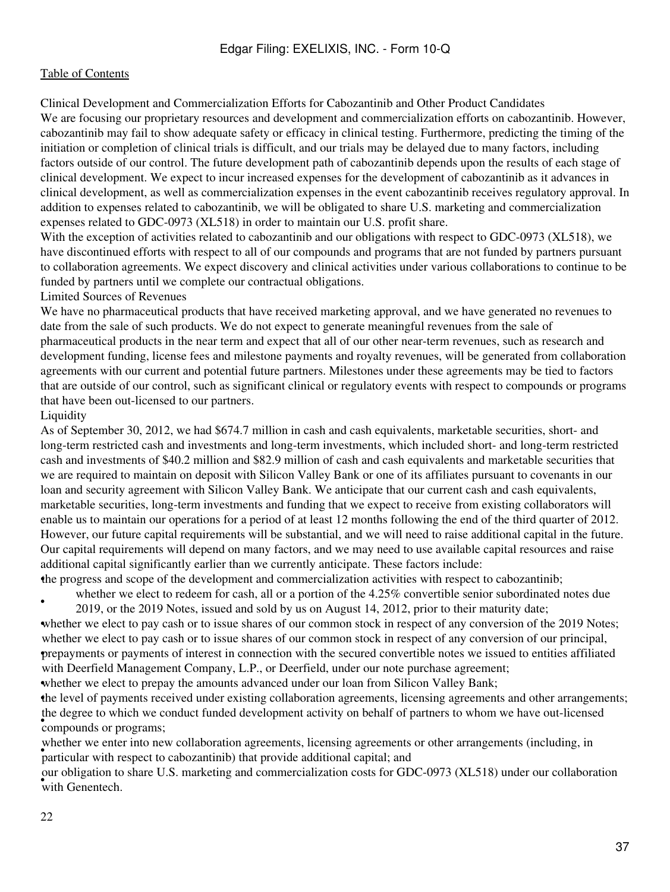Clinical Development and Commercialization Efforts for Cabozantinib and Other Product Candidates

We are focusing our proprietary resources and development and commercialization efforts on cabozantinib. However, cabozantinib may fail to show adequate safety or efficacy in clinical testing. Furthermore, predicting the timing of the initiation or completion of clinical trials is difficult, and our trials may be delayed due to many factors, including factors outside of our control. The future development path of cabozantinib depends upon the results of each stage of clinical development. We expect to incur increased expenses for the development of cabozantinib as it advances in clinical development, as well as commercialization expenses in the event cabozantinib receives regulatory approval. In addition to expenses related to cabozantinib, we will be obligated to share U.S. marketing and commercialization expenses related to GDC-0973 (XL518) in order to maintain our U.S. profit share.

With the exception of activities related to cabozantinib and our obligations with respect to GDC-0973 (XL518), we have discontinued efforts with respect to all of our compounds and programs that are not funded by partners pursuant to collaboration agreements. We expect discovery and clinical activities under various collaborations to continue to be funded by partners until we complete our contractual obligations.

#### Limited Sources of Revenues

We have no pharmaceutical products that have received marketing approval, and we have generated no revenues to date from the sale of such products. We do not expect to generate meaningful revenues from the sale of pharmaceutical products in the near term and expect that all of our other near-term revenues, such as research and development funding, license fees and milestone payments and royalty revenues, will be generated from collaboration agreements with our current and potential future partners. Milestones under these agreements may be tied to factors that are outside of our control, such as significant clinical or regulatory events with respect to compounds or programs that have been out-licensed to our partners.

#### Liquidity

As of September 30, 2012, we had \$674.7 million in cash and cash equivalents, marketable securities, short- and long-term restricted cash and investments and long-term investments, which included short- and long-term restricted cash and investments of \$40.2 million and \$82.9 million of cash and cash equivalents and marketable securities that we are required to maintain on deposit with Silicon Valley Bank or one of its affiliates pursuant to covenants in our loan and security agreement with Silicon Valley Bank. We anticipate that our current cash and cash equivalents, marketable securities, long-term investments and funding that we expect to receive from existing collaborators will enable us to maintain our operations for a period of at least 12 months following the end of the third quarter of 2012. However, our future capital requirements will be substantial, and we will need to raise additional capital in the future. Our capital requirements will depend on many factors, and we may need to use available capital resources and raise additional capital significantly earlier than we currently anticipate. These factors include:

•the progress and scope of the development and commercialization activities with respect to cabozantinib;

whether we elect to redeem for cash, all or a portion of the 4.25% convertible senior subordinated notes due

• 2019, or the 2019 Notes, issued and sold by us on August 14, 2012, prior to their maturity date; whether we elect to pay cash or to issue shares of our common stock in respect of any conversion of the 2019 Notes; • prepayments or payments of interest in connection with the secured convertible notes we issued to entities affiliated whether we elect to pay cash or to issue shares of our common stock in respect of any conversion of our principal, with Deerfield Management Company, L.P., or Deerfield, under our note purchase agreement; •whether we elect to prepay the amounts advanced under our loan from Silicon Valley Bank;

•the level of payments received under existing collaboration agreements, licensing agreements and other arrangements; **COMPOUNDS** or programs; the degree to which we conduct funded development activity on behalf of partners to whom we have out-licensed

whener we enter the new condocidion agreements, needsing agreements<br>particular with respect to cabozantinib) that provide additional capital; and whether we enter into new collaboration agreements, licensing agreements or other arrangements (including, in

with Genentech. our obligation to share U.S. marketing and commercialization costs for GDC-0973 (XL518) under our collaboration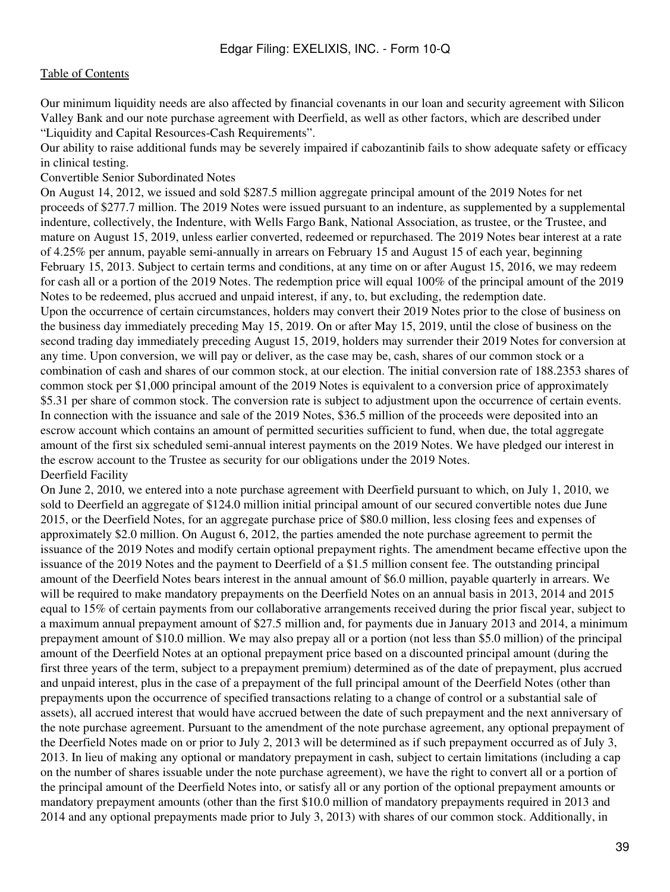Our minimum liquidity needs are also affected by financial covenants in our loan and security agreement with Silicon Valley Bank and our note purchase agreement with Deerfield, as well as other factors, which are described under "Liquidity and Capital Resources-Cash Requirements".

Our ability to raise additional funds may be severely impaired if cabozantinib fails to show adequate safety or efficacy in clinical testing.

Convertible Senior Subordinated Notes

On August 14, 2012, we issued and sold \$287.5 million aggregate principal amount of the 2019 Notes for net proceeds of \$277.7 million. The 2019 Notes were issued pursuant to an indenture, as supplemented by a supplemental indenture, collectively, the Indenture, with Wells Fargo Bank, National Association, as trustee, or the Trustee, and mature on August 15, 2019, unless earlier converted, redeemed or repurchased. The 2019 Notes bear interest at a rate of 4.25% per annum, payable semi-annually in arrears on February 15 and August 15 of each year, beginning February 15, 2013. Subject to certain terms and conditions, at any time on or after August 15, 2016, we may redeem for cash all or a portion of the 2019 Notes. The redemption price will equal 100% of the principal amount of the 2019 Notes to be redeemed, plus accrued and unpaid interest, if any, to, but excluding, the redemption date. Upon the occurrence of certain circumstances, holders may convert their 2019 Notes prior to the close of business on the business day immediately preceding May 15, 2019. On or after May 15, 2019, until the close of business on the second trading day immediately preceding August 15, 2019, holders may surrender their 2019 Notes for conversion at any time. Upon conversion, we will pay or deliver, as the case may be, cash, shares of our common stock or a combination of cash and shares of our common stock, at our election. The initial conversion rate of 188.2353 shares of common stock per \$1,000 principal amount of the 2019 Notes is equivalent to a conversion price of approximately \$5.31 per share of common stock. The conversion rate is subject to adjustment upon the occurrence of certain events. In connection with the issuance and sale of the 2019 Notes, \$36.5 million of the proceeds were deposited into an escrow account which contains an amount of permitted securities sufficient to fund, when due, the total aggregate amount of the first six scheduled semi-annual interest payments on the 2019 Notes. We have pledged our interest in the escrow account to the Trustee as security for our obligations under the 2019 Notes. Deerfield Facility

On June 2, 2010, we entered into a note purchase agreement with Deerfield pursuant to which, on July 1, 2010, we sold to Deerfield an aggregate of \$124.0 million initial principal amount of our secured convertible notes due June 2015, or the Deerfield Notes, for an aggregate purchase price of \$80.0 million, less closing fees and expenses of approximately \$2.0 million. On August 6, 2012, the parties amended the note purchase agreement to permit the issuance of the 2019 Notes and modify certain optional prepayment rights. The amendment became effective upon the issuance of the 2019 Notes and the payment to Deerfield of a \$1.5 million consent fee. The outstanding principal amount of the Deerfield Notes bears interest in the annual amount of \$6.0 million, payable quarterly in arrears. We will be required to make mandatory prepayments on the Deerfield Notes on an annual basis in 2013, 2014 and 2015 equal to 15% of certain payments from our collaborative arrangements received during the prior fiscal year, subject to a maximum annual prepayment amount of \$27.5 million and, for payments due in January 2013 and 2014, a minimum prepayment amount of \$10.0 million. We may also prepay all or a portion (not less than \$5.0 million) of the principal amount of the Deerfield Notes at an optional prepayment price based on a discounted principal amount (during the first three years of the term, subject to a prepayment premium) determined as of the date of prepayment, plus accrued and unpaid interest, plus in the case of a prepayment of the full principal amount of the Deerfield Notes (other than prepayments upon the occurrence of specified transactions relating to a change of control or a substantial sale of assets), all accrued interest that would have accrued between the date of such prepayment and the next anniversary of the note purchase agreement. Pursuant to the amendment of the note purchase agreement, any optional prepayment of the Deerfield Notes made on or prior to July 2, 2013 will be determined as if such prepayment occurred as of July 3, 2013. In lieu of making any optional or mandatory prepayment in cash, subject to certain limitations (including a cap on the number of shares issuable under the note purchase agreement), we have the right to convert all or a portion of the principal amount of the Deerfield Notes into, or satisfy all or any portion of the optional prepayment amounts or mandatory prepayment amounts (other than the first \$10.0 million of mandatory prepayments required in 2013 and 2014 and any optional prepayments made prior to July 3, 2013) with shares of our common stock. Additionally, in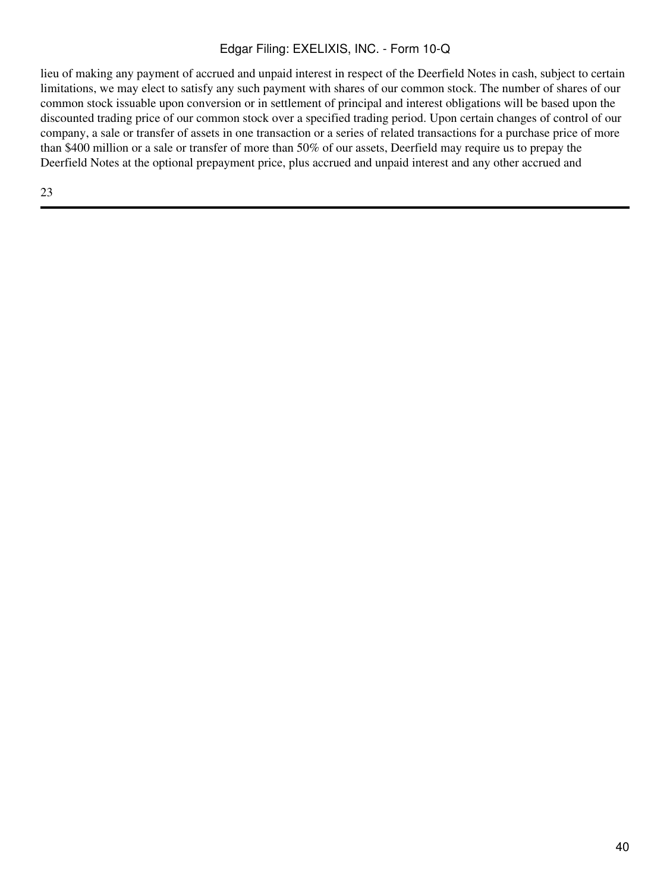lieu of making any payment of accrued and unpaid interest in respect of the Deerfield Notes in cash, subject to certain limitations, we may elect to satisfy any such payment with shares of our common stock. The number of shares of our common stock issuable upon conversion or in settlement of principal and interest obligations will be based upon the discounted trading price of our common stock over a specified trading period. Upon certain changes of control of our company, a sale or transfer of assets in one transaction or a series of related transactions for a purchase price of more than \$400 million or a sale or transfer of more than 50% of our assets, Deerfield may require us to prepay the Deerfield Notes at the optional prepayment price, plus accrued and unpaid interest and any other accrued and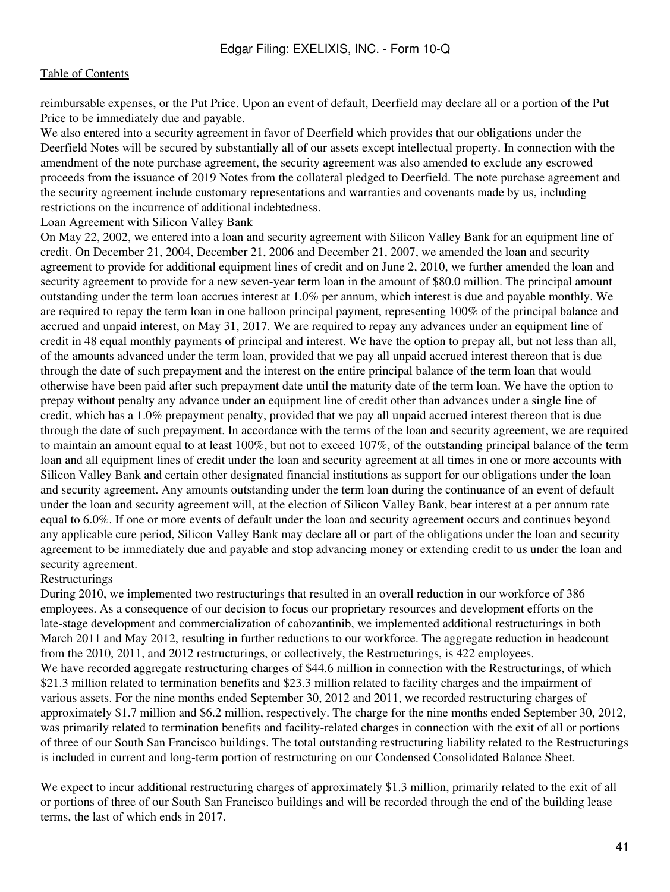reimbursable expenses, or the Put Price. Upon an event of default, Deerfield may declare all or a portion of the Put Price to be immediately due and payable.

We also entered into a security agreement in favor of Deerfield which provides that our obligations under the Deerfield Notes will be secured by substantially all of our assets except intellectual property. In connection with the amendment of the note purchase agreement, the security agreement was also amended to exclude any escrowed proceeds from the issuance of 2019 Notes from the collateral pledged to Deerfield. The note purchase agreement and the security agreement include customary representations and warranties and covenants made by us, including restrictions on the incurrence of additional indebtedness.

Loan Agreement with Silicon Valley Bank

On May 22, 2002, we entered into a loan and security agreement with Silicon Valley Bank for an equipment line of credit. On December 21, 2004, December 21, 2006 and December 21, 2007, we amended the loan and security agreement to provide for additional equipment lines of credit and on June 2, 2010, we further amended the loan and security agreement to provide for a new seven-year term loan in the amount of \$80.0 million. The principal amount outstanding under the term loan accrues interest at 1.0% per annum, which interest is due and payable monthly. We are required to repay the term loan in one balloon principal payment, representing 100% of the principal balance and accrued and unpaid interest, on May 31, 2017. We are required to repay any advances under an equipment line of credit in 48 equal monthly payments of principal and interest. We have the option to prepay all, but not less than all, of the amounts advanced under the term loan, provided that we pay all unpaid accrued interest thereon that is due through the date of such prepayment and the interest on the entire principal balance of the term loan that would otherwise have been paid after such prepayment date until the maturity date of the term loan. We have the option to prepay without penalty any advance under an equipment line of credit other than advances under a single line of credit, which has a 1.0% prepayment penalty, provided that we pay all unpaid accrued interest thereon that is due through the date of such prepayment. In accordance with the terms of the loan and security agreement, we are required to maintain an amount equal to at least 100%, but not to exceed 107%, of the outstanding principal balance of the term loan and all equipment lines of credit under the loan and security agreement at all times in one or more accounts with Silicon Valley Bank and certain other designated financial institutions as support for our obligations under the loan and security agreement. Any amounts outstanding under the term loan during the continuance of an event of default under the loan and security agreement will, at the election of Silicon Valley Bank, bear interest at a per annum rate equal to 6.0%. If one or more events of default under the loan and security agreement occurs and continues beyond any applicable cure period, Silicon Valley Bank may declare all or part of the obligations under the loan and security agreement to be immediately due and payable and stop advancing money or extending credit to us under the loan and security agreement.

#### Restructurings

During 2010, we implemented two restructurings that resulted in an overall reduction in our workforce of 386 employees. As a consequence of our decision to focus our proprietary resources and development efforts on the late-stage development and commercialization of cabozantinib, we implemented additional restructurings in both March 2011 and May 2012, resulting in further reductions to our workforce. The aggregate reduction in headcount from the 2010, 2011, and 2012 restructurings, or collectively, the Restructurings, is 422 employees. We have recorded aggregate restructuring charges of \$44.6 million in connection with the Restructurings, of which \$21.3 million related to termination benefits and \$23.3 million related to facility charges and the impairment of various assets. For the nine months ended September 30, 2012 and 2011, we recorded restructuring charges of approximately \$1.7 million and \$6.2 million, respectively. The charge for the nine months ended September 30, 2012, was primarily related to termination benefits and facility-related charges in connection with the exit of all or portions of three of our South San Francisco buildings. The total outstanding restructuring liability related to the Restructurings is included in current and long-term portion of restructuring on our Condensed Consolidated Balance Sheet.

We expect to incur additional restructuring charges of approximately \$1.3 million, primarily related to the exit of all or portions of three of our South San Francisco buildings and will be recorded through the end of the building lease terms, the last of which ends in 2017.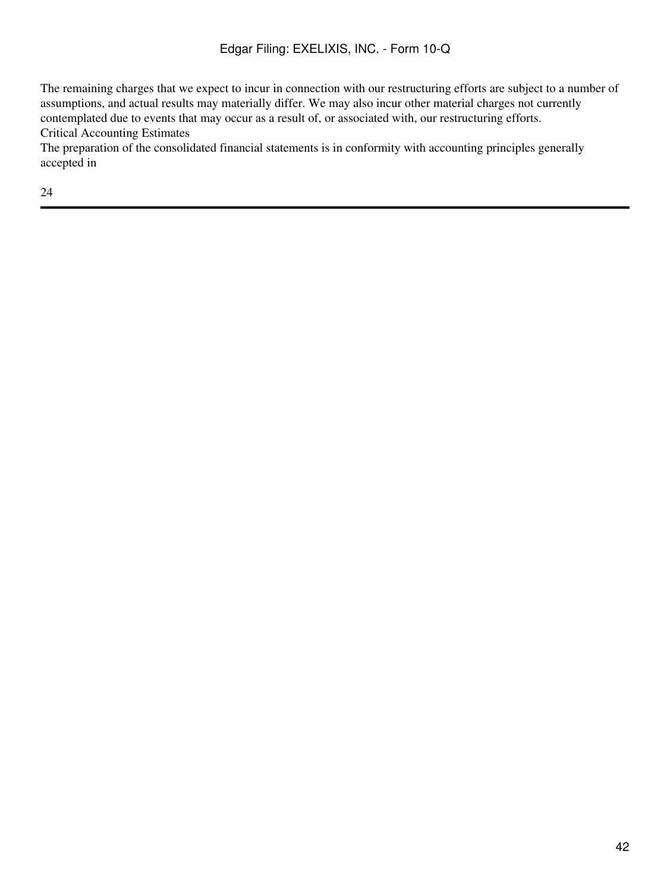The remaining charges that we expect to incur in connection with our restructuring efforts are subject to a number of assumptions, and actual results may materially differ. We may also incur other material charges not currently contemplated due to events that may occur as a result of, or associated with, our restructuring efforts. Critical Accounting Estimates

The preparation of the consolidated financial statements is in conformity with accounting principles generally accepted in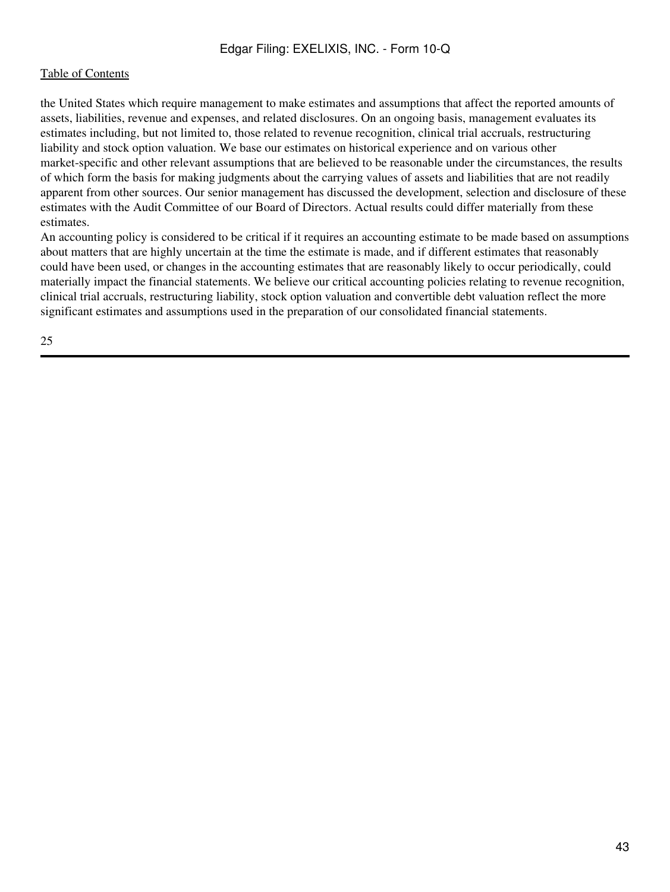the United States which require management to make estimates and assumptions that affect the reported amounts of assets, liabilities, revenue and expenses, and related disclosures. On an ongoing basis, management evaluates its estimates including, but not limited to, those related to revenue recognition, clinical trial accruals, restructuring liability and stock option valuation. We base our estimates on historical experience and on various other market-specific and other relevant assumptions that are believed to be reasonable under the circumstances, the results of which form the basis for making judgments about the carrying values of assets and liabilities that are not readily apparent from other sources. Our senior management has discussed the development, selection and disclosure of these estimates with the Audit Committee of our Board of Directors. Actual results could differ materially from these estimates.

An accounting policy is considered to be critical if it requires an accounting estimate to be made based on assumptions about matters that are highly uncertain at the time the estimate is made, and if different estimates that reasonably could have been used, or changes in the accounting estimates that are reasonably likely to occur periodically, could materially impact the financial statements. We believe our critical accounting policies relating to revenue recognition, clinical trial accruals, restructuring liability, stock option valuation and convertible debt valuation reflect the more significant estimates and assumptions used in the preparation of our consolidated financial statements.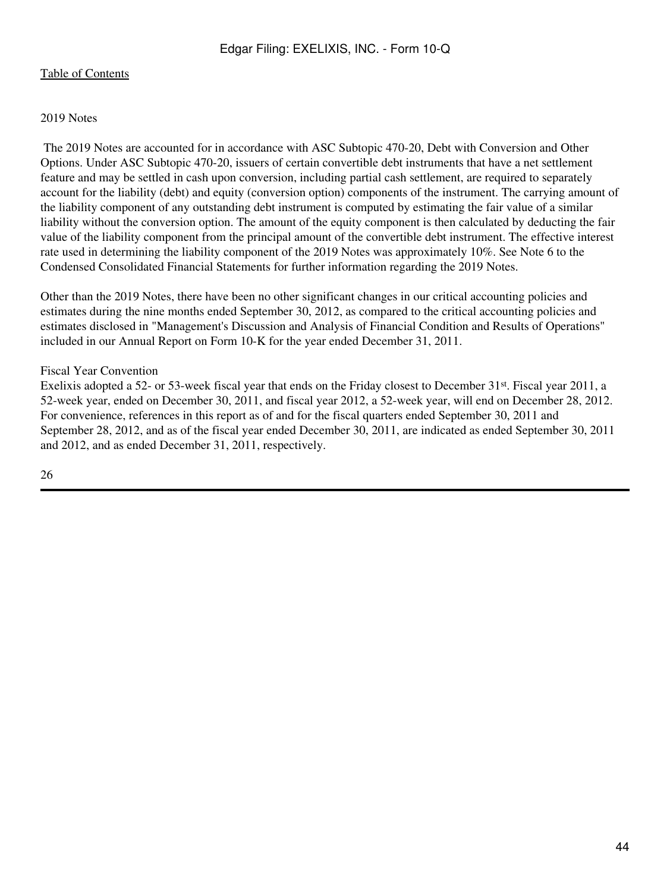#### 2019 Notes

 The 2019 Notes are accounted for in accordance with ASC Subtopic 470-20, Debt with Conversion and Other Options. Under ASC Subtopic 470-20, issuers of certain convertible debt instruments that have a net settlement feature and may be settled in cash upon conversion, including partial cash settlement, are required to separately account for the liability (debt) and equity (conversion option) components of the instrument. The carrying amount of the liability component of any outstanding debt instrument is computed by estimating the fair value of a similar liability without the conversion option. The amount of the equity component is then calculated by deducting the fair value of the liability component from the principal amount of the convertible debt instrument. The effective interest rate used in determining the liability component of the 2019 Notes was approximately 10%. See Note 6 to the Condensed Consolidated Financial Statements for further information regarding the 2019 Notes.

Other than the 2019 Notes, there have been no other significant changes in our critical accounting policies and estimates during the nine months ended September 30, 2012, as compared to the critical accounting policies and estimates disclosed in "Management's Discussion and Analysis of Financial Condition and Results of Operations" included in our Annual Report on Form 10-K for the year ended December 31, 2011.

### Fiscal Year Convention

Exelixis adopted a 52- or 53-week fiscal year that ends on the Friday closest to December 31st. Fiscal year 2011, a 52-week year, ended on December 30, 2011, and fiscal year 2012, a 52-week year, will end on December 28, 2012. For convenience, references in this report as of and for the fiscal quarters ended September 30, 2011 and September 28, 2012, and as of the fiscal year ended December 30, 2011, are indicated as ended September 30, 2011 and 2012, and as ended December 31, 2011, respectively.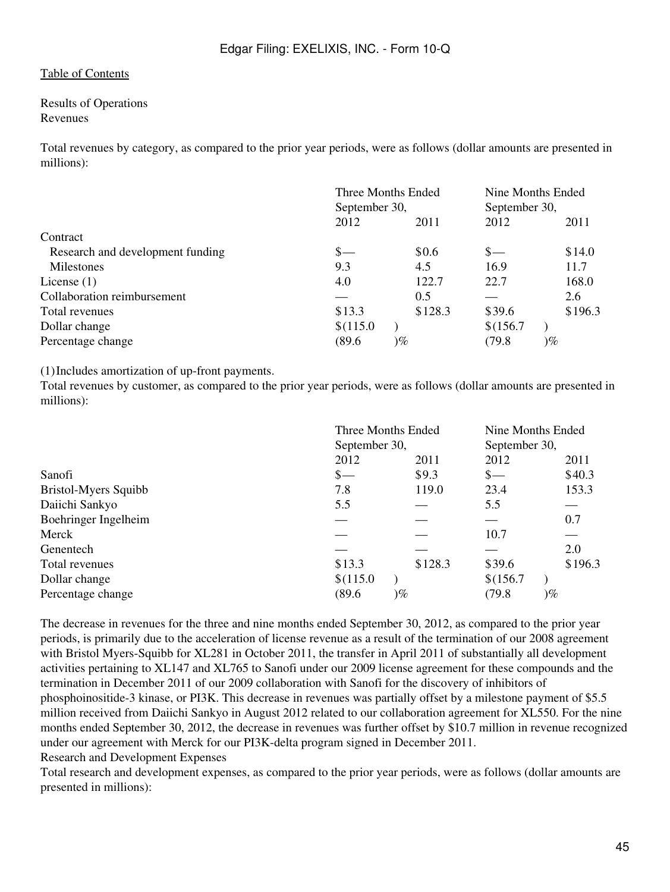Results of Operations Revenues

Total revenues by category, as compared to the prior year periods, were as follows (dollar amounts are presented in millions):

|                                  | Three Months Ended<br>September 30, |         | Nine Months Ended<br>September 30, |         |
|----------------------------------|-------------------------------------|---------|------------------------------------|---------|
|                                  | 2012                                | 2011    | 2012                               | 2011    |
| Contract                         |                                     |         |                                    |         |
| Research and development funding | \$—                                 | \$0.6   | $S-$                               | \$14.0  |
| Milestones                       | 9.3                                 | 4.5     | 16.9                               | 11.7    |
| License $(1)$                    | 4.0                                 | 122.7   | 22.7                               | 168.0   |
| Collaboration reimbursement      |                                     | 0.5     |                                    | 2.6     |
| Total revenues                   | \$13.3                              | \$128.3 | \$39.6                             | \$196.3 |
| Dollar change                    | \$(115.0)                           |         | \$(156.7)                          |         |
| Percentage change                | (89.6)<br>$)\%$                     |         | (79.8)<br>$)\%$                    |         |

(1)Includes amortization of up-front payments.

Total revenues by customer, as compared to the prior year periods, were as follows (dollar amounts are presented in millions):

|                               | Three Months Ended |         | Nine Months Ended<br>September 30, |         |  |
|-------------------------------|--------------------|---------|------------------------------------|---------|--|
| September 30,<br>2012<br>2011 |                    |         | 2012                               | 2011    |  |
| Sanofi                        | $\frac{1}{2}$      | \$9.3   | $s-$                               | \$40.3  |  |
| Bristol-Myers Squibb          | 7.8                | 119.0   | 23.4                               | 153.3   |  |
| Daiichi Sankyo                | 5.5                |         | 5.5                                |         |  |
| Boehringer Ingelheim          |                    |         |                                    | 0.7     |  |
| Merck                         |                    |         | 10.7                               |         |  |
| Genentech                     |                    |         |                                    | 2.0     |  |
| Total revenues                | \$13.3             | \$128.3 | \$39.6                             | \$196.3 |  |
| Dollar change                 | \$(115.0)          |         | \$(156.7)                          |         |  |
| Percentage change             | (89.6)<br>$)\%$    |         | (79.8)<br>$)\%$                    |         |  |

The decrease in revenues for the three and nine months ended September 30, 2012, as compared to the prior year periods, is primarily due to the acceleration of license revenue as a result of the termination of our 2008 agreement with Bristol Myers-Squibb for XL281 in October 2011, the transfer in April 2011 of substantially all development activities pertaining to XL147 and XL765 to Sanofi under our 2009 license agreement for these compounds and the termination in December 2011 of our 2009 collaboration with Sanofi for the discovery of inhibitors of phosphoinositide-3 kinase, or PI3K. This decrease in revenues was partially offset by a milestone payment of \$5.5 million received from Daiichi Sankyo in August 2012 related to our collaboration agreement for XL550. For the nine months ended September 30, 2012, the decrease in revenues was further offset by \$10.7 million in revenue recognized under our agreement with Merck for our PI3K-delta program signed in December 2011. Research and Development Expenses

Total research and development expenses, as compared to the prior year periods, were as follows (dollar amounts are presented in millions):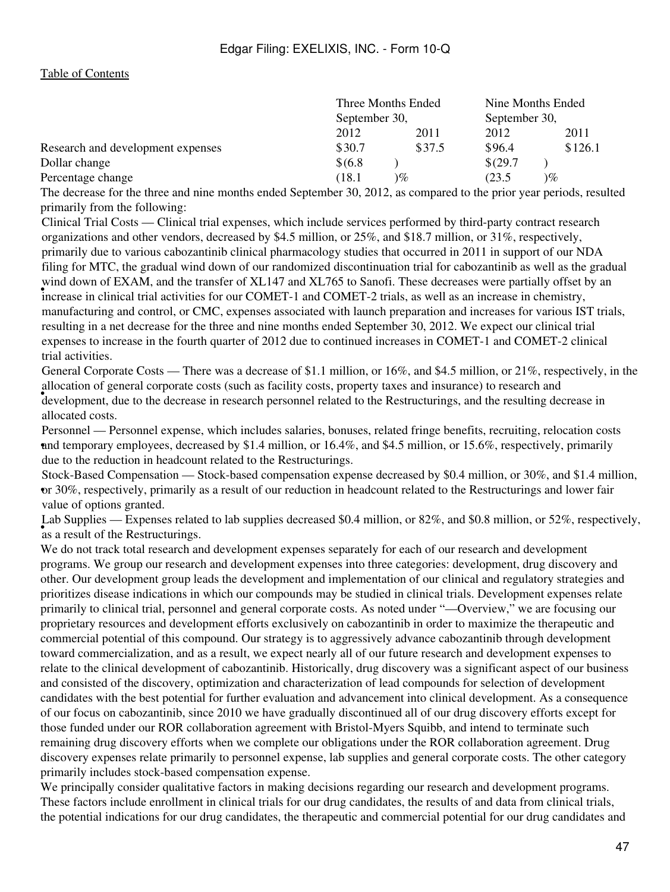|                                   |          | Three Months Ended<br>September 30, |              | Nine Months Ended |
|-----------------------------------|----------|-------------------------------------|--------------|-------------------|
|                                   |          |                                     |              | September 30,     |
|                                   | 2012     | 2011                                | 2012         | 2011              |
| Research and development expenses | \$30.7   | \$37.5                              | \$96.4       | \$126.1           |
| Dollar change                     | \$ (6.8) |                                     | $$^{(29.7)}$ |                   |
| Percentage change                 | (18.1    | $\%$                                | (23.5        | $\%$              |
|                                   |          |                                     |              |                   |

The decrease for the three and nine months ended September 30, 2012, as compared to the prior year periods, resulted primarily from the following:

which down of EXPRIT, and the transfer of XET+7 and XE763 to Sanoff. These decreases were partially offset increase in chemistry, Clinical Trial Costs — Clinical trial expenses, which include services performed by third-party contract research organizations and other vendors, decreased by \$4.5 million, or 25%, and \$18.7 million, or 31%, respectively, primarily due to various cabozantinib clinical pharmacology studies that occurred in 2011 in support of our NDA filing for MTC, the gradual wind down of our randomized discontinuation trial for cabozantinib as well as the gradual wind down of EXAM, and the transfer of XL147 and XL765 to Sanofi. These decreases were partially offset by an manufacturing and control, or CMC, expenses associated with launch preparation and increases for various IST trials, resulting in a net decrease for the three and nine months ended September 30, 2012. We expect our clinical trial expenses to increase in the fourth quarter of 2012 due to continued increases in COMET-1 and COMET-2 clinical trial activities.

development, due to the decrease in research personnel related to the Restructurings, and the resulting decrease in General Corporate Costs — There was a decrease of \$1.1 million, or 16%, and \$4.5 million, or 21%, respectively, in the allocation of general corporate costs (such as facility costs, property taxes and insurance) to research and allocated costs.

• and temporary employees, decreased by \$1.4 million, or 16.4%, and \$4.5 million, or 15.6%, respectively, primarily Personnel — Personnel expense, which includes salaries, bonuses, related fringe benefits, recruiting, relocation costs due to the reduction in headcount related to the Restructurings.

• or 30%, respectively, primarily as a result of our reduction in headcount related to the Restructurings and lower fair Stock-Based Compensation — Stock-based compensation expense decreased by \$0.4 million, or 30%, and \$1.4 million, value of options granted.

• Expenses related as a result of the Restructurings. Lab Supplies — Expenses related to lab supplies decreased \$0.4 million, or 82%, and \$0.8 million, or 52%, respectively,

We do not track total research and development expenses separately for each of our research and development programs. We group our research and development expenses into three categories: development, drug discovery and other. Our development group leads the development and implementation of our clinical and regulatory strategies and prioritizes disease indications in which our compounds may be studied in clinical trials. Development expenses relate primarily to clinical trial, personnel and general corporate costs. As noted under "—Overview," we are focusing our proprietary resources and development efforts exclusively on cabozantinib in order to maximize the therapeutic and commercial potential of this compound. Our strategy is to aggressively advance cabozantinib through development toward commercialization, and as a result, we expect nearly all of our future research and development expenses to relate to the clinical development of cabozantinib. Historically, drug discovery was a significant aspect of our business and consisted of the discovery, optimization and characterization of lead compounds for selection of development candidates with the best potential for further evaluation and advancement into clinical development. As a consequence of our focus on cabozantinib, since 2010 we have gradually discontinued all of our drug discovery efforts except for those funded under our ROR collaboration agreement with Bristol-Myers Squibb, and intend to terminate such remaining drug discovery efforts when we complete our obligations under the ROR collaboration agreement. Drug discovery expenses relate primarily to personnel expense, lab supplies and general corporate costs. The other category primarily includes stock-based compensation expense.

We principally consider qualitative factors in making decisions regarding our research and development programs. These factors include enrollment in clinical trials for our drug candidates, the results of and data from clinical trials, the potential indications for our drug candidates, the therapeutic and commercial potential for our drug candidates and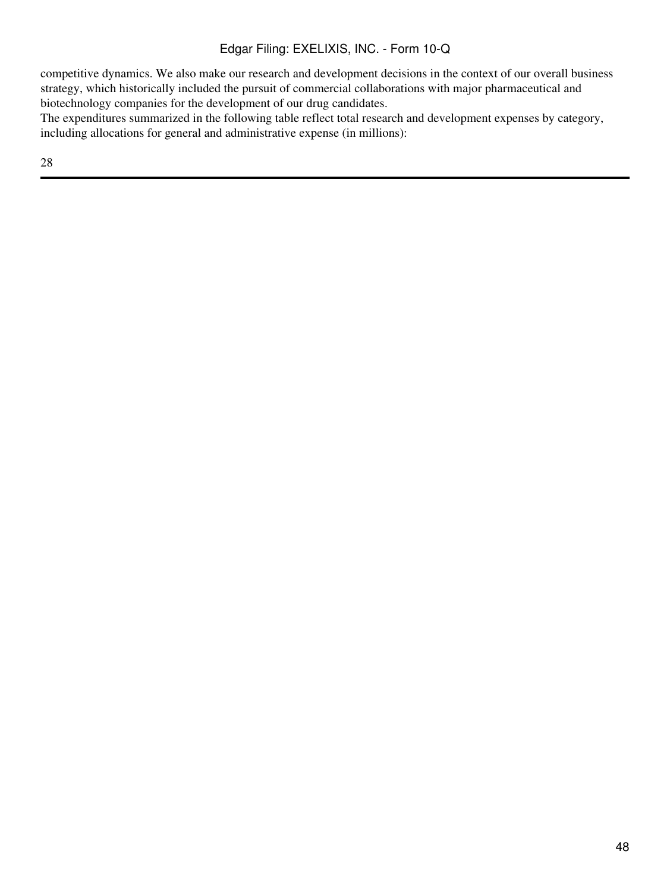competitive dynamics. We also make our research and development decisions in the context of our overall business strategy, which historically included the pursuit of commercial collaborations with major pharmaceutical and biotechnology companies for the development of our drug candidates.

The expenditures summarized in the following table reflect total research and development expenses by category, including allocations for general and administrative expense (in millions):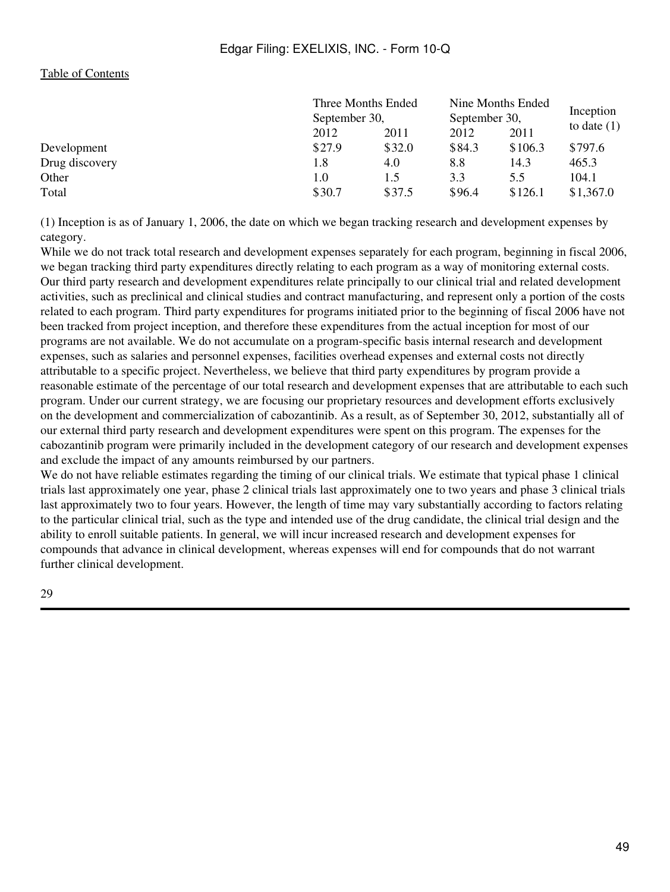|                | Three Months Ended<br>September 30, |        | Nine Months Ended |         | Inception     |  |
|----------------|-------------------------------------|--------|-------------------|---------|---------------|--|
|                |                                     |        | September 30,     |         |               |  |
|                | 2012                                | 2011   | 2012              | 2011    | to date $(1)$ |  |
| Development    | \$27.9                              | \$32.0 | \$84.3            | \$106.3 | \$797.6       |  |
| Drug discovery | 1.8                                 | 4.0    | 8.8               | 14.3    | 465.3         |  |
| Other          | 1.0                                 | 1.5    | 3.3               | 5.5     | 104.1         |  |
| Total          | \$30.7                              | \$37.5 | \$96.4            | \$126.1 | \$1,367.0     |  |

(1) Inception is as of January 1, 2006, the date on which we began tracking research and development expenses by category.

While we do not track total research and development expenses separately for each program, beginning in fiscal 2006, we began tracking third party expenditures directly relating to each program as a way of monitoring external costs. Our third party research and development expenditures relate principally to our clinical trial and related development activities, such as preclinical and clinical studies and contract manufacturing, and represent only a portion of the costs related to each program. Third party expenditures for programs initiated prior to the beginning of fiscal 2006 have not been tracked from project inception, and therefore these expenditures from the actual inception for most of our programs are not available. We do not accumulate on a program-specific basis internal research and development expenses, such as salaries and personnel expenses, facilities overhead expenses and external costs not directly attributable to a specific project. Nevertheless, we believe that third party expenditures by program provide a reasonable estimate of the percentage of our total research and development expenses that are attributable to each such program. Under our current strategy, we are focusing our proprietary resources and development efforts exclusively on the development and commercialization of cabozantinib. As a result, as of September 30, 2012, substantially all of our external third party research and development expenditures were spent on this program. The expenses for the cabozantinib program were primarily included in the development category of our research and development expenses and exclude the impact of any amounts reimbursed by our partners.

We do not have reliable estimates regarding the timing of our clinical trials. We estimate that typical phase 1 clinical trials last approximately one year, phase 2 clinical trials last approximately one to two years and phase 3 clinical trials last approximately two to four years. However, the length of time may vary substantially according to factors relating to the particular clinical trial, such as the type and intended use of the drug candidate, the clinical trial design and the ability to enroll suitable patients. In general, we will incur increased research and development expenses for compounds that advance in clinical development, whereas expenses will end for compounds that do not warrant further clinical development.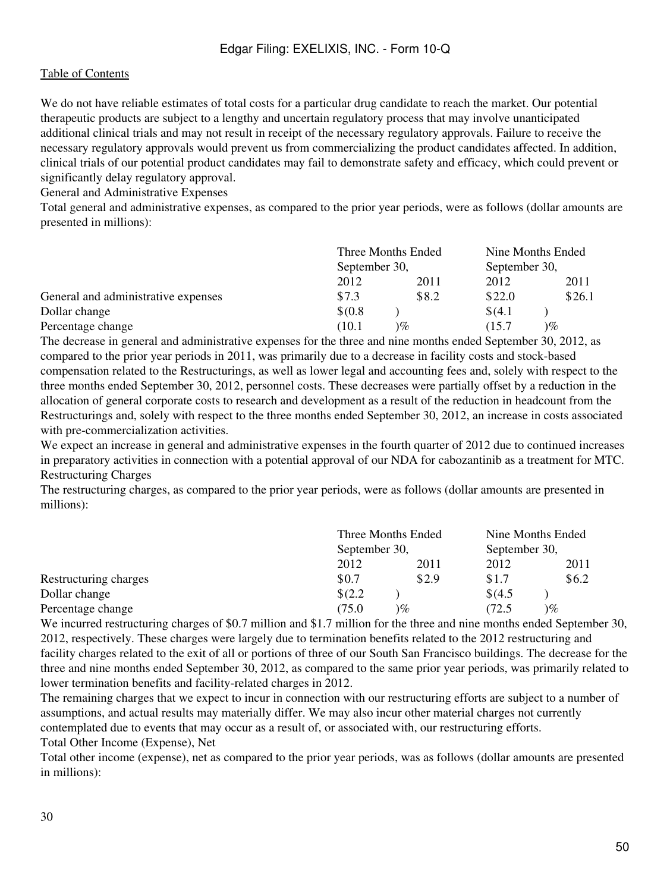We do not have reliable estimates of total costs for a particular drug candidate to reach the market. Our potential therapeutic products are subject to a lengthy and uncertain regulatory process that may involve unanticipated additional clinical trials and may not result in receipt of the necessary regulatory approvals. Failure to receive the necessary regulatory approvals would prevent us from commercializing the product candidates affected. In addition, clinical trials of our potential product candidates may fail to demonstrate safety and efficacy, which could prevent or significantly delay regulatory approval.

General and Administrative Expenses

Total general and administrative expenses, as compared to the prior year periods, were as follows (dollar amounts are presented in millions):

|                                     | Three Months Ended<br>September 30, |       | Nine Months Ended<br>September 30, |        |  |
|-------------------------------------|-------------------------------------|-------|------------------------------------|--------|--|
|                                     |                                     |       |                                    |        |  |
|                                     | 2012                                | 2011  | 2012                               | 2011   |  |
| General and administrative expenses | \$7.3                               | \$8.2 | \$22.0                             | \$26.1 |  |
| Dollar change                       | \$(0.8)                             |       | \$(4.1)                            |        |  |
| Percentage change                   | (10.1                               | $\%$  | (15.7)                             | $\%$   |  |

The decrease in general and administrative expenses for the three and nine months ended September 30, 2012, as compared to the prior year periods in 2011, was primarily due to a decrease in facility costs and stock-based compensation related to the Restructurings, as well as lower legal and accounting fees and, solely with respect to the three months ended September 30, 2012, personnel costs. These decreases were partially offset by a reduction in the allocation of general corporate costs to research and development as a result of the reduction in headcount from the Restructurings and, solely with respect to the three months ended September 30, 2012, an increase in costs associated with pre-commercialization activities.

We expect an increase in general and administrative expenses in the fourth quarter of 2012 due to continued increases in preparatory activities in connection with a potential approval of our NDA for cabozantinib as a treatment for MTC. Restructuring Charges

The restructuring charges, as compared to the prior year periods, were as follows (dollar amounts are presented in millions):

|                                    |                   | Three Months Ended<br>September 30, |           | Nine Months Ended        |  |  |
|------------------------------------|-------------------|-------------------------------------|-----------|--------------------------|--|--|
|                                    |                   |                                     |           | September 30,            |  |  |
|                                    | 2012              | 2011                                | 2012      | 2011                     |  |  |
| Restructuring charges              | \$0.7             | \$2.9                               | \$1.7     | \$6.2                    |  |  |
| Dollar change                      | \$(2.2)           |                                     | \$(4.5)   |                          |  |  |
| Percentage change                  | (75.0)            | $\%$                                | (72.5     | $\%$                     |  |  |
| $c \wedge c$ $\pi$<br>$\mathbf{v}$ | $\cdots$<br>1.017 | - 21 - 21                           | $\cdot$ 1 | $1 \cdot 1 \cdot \alpha$ |  |  |

We incurred restructuring charges of \$0.7 million and \$1.7 million for the three and nine months ended September 30, 2012, respectively. These charges were largely due to termination benefits related to the 2012 restructuring and facility charges related to the exit of all or portions of three of our South San Francisco buildings. The decrease for the three and nine months ended September 30, 2012, as compared to the same prior year periods, was primarily related to lower termination benefits and facility-related charges in 2012.

The remaining charges that we expect to incur in connection with our restructuring efforts are subject to a number of assumptions, and actual results may materially differ. We may also incur other material charges not currently contemplated due to events that may occur as a result of, or associated with, our restructuring efforts. Total Other Income (Expense), Net

Total other income (expense), net as compared to the prior year periods, was as follows (dollar amounts are presented in millions):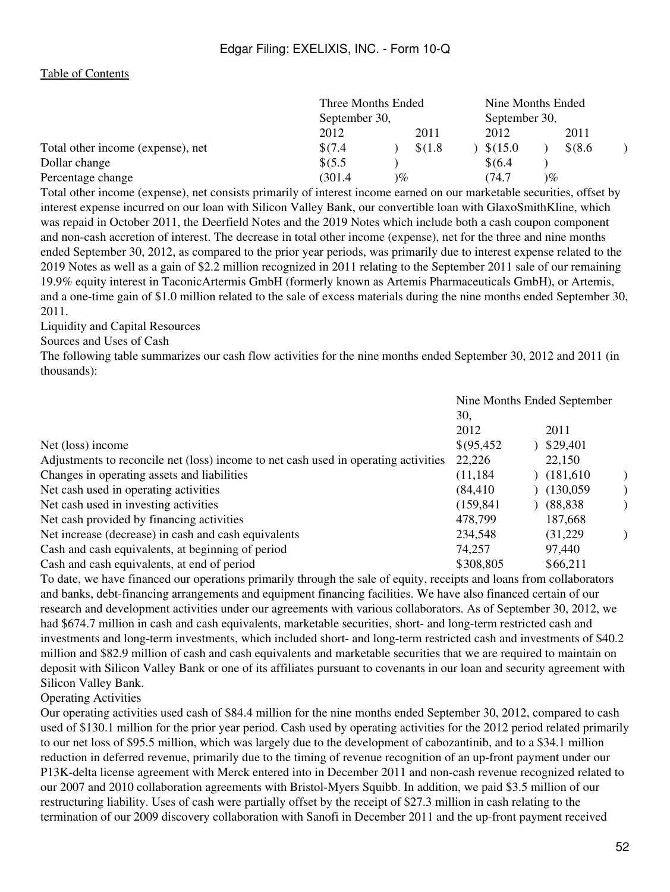|                                   | Three Months Ended<br>September 30, |       |               | Nine Months Ended |          |      |           |  |
|-----------------------------------|-------------------------------------|-------|---------------|-------------------|----------|------|-----------|--|
|                                   |                                     |       | September 30, |                   |          |      |           |  |
|                                   | 2012                                |       | 2011          |                   | 2012     |      | 2011      |  |
| Total other income (expense), net | \$(7.4)                             |       | \$(1.8)       |                   | \$(15.0) |      | $$$ (8.6) |  |
| Dollar change                     | \$ (5.5)                            |       |               |                   | \$(6.4)  |      |           |  |
| Percentage change                 | (301.4                              | $)\%$ |               |                   | (74.7    | $\%$ |           |  |

Total other income (expense), net consists primarily of interest income earned on our marketable securities, offset by interest expense incurred on our loan with Silicon Valley Bank, our convertible loan with GlaxoSmithKline, which was repaid in October 2011, the Deerfield Notes and the 2019 Notes which include both a cash coupon component and non-cash accretion of interest. The decrease in total other income (expense), net for the three and nine months ended September 30, 2012, as compared to the prior year periods, was primarily due to interest expense related to the 2019 Notes as well as a gain of \$2.2 million recognized in 2011 relating to the September 2011 sale of our remaining 19.9% equity interest in TaconicArtermis GmbH (formerly known as Artemis Pharmaceuticals GmbH), or Artemis, and a one-time gain of \$1.0 million related to the sale of excess materials during the nine months ended September 30, 2011.

Liquidity and Capital Resources

Sources and Uses of Cash

The following table summarizes our cash flow activities for the nine months ended September 30, 2012 and 2011 (in thousands):

|                                                                                     | Nine Months Ended September |           |  |  |
|-------------------------------------------------------------------------------------|-----------------------------|-----------|--|--|
|                                                                                     | 30,                         |           |  |  |
|                                                                                     | 2012                        | 2011      |  |  |
| Net (loss) income                                                                   | \$(95, 452)                 | \$29,401  |  |  |
| Adjustments to reconcile net (loss) income to net cash used in operating activities | 22,226                      | 22,150    |  |  |
| Changes in operating assets and liabilities                                         | (11, 184)                   | (181,610) |  |  |
| Net cash used in operating activities                                               | (84, 410)                   | (130,059) |  |  |
| Net cash used in investing activities                                               | (159, 841)                  | (88, 838) |  |  |
| Net cash provided by financing activities                                           | 478,799                     | 187,668   |  |  |
| Net increase (decrease) in cash and cash equivalents                                | 234,548                     | (31,229)  |  |  |
| Cash and cash equivalents, at beginning of period                                   | 74,257                      | 97,440    |  |  |
| Cash and cash equivalents, at end of period                                         | \$308,805                   | \$66,211  |  |  |

To date, we have financed our operations primarily through the sale of equity, receipts and loans from collaborators and banks, debt-financing arrangements and equipment financing facilities. We have also financed certain of our research and development activities under our agreements with various collaborators. As of September 30, 2012, we had \$674.7 million in cash and cash equivalents, marketable securities, short- and long-term restricted cash and investments and long-term investments, which included short- and long-term restricted cash and investments of \$40.2 million and \$82.9 million of cash and cash equivalents and marketable securities that we are required to maintain on deposit with Silicon Valley Bank or one of its affiliates pursuant to covenants in our loan and security agreement with Silicon Valley Bank.

Operating Activities

Our operating activities used cash of \$84.4 million for the nine months ended September 30, 2012, compared to cash used of \$130.1 million for the prior year period. Cash used by operating activities for the 2012 period related primarily to our net loss of \$95.5 million, which was largely due to the development of cabozantinib, and to a \$34.1 million reduction in deferred revenue, primarily due to the timing of revenue recognition of an up-front payment under our P13K-delta license agreement with Merck entered into in December 2011 and non-cash revenue recognized related to our 2007 and 2010 collaboration agreements with Bristol-Myers Squibb. In addition, we paid \$3.5 million of our restructuring liability. Uses of cash were partially offset by the receipt of \$27.3 million in cash relating to the termination of our 2009 discovery collaboration with Sanofi in December 2011 and the up-front payment received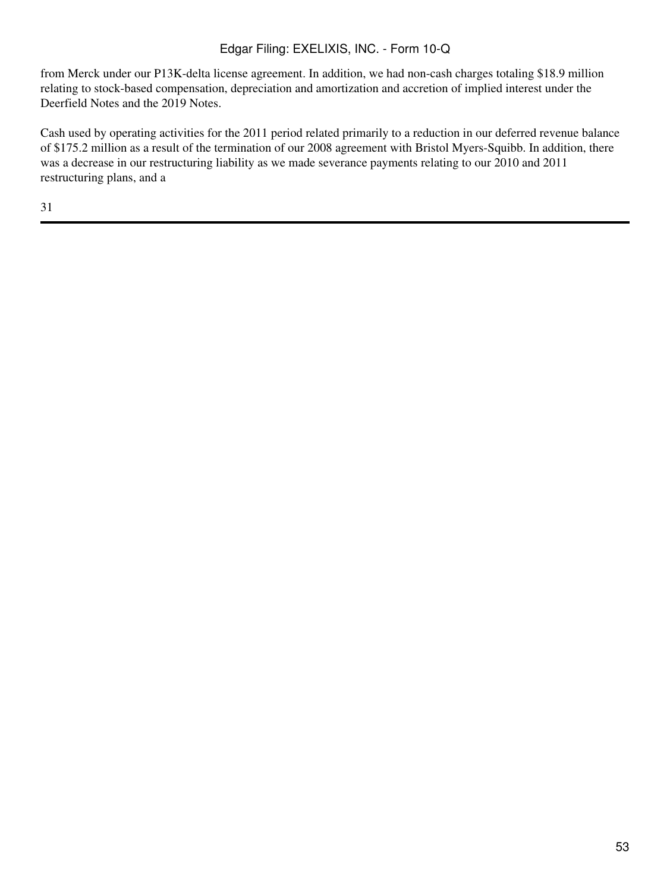from Merck under our P13K-delta license agreement. In addition, we had non-cash charges totaling \$18.9 million relating to stock-based compensation, depreciation and amortization and accretion of implied interest under the Deerfield Notes and the 2019 Notes.

Cash used by operating activities for the 2011 period related primarily to a reduction in our deferred revenue balance of \$175.2 million as a result of the termination of our 2008 agreement with Bristol Myers-Squibb. In addition, there was a decrease in our restructuring liability as we made severance payments relating to our 2010 and 2011 restructuring plans, and a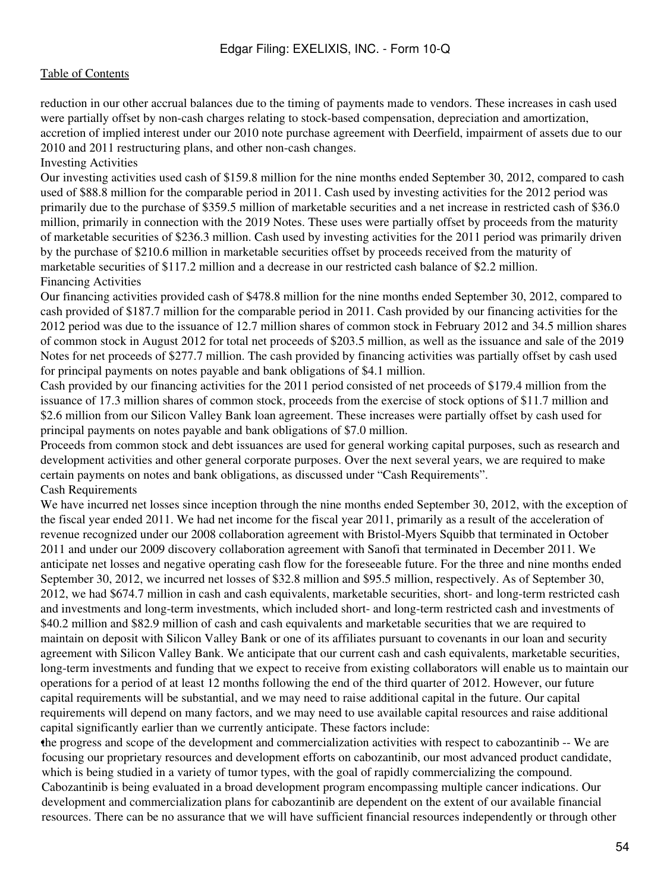reduction in our other accrual balances due to the timing of payments made to vendors. These increases in cash used were partially offset by non-cash charges relating to stock-based compensation, depreciation and amortization, accretion of implied interest under our 2010 note purchase agreement with Deerfield, impairment of assets due to our 2010 and 2011 restructuring plans, and other non-cash changes.

#### Investing Activities

Our investing activities used cash of \$159.8 million for the nine months ended September 30, 2012, compared to cash used of \$88.8 million for the comparable period in 2011. Cash used by investing activities for the 2012 period was primarily due to the purchase of \$359.5 million of marketable securities and a net increase in restricted cash of \$36.0 million, primarily in connection with the 2019 Notes. These uses were partially offset by proceeds from the maturity of marketable securities of \$236.3 million. Cash used by investing activities for the 2011 period was primarily driven by the purchase of \$210.6 million in marketable securities offset by proceeds received from the maturity of marketable securities of \$117.2 million and a decrease in our restricted cash balance of \$2.2 million. Financing Activities

Our financing activities provided cash of \$478.8 million for the nine months ended September 30, 2012, compared to cash provided of \$187.7 million for the comparable period in 2011. Cash provided by our financing activities for the 2012 period was due to the issuance of 12.7 million shares of common stock in February 2012 and 34.5 million shares of common stock in August 2012 for total net proceeds of \$203.5 million, as well as the issuance and sale of the 2019 Notes for net proceeds of \$277.7 million. The cash provided by financing activities was partially offset by cash used for principal payments on notes payable and bank obligations of \$4.1 million.

Cash provided by our financing activities for the 2011 period consisted of net proceeds of \$179.4 million from the issuance of 17.3 million shares of common stock, proceeds from the exercise of stock options of \$11.7 million and \$2.6 million from our Silicon Valley Bank loan agreement. These increases were partially offset by cash used for principal payments on notes payable and bank obligations of \$7.0 million.

Proceeds from common stock and debt issuances are used for general working capital purposes, such as research and development activities and other general corporate purposes. Over the next several years, we are required to make certain payments on notes and bank obligations, as discussed under "Cash Requirements". Cash Requirements

We have incurred net losses since inception through the nine months ended September 30, 2012, with the exception of the fiscal year ended 2011. We had net income for the fiscal year 2011, primarily as a result of the acceleration of revenue recognized under our 2008 collaboration agreement with Bristol-Myers Squibb that terminated in October 2011 and under our 2009 discovery collaboration agreement with Sanofi that terminated in December 2011. We anticipate net losses and negative operating cash flow for the foreseeable future. For the three and nine months ended September 30, 2012, we incurred net losses of \$32.8 million and \$95.5 million, respectively. As of September 30, 2012, we had \$674.7 million in cash and cash equivalents, marketable securities, short- and long-term restricted cash and investments and long-term investments, which included short- and long-term restricted cash and investments of \$40.2 million and \$82.9 million of cash and cash equivalents and marketable securities that we are required to maintain on deposit with Silicon Valley Bank or one of its affiliates pursuant to covenants in our loan and security agreement with Silicon Valley Bank. We anticipate that our current cash and cash equivalents, marketable securities, long-term investments and funding that we expect to receive from existing collaborators will enable us to maintain our operations for a period of at least 12 months following the end of the third quarter of 2012. However, our future capital requirements will be substantial, and we may need to raise additional capital in the future. Our capital requirements will depend on many factors, and we may need to use available capital resources and raise additional capital significantly earlier than we currently anticipate. These factors include:

•the progress and scope of the development and commercialization activities with respect to cabozantinib -- We are focusing our proprietary resources and development efforts on cabozantinib, our most advanced product candidate, which is being studied in a variety of tumor types, with the goal of rapidly commercializing the compound. Cabozantinib is being evaluated in a broad development program encompassing multiple cancer indications. Our development and commercialization plans for cabozantinib are dependent on the extent of our available financial resources. There can be no assurance that we will have sufficient financial resources independently or through other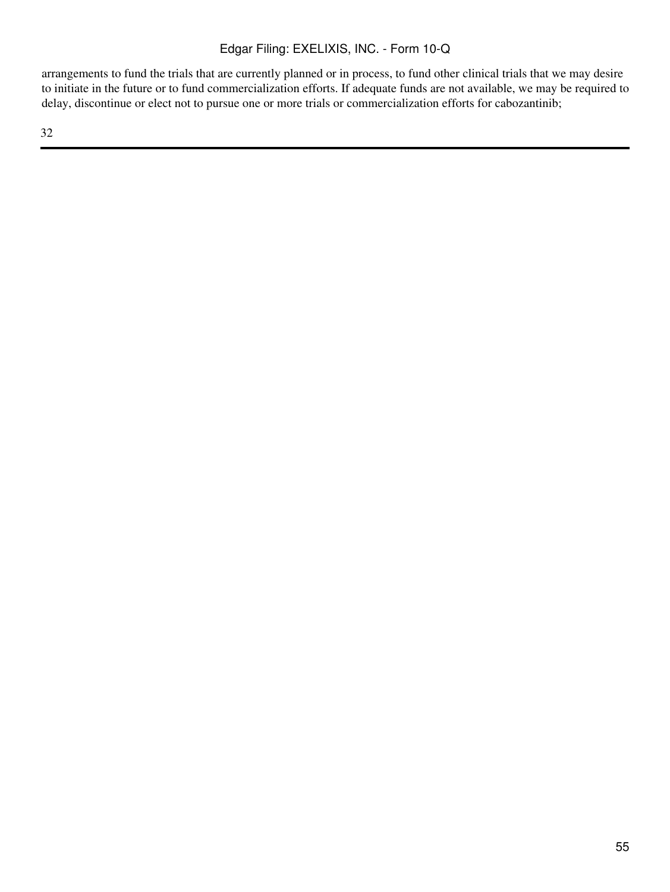arrangements to fund the trials that are currently planned or in process, to fund other clinical trials that we may desire to initiate in the future or to fund commercialization efforts. If adequate funds are not available, we may be required to delay, discontinue or elect not to pursue one or more trials or commercialization efforts for cabozantinib;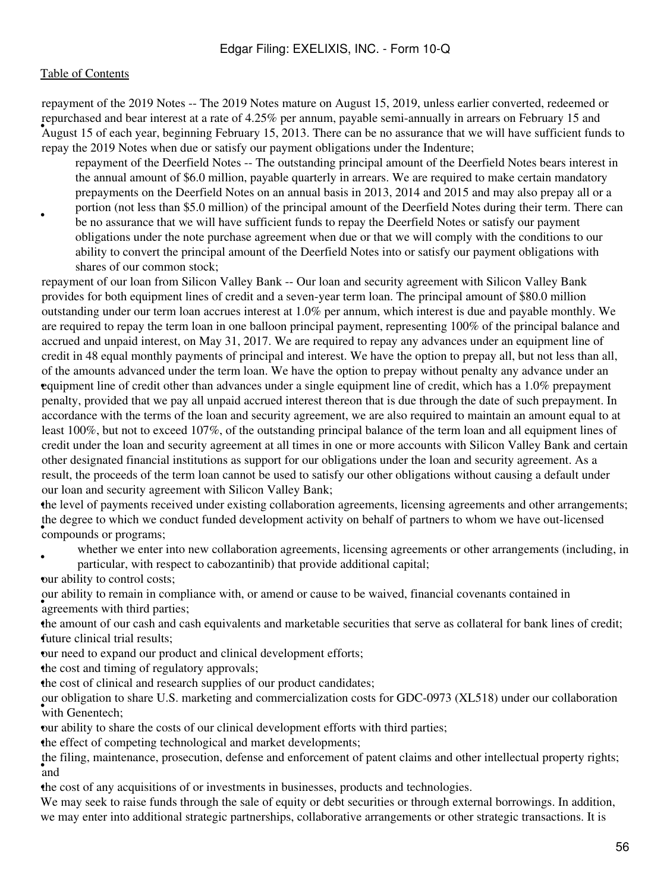•

• August 15 of each year, beginning February 15, 2013. There can be no assurance that we will have sufficient funds to repayment of the 2019 Notes -- The 2019 Notes mature on August 15, 2019, unless earlier converted, redeemed or repurchased and bear interest at a rate of 4.25% per annum, payable semi-annually in arrears on February 15 and repay the 2019 Notes when due or satisfy our payment obligations under the Indenture;

repayment of the Deerfield Notes -- The outstanding principal amount of the Deerfield Notes bears interest in the annual amount of \$6.0 million, payable quarterly in arrears. We are required to make certain mandatory prepayments on the Deerfield Notes on an annual basis in 2013, 2014 and 2015 and may also prepay all or a portion (not less than \$5.0 million) of the principal amount of the Deerfield Notes during their term. There can be no assurance that we will have sufficient funds to repay the Deerfield Notes or satisfy our payment obligations under the note purchase agreement when due or that we will comply with the conditions to our ability to convert the principal amount of the Deerfield Notes into or satisfy our payment obligations with shares of our common stock;

• equipment line of credit other than advances under a single equipment line of credit, which has a 1.0% prepayment repayment of our loan from Silicon Valley Bank -- Our loan and security agreement with Silicon Valley Bank provides for both equipment lines of credit and a seven-year term loan. The principal amount of \$80.0 million outstanding under our term loan accrues interest at 1.0% per annum, which interest is due and payable monthly. We are required to repay the term loan in one balloon principal payment, representing 100% of the principal balance and accrued and unpaid interest, on May 31, 2017. We are required to repay any advances under an equipment line of credit in 48 equal monthly payments of principal and interest. We have the option to prepay all, but not less than all, of the amounts advanced under the term loan. We have the option to prepay without penalty any advance under an penalty, provided that we pay all unpaid accrued interest thereon that is due through the date of such prepayment. In accordance with the terms of the loan and security agreement, we are also required to maintain an amount equal to at least 100%, but not to exceed 107%, of the outstanding principal balance of the term loan and all equipment lines of credit under the loan and security agreement at all times in one or more accounts with Silicon Valley Bank and certain other designated financial institutions as support for our obligations under the loan and security agreement. As a result, the proceeds of the term loan cannot be used to satisfy our other obligations without causing a default under our loan and security agreement with Silicon Valley Bank;

•the level of payments received under existing collaboration agreements, licensing agreements and other arrangements; **Compounds** or programs; the degree to which we conduct funded development activity on behalf of partners to whom we have out-licensed

whether we enter into new collaboration agreements, licensing agreements or other arrangements (including, in

• particular, with respect to cabozantinib) that provide additional capital;

•our ability to control costs;

• agreements with third parties; our ability to remain in compliance with, or amend or cause to be waived, financial covenants contained in

•the amount of our cash and cash equivalents and marketable securities that serve as collateral for bank lines of credit; •future clinical trial results;

•our need to expand our product and clinical development efforts;

the cost and timing of regulatory approvals;

•the cost of clinical and research supplies of our product candidates;

with Genentech; our obligation to share U.S. marketing and commercialization costs for GDC-0973 (XL518) under our collaboration

•our ability to share the costs of our clinical development efforts with third parties;

the effect of competing technological and market developments;

• and the filing, maintenance, prosecution, defense and enforcement of patent claims and other intellectual property rights;

•the cost of any acquisitions of or investments in businesses, products and technologies.

We may seek to raise funds through the sale of equity or debt securities or through external borrowings. In addition, we may enter into additional strategic partnerships, collaborative arrangements or other strategic transactions. It is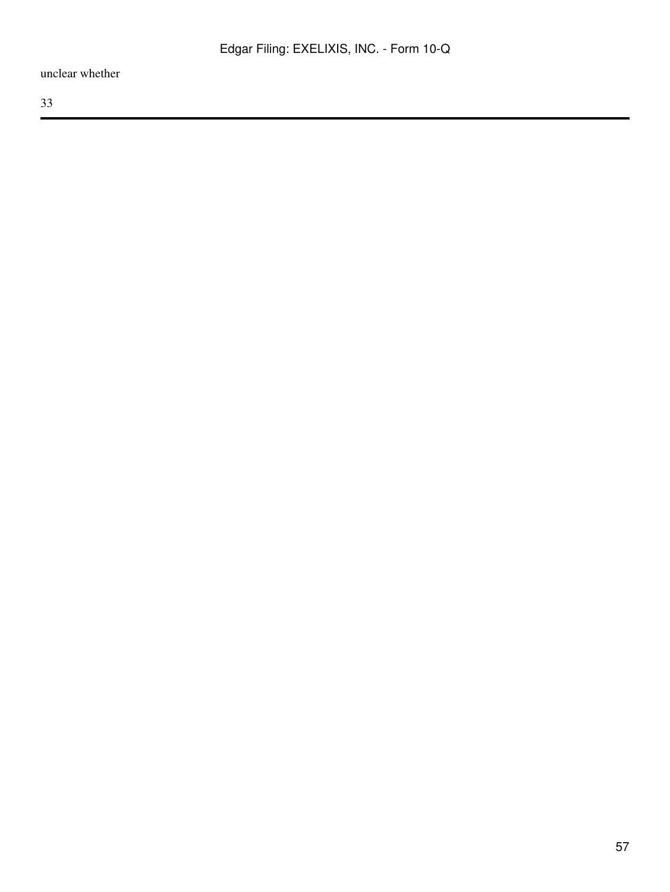unclear whether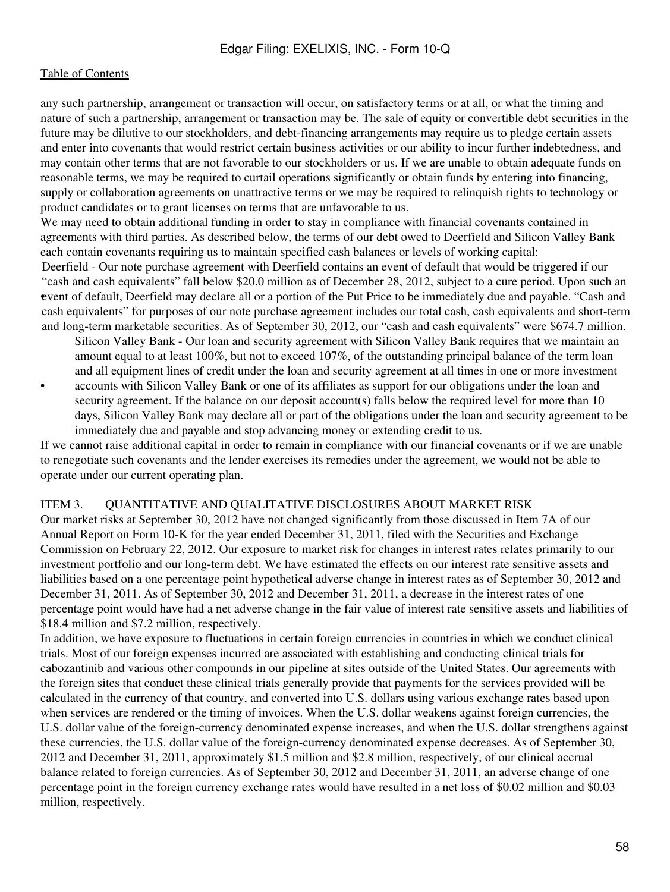any such partnership, arrangement or transaction will occur, on satisfactory terms or at all, or what the timing and nature of such a partnership, arrangement or transaction may be. The sale of equity or convertible debt securities in the future may be dilutive to our stockholders, and debt-financing arrangements may require us to pledge certain assets and enter into covenants that would restrict certain business activities or our ability to incur further indebtedness, and may contain other terms that are not favorable to our stockholders or us. If we are unable to obtain adequate funds on reasonable terms, we may be required to curtail operations significantly or obtain funds by entering into financing, supply or collaboration agreements on unattractive terms or we may be required to relinquish rights to technology or product candidates or to grant licenses on terms that are unfavorable to us.

We may need to obtain additional funding in order to stay in compliance with financial covenants contained in agreements with third parties. As described below, the terms of our debt owed to Deerfield and Silicon Valley Bank each contain covenants requiring us to maintain specified cash balances or levels of working capital:

• event of default, Deerfield may declare all or a portion of the Put Price to be immediately due and payable. "Cash and Deerfield - Our note purchase agreement with Deerfield contains an event of default that would be triggered if our "cash and cash equivalents" fall below \$20.0 million as of December 28, 2012, subject to a cure period. Upon such an cash equivalents" for purposes of our note purchase agreement includes our total cash, cash equivalents and short-term and long-term marketable securities. As of September 30, 2012, our "cash and cash equivalents" were \$674.7 million.

Silicon Valley Bank - Our loan and security agreement with Silicon Valley Bank requires that we maintain an amount equal to at least 100%, but not to exceed 107%, of the outstanding principal balance of the term loan and all equipment lines of credit under the loan and security agreement at all times in one or more investment

• accounts with Silicon Valley Bank or one of its affiliates as support for our obligations under the loan and security agreement. If the balance on our deposit account(s) falls below the required level for more than 10 days, Silicon Valley Bank may declare all or part of the obligations under the loan and security agreement to be immediately due and payable and stop advancing money or extending credit to us.

If we cannot raise additional capital in order to remain in compliance with our financial covenants or if we are unable to renegotiate such covenants and the lender exercises its remedies under the agreement, we would not be able to operate under our current operating plan.

#### ITEM 3. QUANTITATIVE AND QUALITATIVE DISCLOSURES ABOUT MARKET RISK

Our market risks at September 30, 2012 have not changed significantly from those discussed in Item 7A of our Annual Report on Form 10-K for the year ended December 31, 2011, filed with the Securities and Exchange Commission on February 22, 2012. Our exposure to market risk for changes in interest rates relates primarily to our investment portfolio and our long-term debt. We have estimated the effects on our interest rate sensitive assets and liabilities based on a one percentage point hypothetical adverse change in interest rates as of September 30, 2012 and December 31, 2011. As of September 30, 2012 and December 31, 2011, a decrease in the interest rates of one percentage point would have had a net adverse change in the fair value of interest rate sensitive assets and liabilities of \$18.4 million and \$7.2 million, respectively.

In addition, we have exposure to fluctuations in certain foreign currencies in countries in which we conduct clinical trials. Most of our foreign expenses incurred are associated with establishing and conducting clinical trials for cabozantinib and various other compounds in our pipeline at sites outside of the United States. Our agreements with the foreign sites that conduct these clinical trials generally provide that payments for the services provided will be calculated in the currency of that country, and converted into U.S. dollars using various exchange rates based upon when services are rendered or the timing of invoices. When the U.S. dollar weakens against foreign currencies, the U.S. dollar value of the foreign-currency denominated expense increases, and when the U.S. dollar strengthens against these currencies, the U.S. dollar value of the foreign-currency denominated expense decreases. As of September 30, 2012 and December 31, 2011, approximately \$1.5 million and \$2.8 million, respectively, of our clinical accrual balance related to foreign currencies. As of September 30, 2012 and December 31, 2011, an adverse change of one percentage point in the foreign currency exchange rates would have resulted in a net loss of \$0.02 million and \$0.03 million, respectively.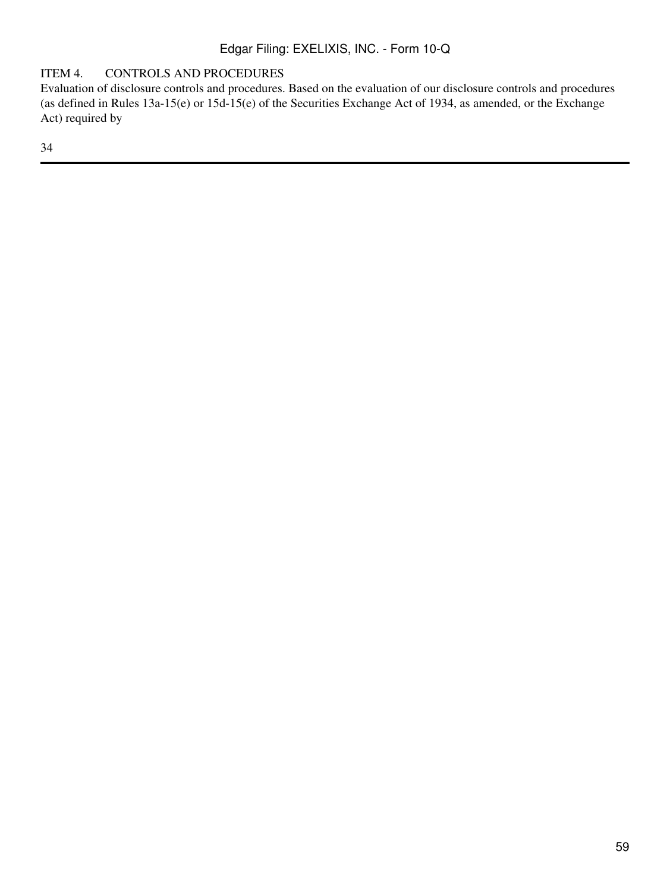ITEM 4. CONTROLS AND PROCEDURES

Evaluation of disclosure controls and procedures. Based on the evaluation of our disclosure controls and procedures (as defined in Rules 13a-15(e) or 15d-15(e) of the Securities Exchange Act of 1934, as amended, or the Exchange Act) required by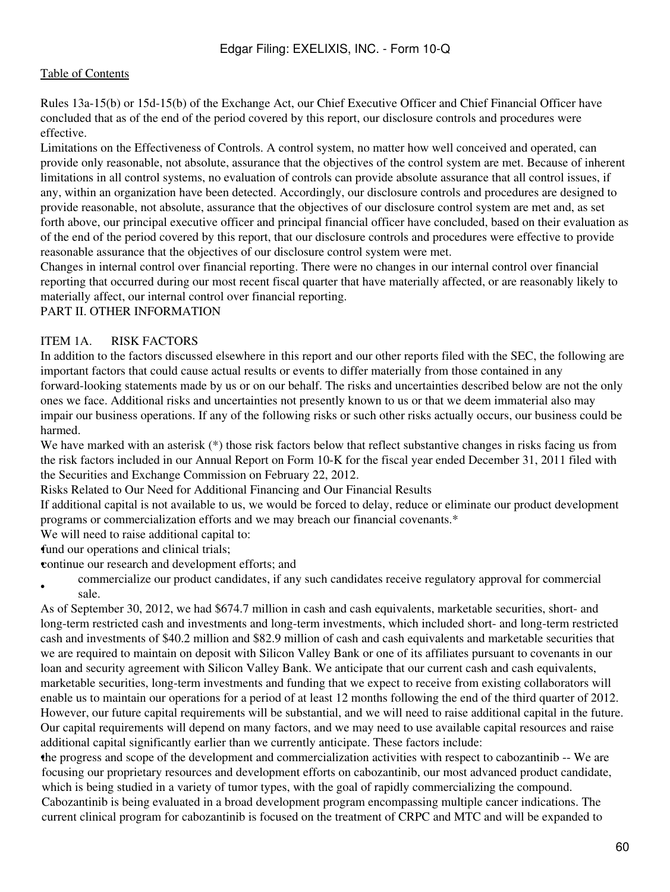Rules 13a-15(b) or 15d-15(b) of the Exchange Act, our Chief Executive Officer and Chief Financial Officer have concluded that as of the end of the period covered by this report, our disclosure controls and procedures were effective.

Limitations on the Effectiveness of Controls. A control system, no matter how well conceived and operated, can provide only reasonable, not absolute, assurance that the objectives of the control system are met. Because of inherent limitations in all control systems, no evaluation of controls can provide absolute assurance that all control issues, if any, within an organization have been detected. Accordingly, our disclosure controls and procedures are designed to provide reasonable, not absolute, assurance that the objectives of our disclosure control system are met and, as set forth above, our principal executive officer and principal financial officer have concluded, based on their evaluation as of the end of the period covered by this report, that our disclosure controls and procedures were effective to provide reasonable assurance that the objectives of our disclosure control system were met.

Changes in internal control over financial reporting. There were no changes in our internal control over financial reporting that occurred during our most recent fiscal quarter that have materially affected, or are reasonably likely to materially affect, our internal control over financial reporting.

### PART II. OTHER INFORMATION

### ITEM 1A. RISK FACTORS

In addition to the factors discussed elsewhere in this report and our other reports filed with the SEC, the following are important factors that could cause actual results or events to differ materially from those contained in any forward-looking statements made by us or on our behalf. The risks and uncertainties described below are not the only ones we face. Additional risks and uncertainties not presently known to us or that we deem immaterial also may impair our business operations. If any of the following risks or such other risks actually occurs, our business could be harmed.

We have marked with an asterisk (\*) those risk factors below that reflect substantive changes in risks facing us from the risk factors included in our Annual Report on Form 10-K for the fiscal year ended December 31, 2011 filed with the Securities and Exchange Commission on February 22, 2012.

Risks Related to Our Need for Additional Financing and Our Financial Results

If additional capital is not available to us, we would be forced to delay, reduce or eliminate our product development programs or commercialization efforts and we may breach our financial covenants.\*

We will need to raise additional capital to:

fund our operations and clinical trials;

•continue our research and development efforts; and

• commercialize our product candidates, if any such candidates receive regulatory approval for commercial sale.

As of September 30, 2012, we had \$674.7 million in cash and cash equivalents, marketable securities, short- and long-term restricted cash and investments and long-term investments, which included short- and long-term restricted cash and investments of \$40.2 million and \$82.9 million of cash and cash equivalents and marketable securities that we are required to maintain on deposit with Silicon Valley Bank or one of its affiliates pursuant to covenants in our loan and security agreement with Silicon Valley Bank. We anticipate that our current cash and cash equivalents, marketable securities, long-term investments and funding that we expect to receive from existing collaborators will enable us to maintain our operations for a period of at least 12 months following the end of the third quarter of 2012. However, our future capital requirements will be substantial, and we will need to raise additional capital in the future. Our capital requirements will depend on many factors, and we may need to use available capital resources and raise additional capital significantly earlier than we currently anticipate. These factors include:

•the progress and scope of the development and commercialization activities with respect to cabozantinib -- We are focusing our proprietary resources and development efforts on cabozantinib, our most advanced product candidate, which is being studied in a variety of tumor types, with the goal of rapidly commercializing the compound. Cabozantinib is being evaluated in a broad development program encompassing multiple cancer indications. The current clinical program for cabozantinib is focused on the treatment of CRPC and MTC and will be expanded to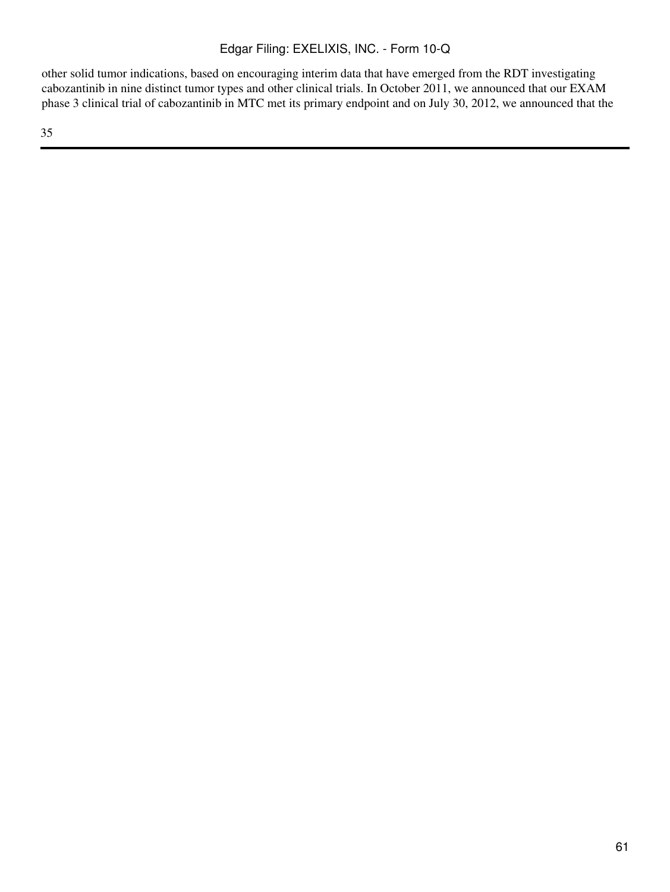other solid tumor indications, based on encouraging interim data that have emerged from the RDT investigating cabozantinib in nine distinct tumor types and other clinical trials. In October 2011, we announced that our EXAM phase 3 clinical trial of cabozantinib in MTC met its primary endpoint and on July 30, 2012, we announced that the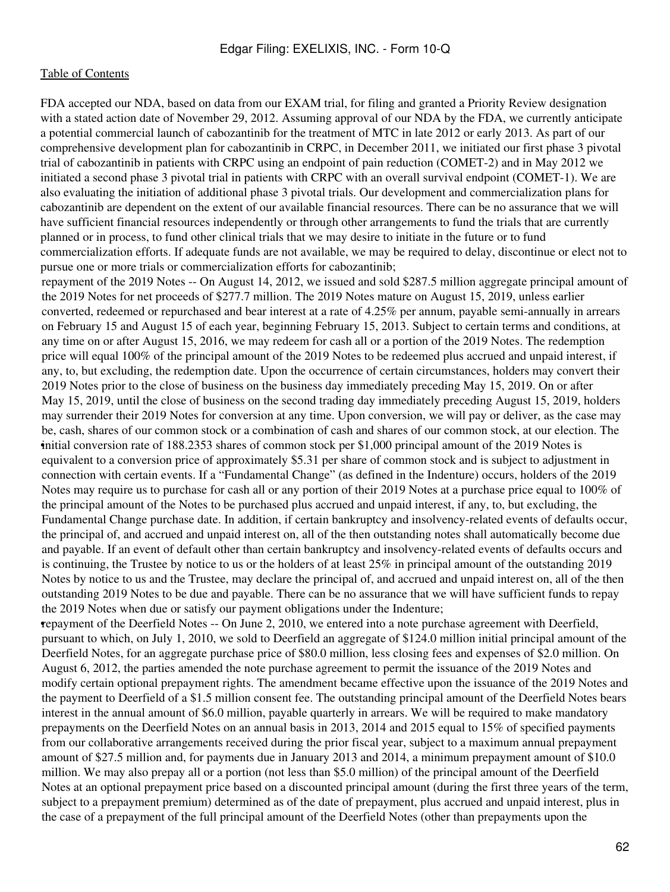FDA accepted our NDA, based on data from our EXAM trial, for filing and granted a Priority Review designation with a stated action date of November 29, 2012. Assuming approval of our NDA by the FDA, we currently anticipate a potential commercial launch of cabozantinib for the treatment of MTC in late 2012 or early 2013. As part of our comprehensive development plan for cabozantinib in CRPC, in December 2011, we initiated our first phase 3 pivotal trial of cabozantinib in patients with CRPC using an endpoint of pain reduction (COMET-2) and in May 2012 we initiated a second phase 3 pivotal trial in patients with CRPC with an overall survival endpoint (COMET-1). We are also evaluating the initiation of additional phase 3 pivotal trials. Our development and commercialization plans for cabozantinib are dependent on the extent of our available financial resources. There can be no assurance that we will have sufficient financial resources independently or through other arrangements to fund the trials that are currently planned or in process, to fund other clinical trials that we may desire to initiate in the future or to fund commercialization efforts. If adequate funds are not available, we may be required to delay, discontinue or elect not to pursue one or more trials or commercialization efforts for cabozantinib;

• initial conversion rate of 188.2353 shares of common stock per \$1,000 principal amount of the 2019 Notes is repayment of the 2019 Notes -- On August 14, 2012, we issued and sold \$287.5 million aggregate principal amount of the 2019 Notes for net proceeds of \$277.7 million. The 2019 Notes mature on August 15, 2019, unless earlier converted, redeemed or repurchased and bear interest at a rate of 4.25% per annum, payable semi-annually in arrears on February 15 and August 15 of each year, beginning February 15, 2013. Subject to certain terms and conditions, at any time on or after August 15, 2016, we may redeem for cash all or a portion of the 2019 Notes. The redemption price will equal 100% of the principal amount of the 2019 Notes to be redeemed plus accrued and unpaid interest, if any, to, but excluding, the redemption date. Upon the occurrence of certain circumstances, holders may convert their 2019 Notes prior to the close of business on the business day immediately preceding May 15, 2019. On or after May 15, 2019, until the close of business on the second trading day immediately preceding August 15, 2019, holders may surrender their 2019 Notes for conversion at any time. Upon conversion, we will pay or deliver, as the case may be, cash, shares of our common stock or a combination of cash and shares of our common stock, at our election. The equivalent to a conversion price of approximately \$5.31 per share of common stock and is subject to adjustment in connection with certain events. If a "Fundamental Change" (as defined in the Indenture) occurs, holders of the 2019 Notes may require us to purchase for cash all or any portion of their 2019 Notes at a purchase price equal to 100% of the principal amount of the Notes to be purchased plus accrued and unpaid interest, if any, to, but excluding, the Fundamental Change purchase date. In addition, if certain bankruptcy and insolvency-related events of defaults occur, the principal of, and accrued and unpaid interest on, all of the then outstanding notes shall automatically become due and payable. If an event of default other than certain bankruptcy and insolvency-related events of defaults occurs and is continuing, the Trustee by notice to us or the holders of at least 25% in principal amount of the outstanding 2019 Notes by notice to us and the Trustee, may declare the principal of, and accrued and unpaid interest on, all of the then outstanding 2019 Notes to be due and payable. There can be no assurance that we will have sufficient funds to repay the 2019 Notes when due or satisfy our payment obligations under the Indenture;

•repayment of the Deerfield Notes -- On June 2, 2010, we entered into a note purchase agreement with Deerfield, pursuant to which, on July 1, 2010, we sold to Deerfield an aggregate of \$124.0 million initial principal amount of the Deerfield Notes, for an aggregate purchase price of \$80.0 million, less closing fees and expenses of \$2.0 million. On August 6, 2012, the parties amended the note purchase agreement to permit the issuance of the 2019 Notes and modify certain optional prepayment rights. The amendment became effective upon the issuance of the 2019 Notes and the payment to Deerfield of a \$1.5 million consent fee. The outstanding principal amount of the Deerfield Notes bears interest in the annual amount of \$6.0 million, payable quarterly in arrears. We will be required to make mandatory prepayments on the Deerfield Notes on an annual basis in 2013, 2014 and 2015 equal to 15% of specified payments from our collaborative arrangements received during the prior fiscal year, subject to a maximum annual prepayment amount of \$27.5 million and, for payments due in January 2013 and 2014, a minimum prepayment amount of \$10.0 million. We may also prepay all or a portion (not less than \$5.0 million) of the principal amount of the Deerfield Notes at an optional prepayment price based on a discounted principal amount (during the first three years of the term, subject to a prepayment premium) determined as of the date of prepayment, plus accrued and unpaid interest, plus in the case of a prepayment of the full principal amount of the Deerfield Notes (other than prepayments upon the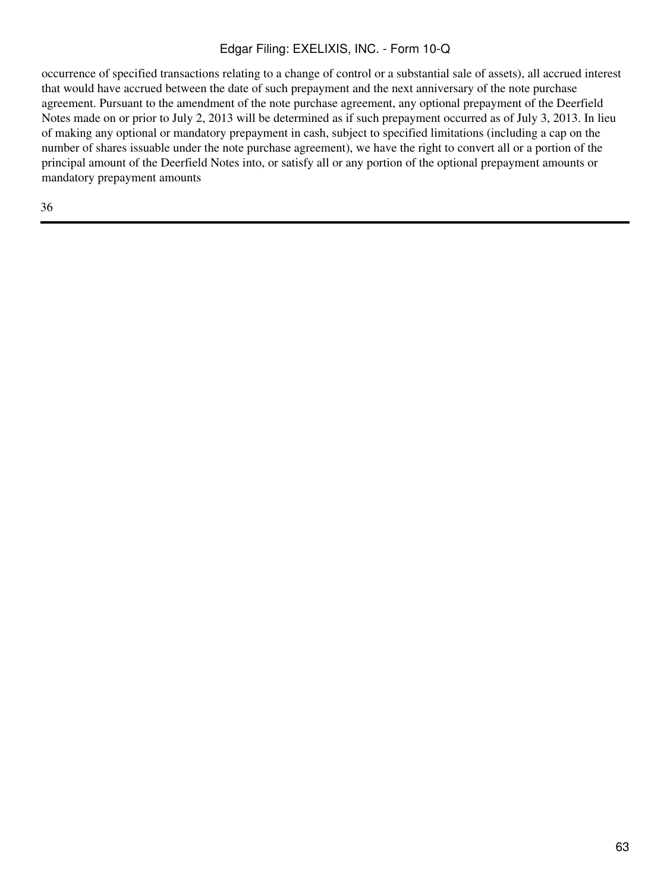occurrence of specified transactions relating to a change of control or a substantial sale of assets), all accrued interest that would have accrued between the date of such prepayment and the next anniversary of the note purchase agreement. Pursuant to the amendment of the note purchase agreement, any optional prepayment of the Deerfield Notes made on or prior to July 2, 2013 will be determined as if such prepayment occurred as of July 3, 2013. In lieu of making any optional or mandatory prepayment in cash, subject to specified limitations (including a cap on the number of shares issuable under the note purchase agreement), we have the right to convert all or a portion of the principal amount of the Deerfield Notes into, or satisfy all or any portion of the optional prepayment amounts or mandatory prepayment amounts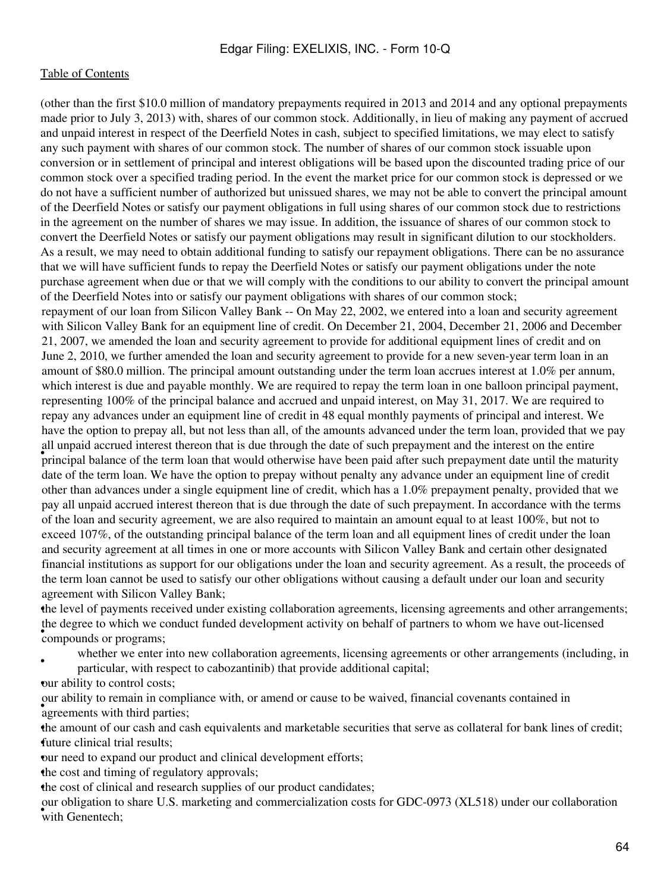(other than the first \$10.0 million of mandatory prepayments required in 2013 and 2014 and any optional prepayments made prior to July 3, 2013) with, shares of our common stock. Additionally, in lieu of making any payment of accrued and unpaid interest in respect of the Deerfield Notes in cash, subject to specified limitations, we may elect to satisfy any such payment with shares of our common stock. The number of shares of our common stock issuable upon conversion or in settlement of principal and interest obligations will be based upon the discounted trading price of our common stock over a specified trading period. In the event the market price for our common stock is depressed or we do not have a sufficient number of authorized but unissued shares, we may not be able to convert the principal amount of the Deerfield Notes or satisfy our payment obligations in full using shares of our common stock due to restrictions in the agreement on the number of shares we may issue. In addition, the issuance of shares of our common stock to convert the Deerfield Notes or satisfy our payment obligations may result in significant dilution to our stockholders. As a result, we may need to obtain additional funding to satisfy our repayment obligations. There can be no assurance that we will have sufficient funds to repay the Deerfield Notes or satisfy our payment obligations under the note purchase agreement when due or that we will comply with the conditions to our ability to convert the principal amount of the Deerfield Notes into or satisfy our payment obligations with shares of our common stock; In appear accrued merest affects that is due affolgin the date of such prepayment and the merest on the entire<br>principal balance of the term loan that would otherwise have been paid after such prepayment date until the mat repayment of our loan from Silicon Valley Bank -- On May 22, 2002, we entered into a loan and security agreement with Silicon Valley Bank for an equipment line of credit. On December 21, 2004, December 21, 2006 and December 21, 2007, we amended the loan and security agreement to provide for additional equipment lines of credit and on June 2, 2010, we further amended the loan and security agreement to provide for a new seven-year term loan in an amount of \$80.0 million. The principal amount outstanding under the term loan accrues interest at 1.0% per annum, which interest is due and payable monthly. We are required to repay the term loan in one balloon principal payment, representing 100% of the principal balance and accrued and unpaid interest, on May 31, 2017. We are required to repay any advances under an equipment line of credit in 48 equal monthly payments of principal and interest. We have the option to prepay all, but not less than all, of the amounts advanced under the term loan, provided that we pay all unpaid accrued interest thereon that is due through the date of such prepayment and the interest on the entire date of the term loan. We have the option to prepay without penalty any advance under an equipment line of credit other than advances under a single equipment line of credit, which has a 1.0% prepayment penalty, provided that we pay all unpaid accrued interest thereon that is due through the date of such prepayment. In accordance with the terms of the loan and security agreement, we are also required to maintain an amount equal to at least 100%, but not to exceed 107%, of the outstanding principal balance of the term loan and all equipment lines of credit under the loan and security agreement at all times in one or more accounts with Silicon Valley Bank and certain other designated financial institutions as support for our obligations under the loan and security agreement. As a result, the proceeds of the term loan cannot be used to satisfy our other obligations without causing a default under our loan and security agreement with Silicon Valley Bank;

•the level of payments received under existing collaboration agreements, licensing agreements and other arrangements; **•** compounds or programs; the degree to which we conduct funded development activity on behalf of partners to whom we have out-licensed

• whether we enter into new collaboration agreements, licensing agreements or other arrangements (including, in particular, with respect to cabozantinib) that provide additional capital;

•our ability to control costs;

• agreements with third parties; our ability to remain in compliance with, or amend or cause to be waived, financial covenants contained in

•the amount of our cash and cash equivalents and marketable securities that serve as collateral for bank lines of credit; •future clinical trial results;

our need to expand our product and clinical development efforts;

•the cost and timing of regulatory approvals;

•the cost of clinical and research supplies of our product candidates;

with Genentech; our obligation to share U.S. marketing and commercialization costs for GDC-0973 (XL518) under our collaboration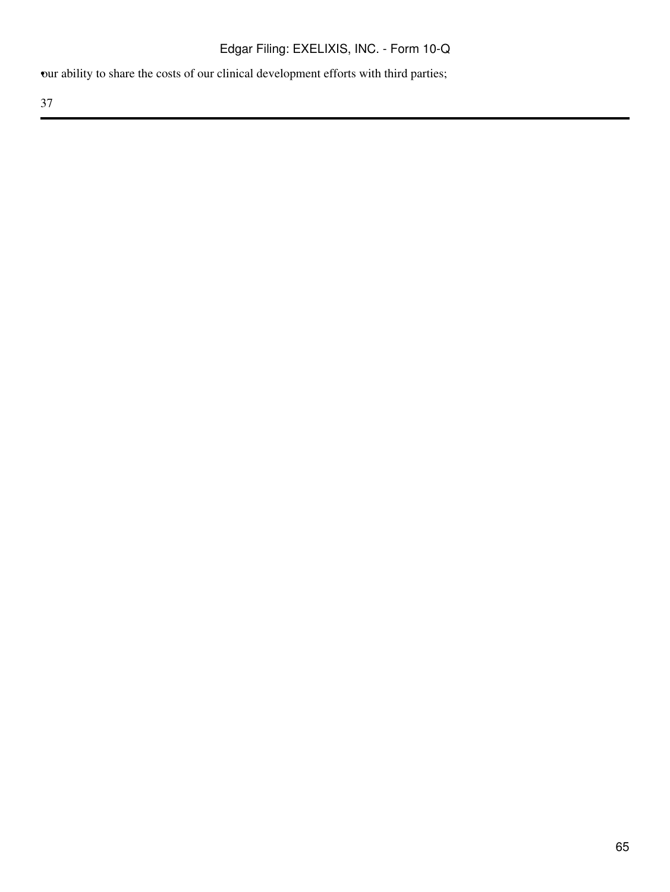•our ability to share the costs of our clinical development efforts with third parties;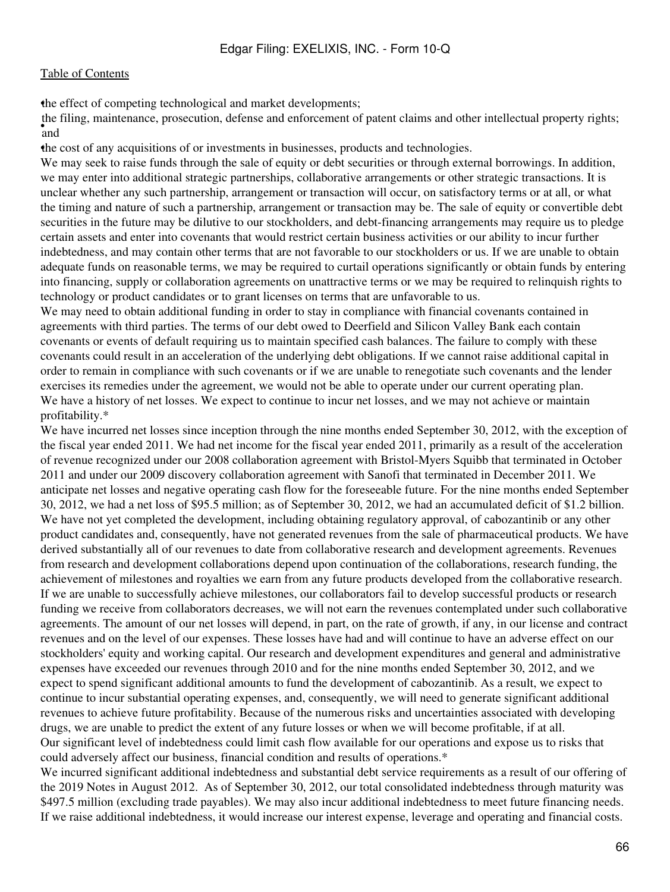the effect of competing technological and market developments;

• and the filing, maintenance, prosecution, defense and enforcement of patent claims and other intellectual property rights;

•the cost of any acquisitions of or investments in businesses, products and technologies.

We may seek to raise funds through the sale of equity or debt securities or through external borrowings. In addition, we may enter into additional strategic partnerships, collaborative arrangements or other strategic transactions. It is unclear whether any such partnership, arrangement or transaction will occur, on satisfactory terms or at all, or what the timing and nature of such a partnership, arrangement or transaction may be. The sale of equity or convertible debt securities in the future may be dilutive to our stockholders, and debt-financing arrangements may require us to pledge certain assets and enter into covenants that would restrict certain business activities or our ability to incur further indebtedness, and may contain other terms that are not favorable to our stockholders or us. If we are unable to obtain adequate funds on reasonable terms, we may be required to curtail operations significantly or obtain funds by entering into financing, supply or collaboration agreements on unattractive terms or we may be required to relinquish rights to technology or product candidates or to grant licenses on terms that are unfavorable to us.

We may need to obtain additional funding in order to stay in compliance with financial covenants contained in agreements with third parties. The terms of our debt owed to Deerfield and Silicon Valley Bank each contain covenants or events of default requiring us to maintain specified cash balances. The failure to comply with these covenants could result in an acceleration of the underlying debt obligations. If we cannot raise additional capital in order to remain in compliance with such covenants or if we are unable to renegotiate such covenants and the lender exercises its remedies under the agreement, we would not be able to operate under our current operating plan. We have a history of net losses. We expect to continue to incur net losses, and we may not achieve or maintain profitability.\*

We have incurred net losses since inception through the nine months ended September 30, 2012, with the exception of the fiscal year ended 2011. We had net income for the fiscal year ended 2011, primarily as a result of the acceleration of revenue recognized under our 2008 collaboration agreement with Bristol-Myers Squibb that terminated in October 2011 and under our 2009 discovery collaboration agreement with Sanofi that terminated in December 2011. We anticipate net losses and negative operating cash flow for the foreseeable future. For the nine months ended September 30, 2012, we had a net loss of \$95.5 million; as of September 30, 2012, we had an accumulated deficit of \$1.2 billion. We have not yet completed the development, including obtaining regulatory approval, of cabozantinib or any other product candidates and, consequently, have not generated revenues from the sale of pharmaceutical products. We have derived substantially all of our revenues to date from collaborative research and development agreements. Revenues from research and development collaborations depend upon continuation of the collaborations, research funding, the achievement of milestones and royalties we earn from any future products developed from the collaborative research. If we are unable to successfully achieve milestones, our collaborators fail to develop successful products or research funding we receive from collaborators decreases, we will not earn the revenues contemplated under such collaborative agreements. The amount of our net losses will depend, in part, on the rate of growth, if any, in our license and contract revenues and on the level of our expenses. These losses have had and will continue to have an adverse effect on our stockholders' equity and working capital. Our research and development expenditures and general and administrative expenses have exceeded our revenues through 2010 and for the nine months ended September 30, 2012, and we expect to spend significant additional amounts to fund the development of cabozantinib. As a result, we expect to continue to incur substantial operating expenses, and, consequently, we will need to generate significant additional revenues to achieve future profitability. Because of the numerous risks and uncertainties associated with developing drugs, we are unable to predict the extent of any future losses or when we will become profitable, if at all. Our significant level of indebtedness could limit cash flow available for our operations and expose us to risks that could adversely affect our business, financial condition and results of operations.\*

We incurred significant additional indebtedness and substantial debt service requirements as a result of our offering of the 2019 Notes in August 2012. As of September 30, 2012, our total consolidated indebtedness through maturity was \$497.5 million (excluding trade payables). We may also incur additional indebtedness to meet future financing needs. If we raise additional indebtedness, it would increase our interest expense, leverage and operating and financial costs.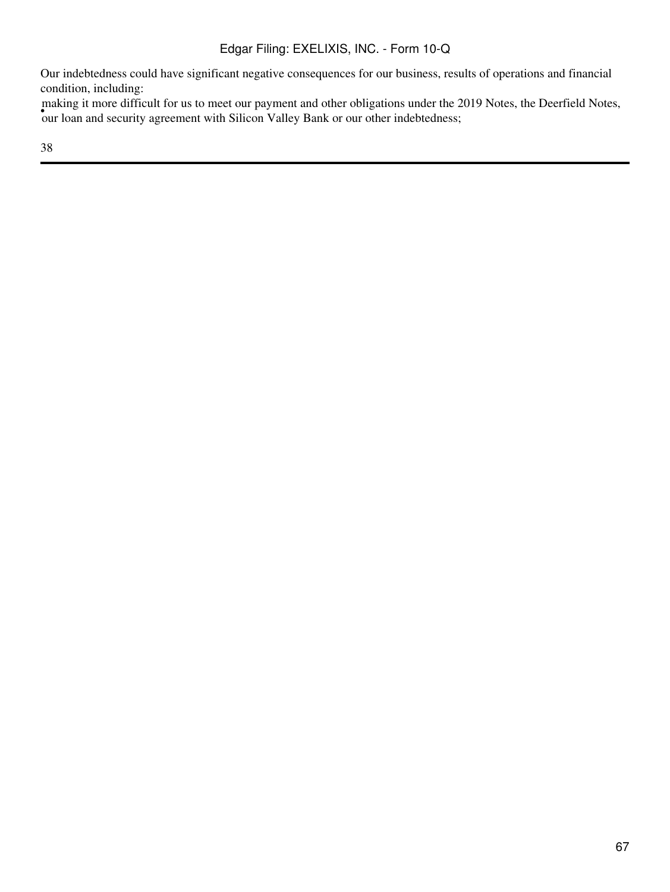Our indebtedness could have significant negative consequences for our business, results of operations and financial condition, including:

Fluxing R more difficult for us to meet our payment and other oongations ander the 2<br>our loan and security agreement with Silicon Valley Bank or our other indebtedness; making it more difficult for us to meet our payment and other obligations under the 2019 Notes, the Deerfield Notes,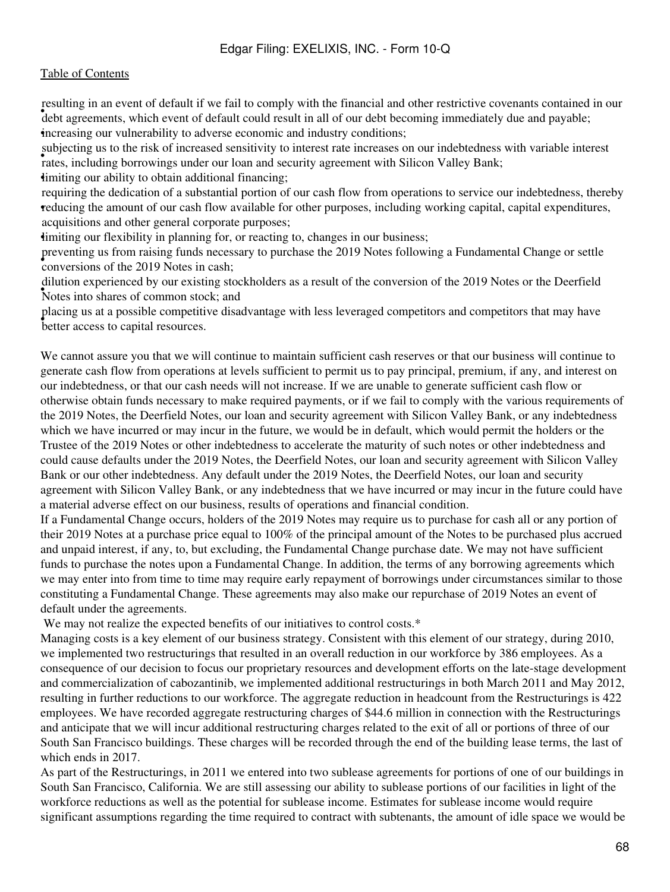Fourth of default in we have compary which the maintenant and other resulted ve covenants contained debt agreements, which event of default could result in all of our debt becoming immediately due and payable; resulting in an event of default if we fail to comply with the financial and other restrictive covenants contained in our •increasing our vulnerability to adverse economic and industry conditions;

subjecting as to the risk of increased sensitivity to interest rate increases on our indeptedness rates, including borrowings under our loan and security agreement with Silicon Valley Bank; subjecting us to the risk of increased sensitivity to interest rate increases on our indebtedness with variable interest

imiting our ability to obtain additional financing;

• reducing the amount of our cash flow available for other purposes, including working capital, capital expenditures, requiring the dedication of a substantial portion of our cash flow from operations to service our indebtedness, thereby acquisitions and other general corporate purposes;

•limiting our flexibility in planning for, or reacting to, changes in our business;

• conversions of the 2019 Notes in cash; preventing us from raising funds necessary to purchase the 2019 Notes following a Fundamental Change or settle

• Notes into shares of common stock; and dilution experienced by our existing stockholders as a result of the conversion of the 2019 Notes or the Deerfield

• better access to capital resources. placing us at a possible competitive disadvantage with less leveraged competitors and competitors that may have

We cannot assure you that we will continue to maintain sufficient cash reserves or that our business will continue to generate cash flow from operations at levels sufficient to permit us to pay principal, premium, if any, and interest on our indebtedness, or that our cash needs will not increase. If we are unable to generate sufficient cash flow or otherwise obtain funds necessary to make required payments, or if we fail to comply with the various requirements of the 2019 Notes, the Deerfield Notes, our loan and security agreement with Silicon Valley Bank, or any indebtedness which we have incurred or may incur in the future, we would be in default, which would permit the holders or the Trustee of the 2019 Notes or other indebtedness to accelerate the maturity of such notes or other indebtedness and could cause defaults under the 2019 Notes, the Deerfield Notes, our loan and security agreement with Silicon Valley Bank or our other indebtedness. Any default under the 2019 Notes, the Deerfield Notes, our loan and security agreement with Silicon Valley Bank, or any indebtedness that we have incurred or may incur in the future could have a material adverse effect on our business, results of operations and financial condition.

If a Fundamental Change occurs, holders of the 2019 Notes may require us to purchase for cash all or any portion of their 2019 Notes at a purchase price equal to 100% of the principal amount of the Notes to be purchased plus accrued and unpaid interest, if any, to, but excluding, the Fundamental Change purchase date. We may not have sufficient funds to purchase the notes upon a Fundamental Change. In addition, the terms of any borrowing agreements which we may enter into from time to time may require early repayment of borrowings under circumstances similar to those constituting a Fundamental Change. These agreements may also make our repurchase of 2019 Notes an event of default under the agreements.

We may not realize the expected benefits of our initiatives to control costs.\*

Managing costs is a key element of our business strategy. Consistent with this element of our strategy, during 2010, we implemented two restructurings that resulted in an overall reduction in our workforce by 386 employees. As a consequence of our decision to focus our proprietary resources and development efforts on the late-stage development and commercialization of cabozantinib, we implemented additional restructurings in both March 2011 and May 2012, resulting in further reductions to our workforce. The aggregate reduction in headcount from the Restructurings is 422 employees. We have recorded aggregate restructuring charges of \$44.6 million in connection with the Restructurings and anticipate that we will incur additional restructuring charges related to the exit of all or portions of three of our South San Francisco buildings. These charges will be recorded through the end of the building lease terms, the last of which ends in 2017.

As part of the Restructurings, in 2011 we entered into two sublease agreements for portions of one of our buildings in South San Francisco, California. We are still assessing our ability to sublease portions of our facilities in light of the workforce reductions as well as the potential for sublease income. Estimates for sublease income would require significant assumptions regarding the time required to contract with subtenants, the amount of idle space we would be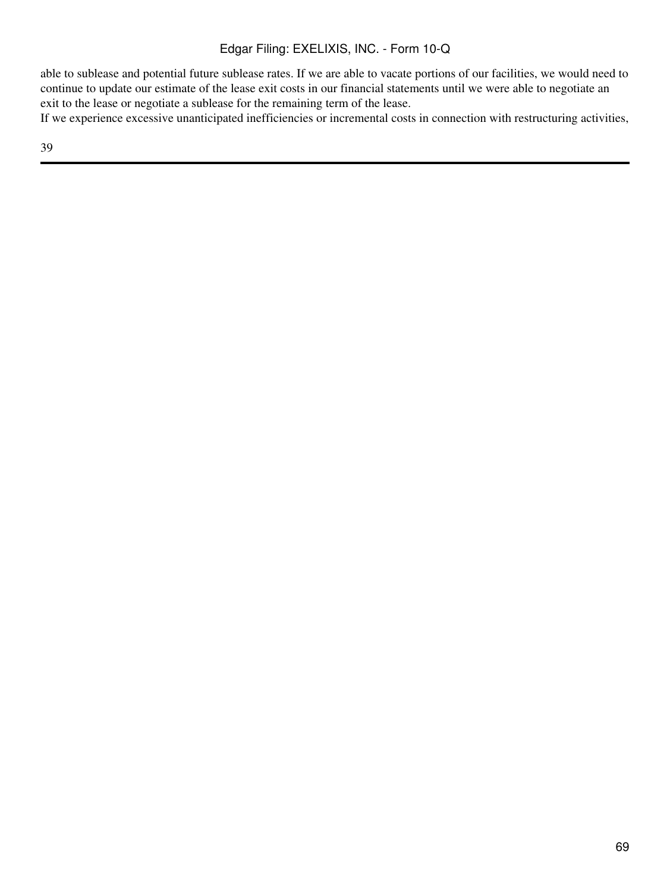able to sublease and potential future sublease rates. If we are able to vacate portions of our facilities, we would need to continue to update our estimate of the lease exit costs in our financial statements until we were able to negotiate an exit to the lease or negotiate a sublease for the remaining term of the lease.

If we experience excessive unanticipated inefficiencies or incremental costs in connection with restructuring activities,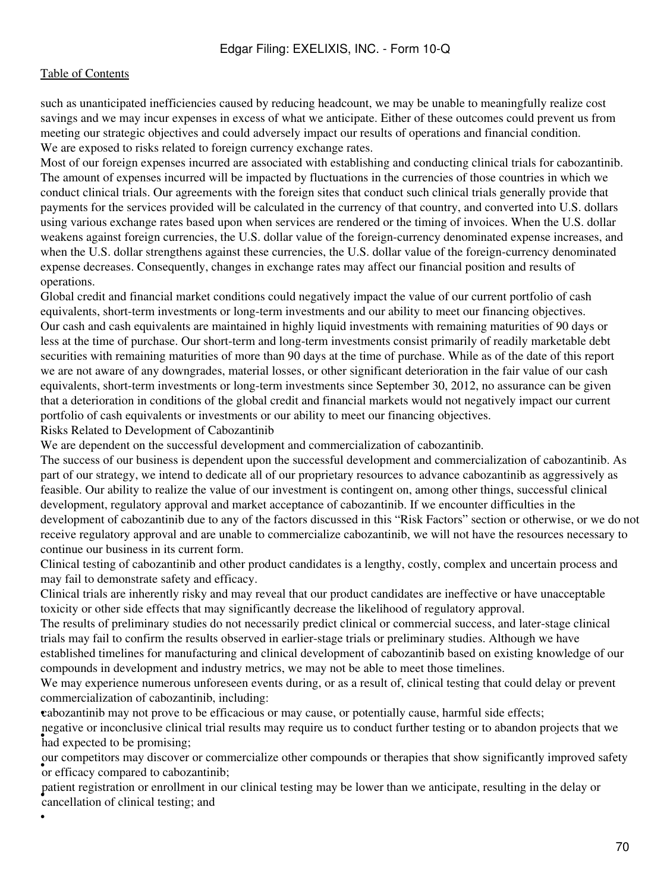•

such as unanticipated inefficiencies caused by reducing headcount, we may be unable to meaningfully realize cost savings and we may incur expenses in excess of what we anticipate. Either of these outcomes could prevent us from meeting our strategic objectives and could adversely impact our results of operations and financial condition. We are exposed to risks related to foreign currency exchange rates.

Most of our foreign expenses incurred are associated with establishing and conducting clinical trials for cabozantinib. The amount of expenses incurred will be impacted by fluctuations in the currencies of those countries in which we conduct clinical trials. Our agreements with the foreign sites that conduct such clinical trials generally provide that payments for the services provided will be calculated in the currency of that country, and converted into U.S. dollars using various exchange rates based upon when services are rendered or the timing of invoices. When the U.S. dollar weakens against foreign currencies, the U.S. dollar value of the foreign-currency denominated expense increases, and when the U.S. dollar strengthens against these currencies, the U.S. dollar value of the foreign-currency denominated expense decreases. Consequently, changes in exchange rates may affect our financial position and results of operations.

Global credit and financial market conditions could negatively impact the value of our current portfolio of cash equivalents, short-term investments or long-term investments and our ability to meet our financing objectives. Our cash and cash equivalents are maintained in highly liquid investments with remaining maturities of 90 days or less at the time of purchase. Our short-term and long-term investments consist primarily of readily marketable debt securities with remaining maturities of more than 90 days at the time of purchase. While as of the date of this report we are not aware of any downgrades, material losses, or other significant deterioration in the fair value of our cash equivalents, short-term investments or long-term investments since September 30, 2012, no assurance can be given that a deterioration in conditions of the global credit and financial markets would not negatively impact our current portfolio of cash equivalents or investments or our ability to meet our financing objectives.

Risks Related to Development of Cabozantinib

We are dependent on the successful development and commercialization of cabozantinib.

The success of our business is dependent upon the successful development and commercialization of cabozantinib. As part of our strategy, we intend to dedicate all of our proprietary resources to advance cabozantinib as aggressively as feasible. Our ability to realize the value of our investment is contingent on, among other things, successful clinical development, regulatory approval and market acceptance of cabozantinib. If we encounter difficulties in the development of cabozantinib due to any of the factors discussed in this "Risk Factors" section or otherwise, or we do not receive regulatory approval and are unable to commercialize cabozantinib, we will not have the resources necessary to continue our business in its current form.

Clinical testing of cabozantinib and other product candidates is a lengthy, costly, complex and uncertain process and may fail to demonstrate safety and efficacy.

Clinical trials are inherently risky and may reveal that our product candidates are ineffective or have unacceptable toxicity or other side effects that may significantly decrease the likelihood of regulatory approval.

The results of preliminary studies do not necessarily predict clinical or commercial success, and later-stage clinical trials may fail to confirm the results observed in earlier-stage trials or preliminary studies. Although we have established timelines for manufacturing and clinical development of cabozantinib based on existing knowledge of our compounds in development and industry metrics, we may not be able to meet those timelines.

We may experience numerous unforeseen events during, or as a result of, clinical testing that could delay or prevent commercialization of cabozantinib, including:

•cabozantinib may not prove to be efficacious or may cause, or potentially cause, harmful side effects;

had expected to be promising; negative or inconclusive clinical trial results may require us to conduct further testing or to abandon projects that we

our compensors may discover or comour competitors may discover or commercialize other compounds or therapies that show significantly improved safety

• cancellation of clinical testing; and patient registration or enrollment in our clinical testing may be lower than we anticipate, resulting in the delay or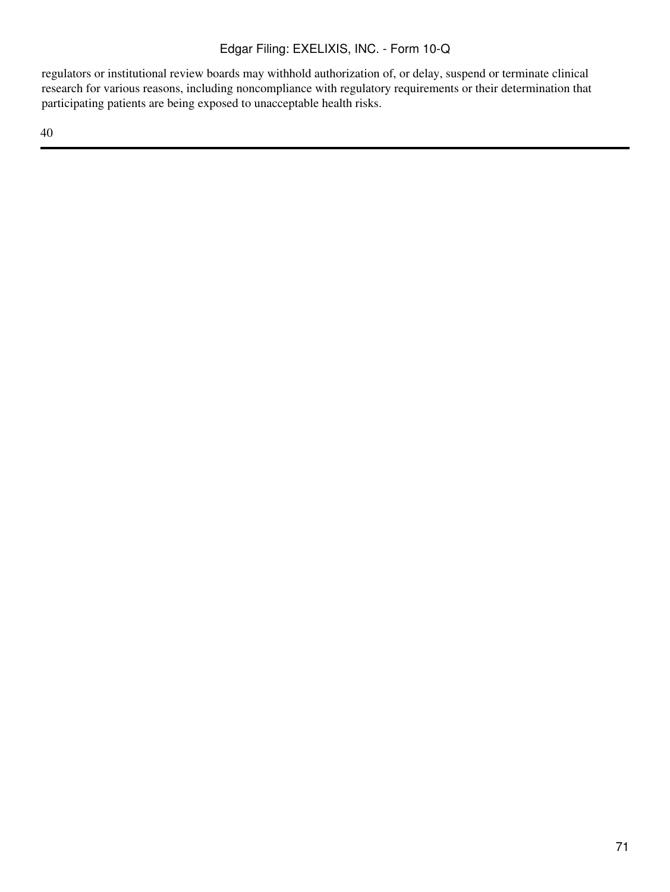regulators or institutional review boards may withhold authorization of, or delay, suspend or terminate clinical research for various reasons, including noncompliance with regulatory requirements or their determination that participating patients are being exposed to unacceptable health risks.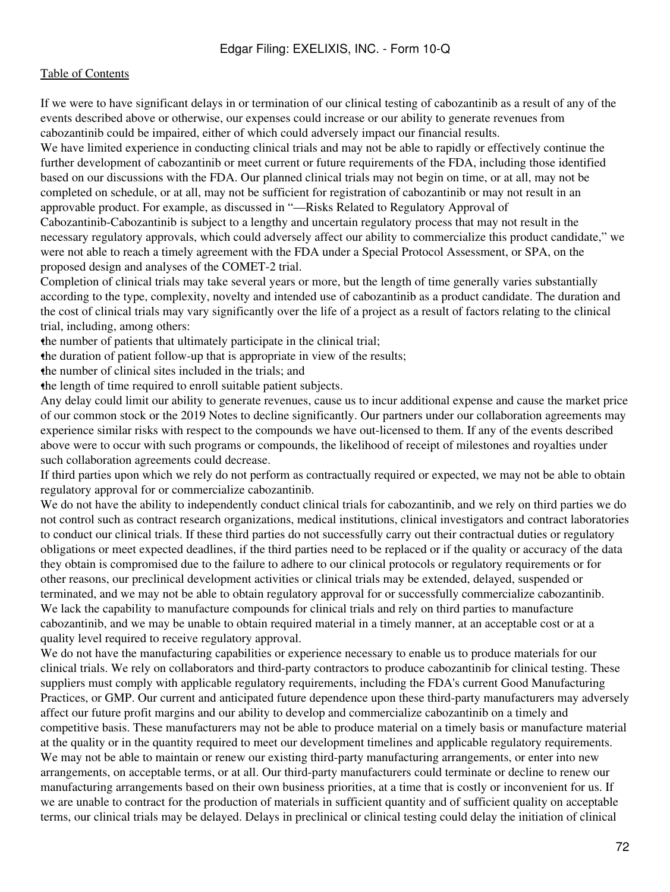If we were to have significant delays in or termination of our clinical testing of cabozantinib as a result of any of the events described above or otherwise, our expenses could increase or our ability to generate revenues from cabozantinib could be impaired, either of which could adversely impact our financial results.

We have limited experience in conducting clinical trials and may not be able to rapidly or effectively continue the further development of cabozantinib or meet current or future requirements of the FDA, including those identified based on our discussions with the FDA. Our planned clinical trials may not begin on time, or at all, may not be completed on schedule, or at all, may not be sufficient for registration of cabozantinib or may not result in an approvable product. For example, as discussed in "—Risks Related to Regulatory Approval of

Cabozantinib-Cabozantinib is subject to a lengthy and uncertain regulatory process that may not result in the necessary regulatory approvals, which could adversely affect our ability to commercialize this product candidate," we were not able to reach a timely agreement with the FDA under a Special Protocol Assessment, or SPA, on the proposed design and analyses of the COMET-2 trial.

Completion of clinical trials may take several years or more, but the length of time generally varies substantially according to the type, complexity, novelty and intended use of cabozantinib as a product candidate. The duration and the cost of clinical trials may vary significantly over the life of a project as a result of factors relating to the clinical trial, including, among others:

•the number of patients that ultimately participate in the clinical trial;

•the duration of patient follow-up that is appropriate in view of the results;

the number of clinical sites included in the trials; and

•the length of time required to enroll suitable patient subjects.

Any delay could limit our ability to generate revenues, cause us to incur additional expense and cause the market price of our common stock or the 2019 Notes to decline significantly. Our partners under our collaboration agreements may experience similar risks with respect to the compounds we have out-licensed to them. If any of the events described above were to occur with such programs or compounds, the likelihood of receipt of milestones and royalties under such collaboration agreements could decrease.

If third parties upon which we rely do not perform as contractually required or expected, we may not be able to obtain regulatory approval for or commercialize cabozantinib.

We do not have the ability to independently conduct clinical trials for cabozantinib, and we rely on third parties we do not control such as contract research organizations, medical institutions, clinical investigators and contract laboratories to conduct our clinical trials. If these third parties do not successfully carry out their contractual duties or regulatory obligations or meet expected deadlines, if the third parties need to be replaced or if the quality or accuracy of the data they obtain is compromised due to the failure to adhere to our clinical protocols or regulatory requirements or for other reasons, our preclinical development activities or clinical trials may be extended, delayed, suspended or terminated, and we may not be able to obtain regulatory approval for or successfully commercialize cabozantinib. We lack the capability to manufacture compounds for clinical trials and rely on third parties to manufacture cabozantinib, and we may be unable to obtain required material in a timely manner, at an acceptable cost or at a quality level required to receive regulatory approval.

We do not have the manufacturing capabilities or experience necessary to enable us to produce materials for our clinical trials. We rely on collaborators and third-party contractors to produce cabozantinib for clinical testing. These suppliers must comply with applicable regulatory requirements, including the FDA's current Good Manufacturing Practices, or GMP. Our current and anticipated future dependence upon these third-party manufacturers may adversely affect our future profit margins and our ability to develop and commercialize cabozantinib on a timely and competitive basis. These manufacturers may not be able to produce material on a timely basis or manufacture material at the quality or in the quantity required to meet our development timelines and applicable regulatory requirements. We may not be able to maintain or renew our existing third-party manufacturing arrangements, or enter into new arrangements, on acceptable terms, or at all. Our third-party manufacturers could terminate or decline to renew our manufacturing arrangements based on their own business priorities, at a time that is costly or inconvenient for us. If we are unable to contract for the production of materials in sufficient quantity and of sufficient quality on acceptable terms, our clinical trials may be delayed. Delays in preclinical or clinical testing could delay the initiation of clinical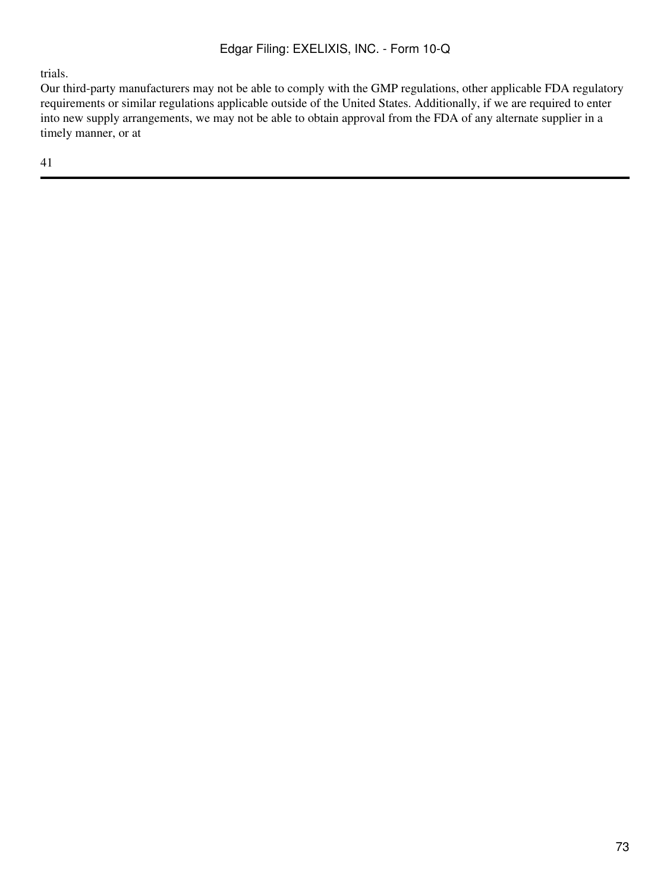trials.

Our third-party manufacturers may not be able to comply with the GMP regulations, other applicable FDA regulatory requirements or similar regulations applicable outside of the United States. Additionally, if we are required to enter into new supply arrangements, we may not be able to obtain approval from the FDA of any alternate supplier in a timely manner, or at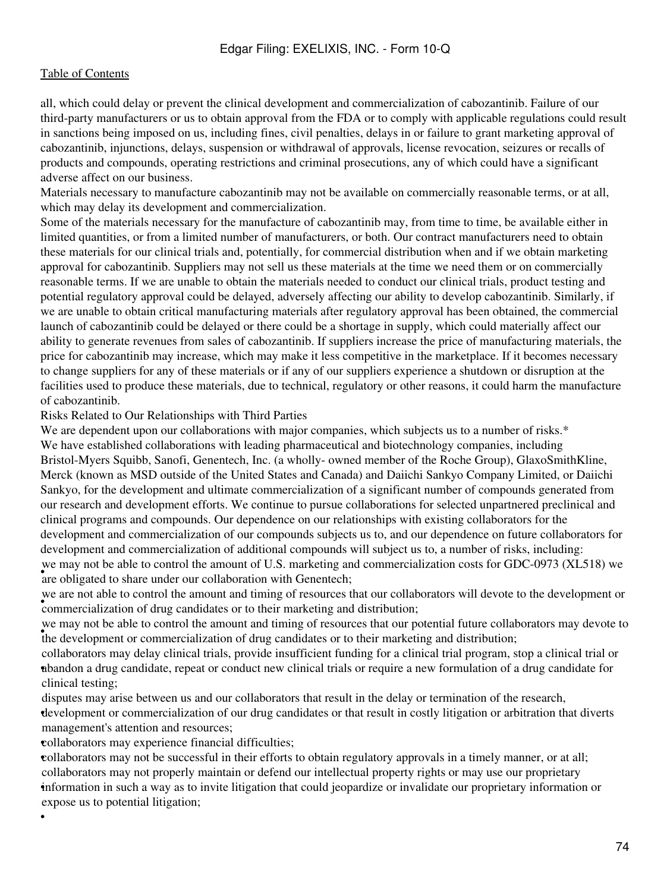all, which could delay or prevent the clinical development and commercialization of cabozantinib. Failure of our third-party manufacturers or us to obtain approval from the FDA or to comply with applicable regulations could result in sanctions being imposed on us, including fines, civil penalties, delays in or failure to grant marketing approval of cabozantinib, injunctions, delays, suspension or withdrawal of approvals, license revocation, seizures or recalls of products and compounds, operating restrictions and criminal prosecutions, any of which could have a significant adverse affect on our business.

Materials necessary to manufacture cabozantinib may not be available on commercially reasonable terms, or at all, which may delay its development and commercialization.

Some of the materials necessary for the manufacture of cabozantinib may, from time to time, be available either in limited quantities, or from a limited number of manufacturers, or both. Our contract manufacturers need to obtain these materials for our clinical trials and, potentially, for commercial distribution when and if we obtain marketing approval for cabozantinib. Suppliers may not sell us these materials at the time we need them or on commercially reasonable terms. If we are unable to obtain the materials needed to conduct our clinical trials, product testing and potential regulatory approval could be delayed, adversely affecting our ability to develop cabozantinib. Similarly, if we are unable to obtain critical manufacturing materials after regulatory approval has been obtained, the commercial launch of cabozantinib could be delayed or there could be a shortage in supply, which could materially affect our ability to generate revenues from sales of cabozantinib. If suppliers increase the price of manufacturing materials, the price for cabozantinib may increase, which may make it less competitive in the marketplace. If it becomes necessary to change suppliers for any of these materials or if any of our suppliers experience a shutdown or disruption at the facilities used to produce these materials, due to technical, regulatory or other reasons, it could harm the manufacture of cabozantinib.

#### Risks Related to Our Relationships with Third Parties

We are dependent upon our collaborations with major companies, which subjects us to a number of risks.\* We have established collaborations with leading pharmaceutical and biotechnology companies, including Bristol-Myers Squibb, Sanofi, Genentech, Inc. (a wholly- owned member of the Roche Group), GlaxoSmithKline, Merck (known as MSD outside of the United States and Canada) and Daiichi Sankyo Company Limited, or Daiichi Sankyo, for the development and ultimate commercialization of a significant number of compounds generated from our research and development efforts. We continue to pursue collaborations for selected unpartnered preclinical and clinical programs and compounds. Our dependence on our relationships with existing collaborators for the development and commercialization of our compounds subjects us to, and our dependence on future collaborators for development and commercialization of additional compounds will subject us to, a number of risks, including: we may not be able to control the amount of 0.9. marketing an are obligated to share under our collaboration with Genentech; we may not be able to control the amount of U.S. marketing and commercialization costs for GDC-0973 (XL518) we

For the flot dote to conflict the amount and thing of resources that our conditions. we are not able to control the amount and timing of resources that our collaborators will devote to the development or

the development or commercialization of drug candidates or to their marketing and distribution; we may not be able to control the amount and timing of resources that our potential future collaborators may devote to

• abandon a drug candidate, repeat or conduct new clinical trials or require a new formulation of a drug candidate for collaborators may delay clinical trials, provide insufficient funding for a clinical trial program, stop a clinical trial or clinical testing;

• development or commercialization of our drug candidates or that result in costly litigation or arbitration that diverts disputes may arise between us and our collaborators that result in the delay or termination of the research, management's attention and resources;

•collaborators may experience financial difficulties;

•

•collaborators may not be successful in their efforts to obtain regulatory approvals in a timely manner, or at all; • information in such a way as to invite litigation that could jeopardize or invalidate our proprietary information or collaborators may not properly maintain or defend our intellectual property rights or may use our proprietary expose us to potential litigation;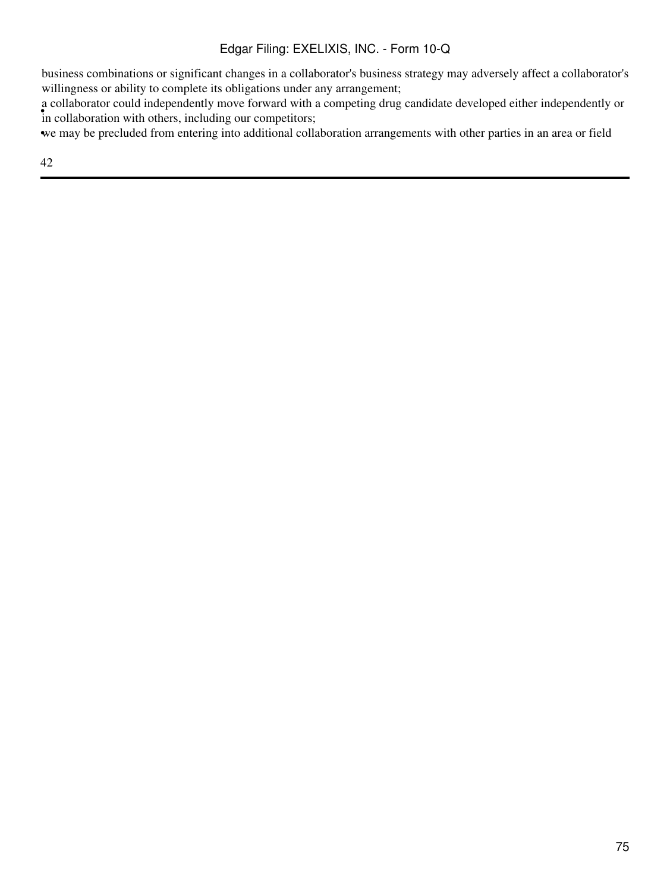business combinations or significant changes in a collaborator's business strategy may adversely affect a collaborator's willingness or ability to complete its obligations under any arrangement;

in collaboration with others, including our competitors; a collaborator could independently move forward with a competing drug candidate developed either independently or

•we may be precluded from entering into additional collaboration arrangements with other parties in an area or field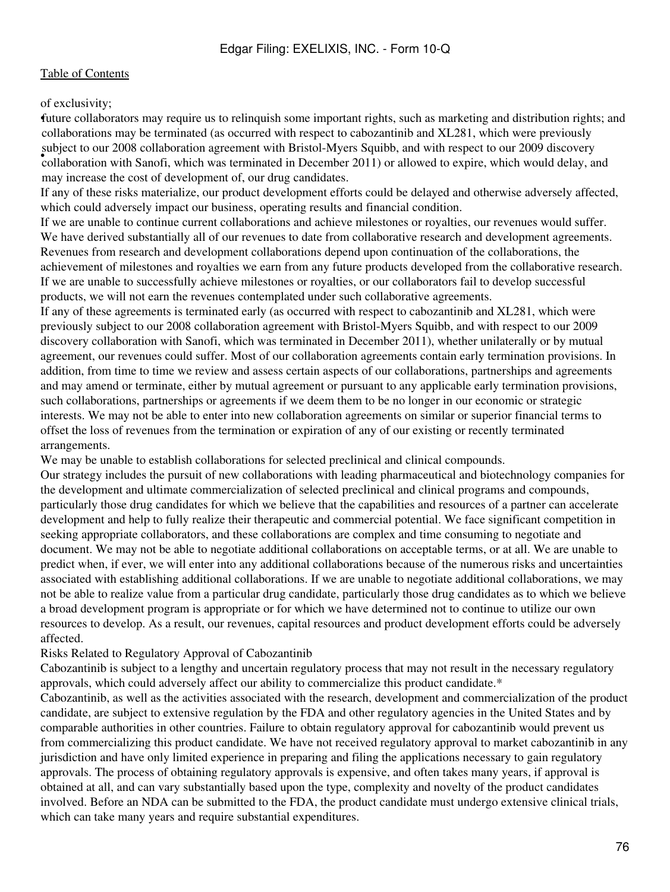#### of exclusivity;

•future collaborators may require us to relinquish some important rights, such as marketing and distribution rights; and subject to our 2000 condoordinon agreement with Bristor Hyers Squroo, and with respect to our 2009 discovery collaboration with Sanofi, which was terminated in December 2011) or allowed to expire, which would delay, and collaborations may be terminated (as occurred with respect to cabozantinib and XL281, which were previously subject to our 2008 collaboration agreement with Bristol-Myers Squibb, and with respect to our 2009 discovery may increase the cost of development of, our drug candidates.

If any of these risks materialize, our product development efforts could be delayed and otherwise adversely affected, which could adversely impact our business, operating results and financial condition.

If we are unable to continue current collaborations and achieve milestones or royalties, our revenues would suffer. We have derived substantially all of our revenues to date from collaborative research and development agreements. Revenues from research and development collaborations depend upon continuation of the collaborations, the achievement of milestones and royalties we earn from any future products developed from the collaborative research. If we are unable to successfully achieve milestones or royalties, or our collaborators fail to develop successful products, we will not earn the revenues contemplated under such collaborative agreements.

If any of these agreements is terminated early (as occurred with respect to cabozantinib and XL281, which were previously subject to our 2008 collaboration agreement with Bristol-Myers Squibb, and with respect to our 2009 discovery collaboration with Sanofi, which was terminated in December 2011), whether unilaterally or by mutual agreement, our revenues could suffer. Most of our collaboration agreements contain early termination provisions. In addition, from time to time we review and assess certain aspects of our collaborations, partnerships and agreements and may amend or terminate, either by mutual agreement or pursuant to any applicable early termination provisions, such collaborations, partnerships or agreements if we deem them to be no longer in our economic or strategic interests. We may not be able to enter into new collaboration agreements on similar or superior financial terms to offset the loss of revenues from the termination or expiration of any of our existing or recently terminated arrangements.

We may be unable to establish collaborations for selected preclinical and clinical compounds.

Our strategy includes the pursuit of new collaborations with leading pharmaceutical and biotechnology companies for the development and ultimate commercialization of selected preclinical and clinical programs and compounds, particularly those drug candidates for which we believe that the capabilities and resources of a partner can accelerate development and help to fully realize their therapeutic and commercial potential. We face significant competition in seeking appropriate collaborators, and these collaborations are complex and time consuming to negotiate and document. We may not be able to negotiate additional collaborations on acceptable terms, or at all. We are unable to predict when, if ever, we will enter into any additional collaborations because of the numerous risks and uncertainties associated with establishing additional collaborations. If we are unable to negotiate additional collaborations, we may not be able to realize value from a particular drug candidate, particularly those drug candidates as to which we believe a broad development program is appropriate or for which we have determined not to continue to utilize our own resources to develop. As a result, our revenues, capital resources and product development efforts could be adversely affected.

Risks Related to Regulatory Approval of Cabozantinib

Cabozantinib is subject to a lengthy and uncertain regulatory process that may not result in the necessary regulatory approvals, which could adversely affect our ability to commercialize this product candidate.\*

Cabozantinib, as well as the activities associated with the research, development and commercialization of the product candidate, are subject to extensive regulation by the FDA and other regulatory agencies in the United States and by comparable authorities in other countries. Failure to obtain regulatory approval for cabozantinib would prevent us from commercializing this product candidate. We have not received regulatory approval to market cabozantinib in any jurisdiction and have only limited experience in preparing and filing the applications necessary to gain regulatory approvals. The process of obtaining regulatory approvals is expensive, and often takes many years, if approval is obtained at all, and can vary substantially based upon the type, complexity and novelty of the product candidates involved. Before an NDA can be submitted to the FDA, the product candidate must undergo extensive clinical trials, which can take many years and require substantial expenditures.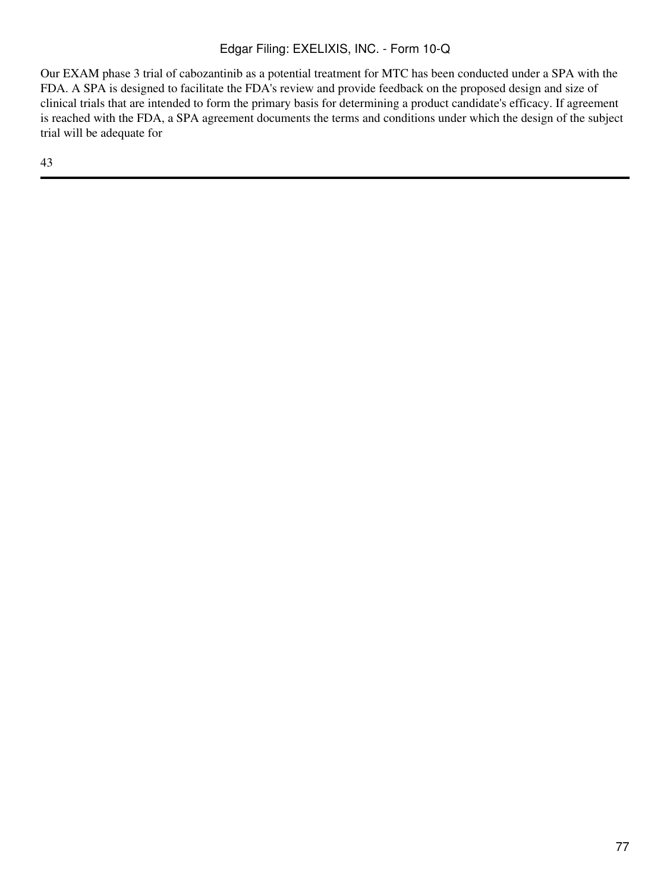Our EXAM phase 3 trial of cabozantinib as a potential treatment for MTC has been conducted under a SPA with the FDA. A SPA is designed to facilitate the FDA's review and provide feedback on the proposed design and size of clinical trials that are intended to form the primary basis for determining a product candidate's efficacy. If agreement is reached with the FDA, a SPA agreement documents the terms and conditions under which the design of the subject trial will be adequate for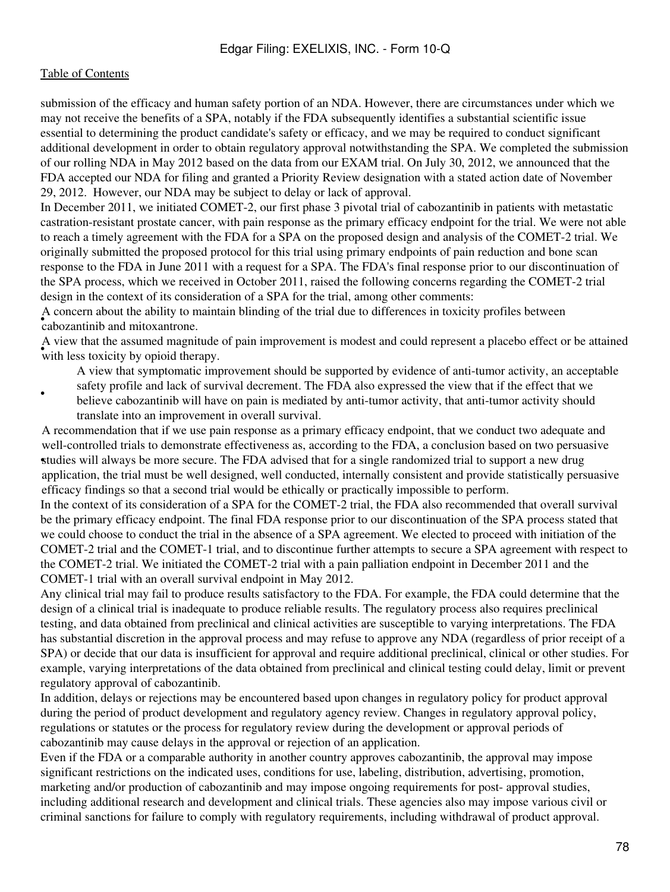submission of the efficacy and human safety portion of an NDA. However, there are circumstances under which we may not receive the benefits of a SPA, notably if the FDA subsequently identifies a substantial scientific issue essential to determining the product candidate's safety or efficacy, and we may be required to conduct significant additional development in order to obtain regulatory approval notwithstanding the SPA. We completed the submission of our rolling NDA in May 2012 based on the data from our EXAM trial. On July 30, 2012, we announced that the FDA accepted our NDA for filing and granted a Priority Review designation with a stated action date of November 29, 2012. However, our NDA may be subject to delay or lack of approval.

In December 2011, we initiated COMET-2, our first phase 3 pivotal trial of cabozantinib in patients with metastatic castration-resistant prostate cancer, with pain response as the primary efficacy endpoint for the trial. We were not able to reach a timely agreement with the FDA for a SPA on the proposed design and analysis of the COMET-2 trial. We originally submitted the proposed protocol for this trial using primary endpoints of pain reduction and bone scan response to the FDA in June 2011 with a request for a SPA. The FDA's final response prior to our discontinuation of the SPA process, which we received in October 2011, raised the following concerns regarding the COMET-2 trial design in the context of its consideration of a SPA for the trial, among other comments:

• concern about the ability to help A concern about the ability to maintain blinding of the trial due to differences in toxicity profiles between

with less toxicity by opioid therapy. A view that the assumed magnitude of pain improvement is modest and could represent a placebo effect or be attained

A view that symptomatic improvement should be supported by evidence of anti-tumor activity, an acceptable safety profile and lack of survival decrement. The FDA also expressed the view that if the effect that we

• believe cabozantinib will have on pain is mediated by anti-tumor activity, that anti-tumor activity should translate into an improvement in overall survival.

• studies will always be more secure. The FDA advised that for a single randomized trial to support a new drug A recommendation that if we use pain response as a primary efficacy endpoint, that we conduct two adequate and well-controlled trials to demonstrate effectiveness as, according to the FDA, a conclusion based on two persuasive application, the trial must be well designed, well conducted, internally consistent and provide statistically persuasive efficacy findings so that a second trial would be ethically or practically impossible to perform.

In the context of its consideration of a SPA for the COMET-2 trial, the FDA also recommended that overall survival be the primary efficacy endpoint. The final FDA response prior to our discontinuation of the SPA process stated that we could choose to conduct the trial in the absence of a SPA agreement. We elected to proceed with initiation of the COMET-2 trial and the COMET-1 trial, and to discontinue further attempts to secure a SPA agreement with respect to the COMET-2 trial. We initiated the COMET-2 trial with a pain palliation endpoint in December 2011 and the COMET-1 trial with an overall survival endpoint in May 2012.

Any clinical trial may fail to produce results satisfactory to the FDA. For example, the FDA could determine that the design of a clinical trial is inadequate to produce reliable results. The regulatory process also requires preclinical testing, and data obtained from preclinical and clinical activities are susceptible to varying interpretations. The FDA has substantial discretion in the approval process and may refuse to approve any NDA (regardless of prior receipt of a SPA) or decide that our data is insufficient for approval and require additional preclinical, clinical or other studies. For example, varying interpretations of the data obtained from preclinical and clinical testing could delay, limit or prevent regulatory approval of cabozantinib.

In addition, delays or rejections may be encountered based upon changes in regulatory policy for product approval during the period of product development and regulatory agency review. Changes in regulatory approval policy, regulations or statutes or the process for regulatory review during the development or approval periods of cabozantinib may cause delays in the approval or rejection of an application.

Even if the FDA or a comparable authority in another country approves cabozantinib, the approval may impose significant restrictions on the indicated uses, conditions for use, labeling, distribution, advertising, promotion, marketing and/or production of cabozantinib and may impose ongoing requirements for post- approval studies, including additional research and development and clinical trials. These agencies also may impose various civil or criminal sanctions for failure to comply with regulatory requirements, including withdrawal of product approval.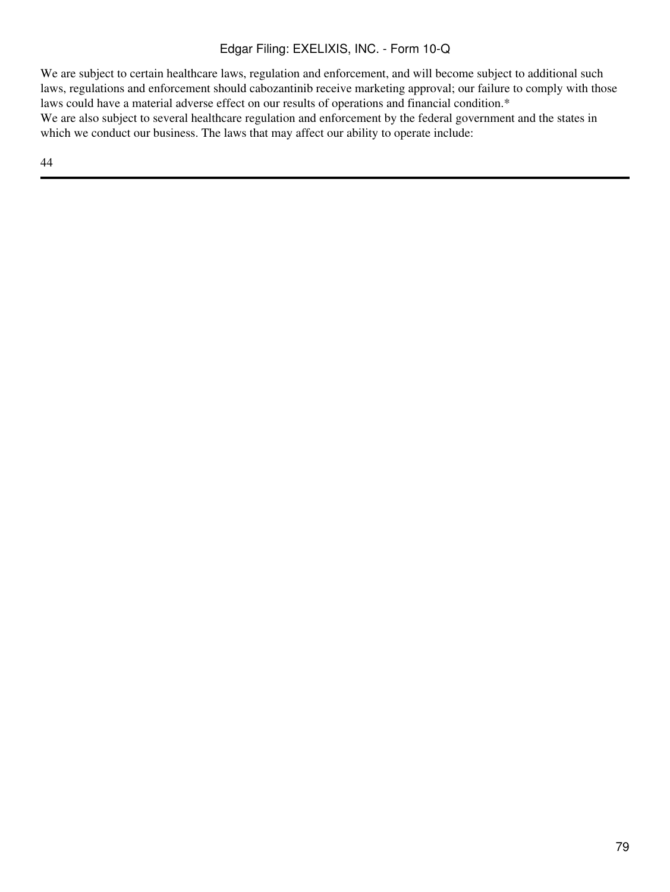We are subject to certain healthcare laws, regulation and enforcement, and will become subject to additional such laws, regulations and enforcement should cabozantinib receive marketing approval; our failure to comply with those laws could have a material adverse effect on our results of operations and financial condition.\* We are also subject to several healthcare regulation and enforcement by the federal government and the states in which we conduct our business. The laws that may affect our ability to operate include: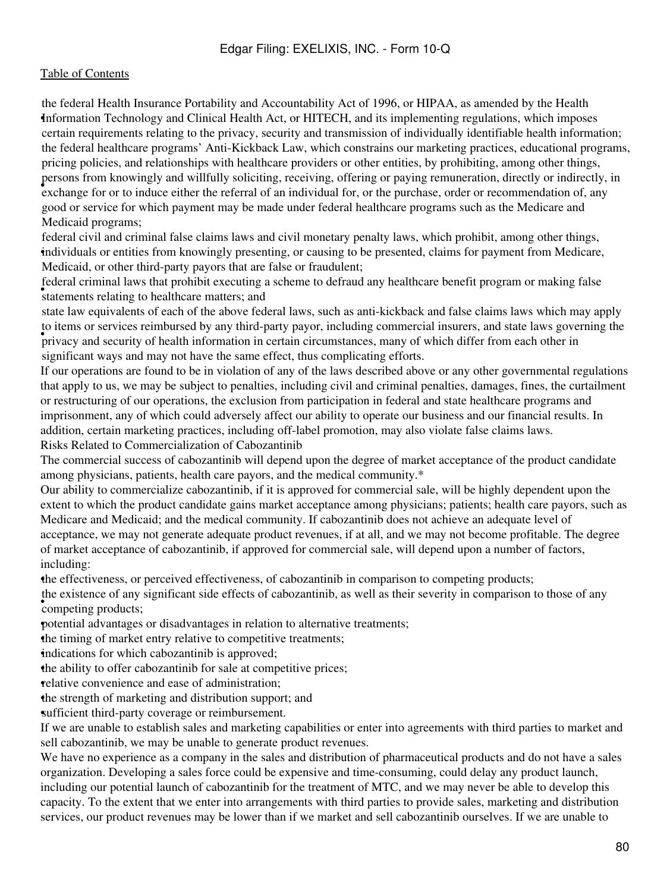Information Technology and Clinical Health Act, or HITECH, and its implementing regulations, which imposes the federal Health Insurance Portability and Accountability Act of 1996, or HIPAA, as amended by the Health certain requirements relating to the privacy, security and transmission of individually identifiable health information; • exchange for or to induce either the referral of an individual for, or the purchase, order or recommendation of, any the federal healthcare programs' Anti-Kickback Law, which constrains our marketing practices, educational programs, pricing policies, and relationships with healthcare providers or other entities, by prohibiting, among other things, persons from knowingly and willfully soliciting, receiving, offering or paying remuneration, directly or indirectly, in good or service for which payment may be made under federal healthcare programs such as the Medicare and Medicaid programs;

• individuals or entities from knowingly presenting, or causing to be presented, claims for payment from Medicare, federal civil and criminal false claims laws and civil monetary penalty laws, which prohibit, among other things, Medicaid, or other third-party payors that are false or fraudulent;

statements relating to healthcare matters; and federal criminal laws that prohibit executing a scheme to defraud any healthcare benefit program or making false

privacy and security of health information in certain circumstances, many of which differ from each other in state law equivalents of each of the above federal laws, such as anti-kickback and false claims laws which may apply to items or services reimbursed by any third-party payor, including commercial insurers, and state laws governing the significant ways and may not have the same effect, thus complicating efforts.

If our operations are found to be in violation of any of the laws described above or any other governmental regulations that apply to us, we may be subject to penalties, including civil and criminal penalties, damages, fines, the curtailment or restructuring of our operations, the exclusion from participation in federal and state healthcare programs and imprisonment, any of which could adversely affect our ability to operate our business and our financial results. In addition, certain marketing practices, including off-label promotion, may also violate false claims laws. Risks Related to Commercialization of Cabozantinib

The commercial success of cabozantinib will depend upon the degree of market acceptance of the product candidate among physicians, patients, health care payors, and the medical community.\*

Our ability to commercialize cabozantinib, if it is approved for commercial sale, will be highly dependent upon the extent to which the product candidate gains market acceptance among physicians; patients; health care payors, such as Medicare and Medicaid; and the medical community. If cabozantinib does not achieve an adequate level of

acceptance, we may not generate adequate product revenues, if at all, and we may not become profitable. The degree of market acceptance of cabozantinib, if approved for commercial sale, will depend upon a number of factors, including:

•the effectiveness, or perceived effectiveness, of cabozantinib in comparison to competing products;

**COMPETER** products; the existence of any significant side effects of cabozantinib, as well as their severity in comparison to those of any

•potential advantages or disadvantages in relation to alternative treatments;

the timing of market entry relative to competitive treatments;

indications for which cabozantinib is approved;

the ability to offer cabozantinib for sale at competitive prices;

•relative convenience and ease of administration;

•the strength of marketing and distribution support; and

sufficient third-party coverage or reimbursement.

If we are unable to establish sales and marketing capabilities or enter into agreements with third parties to market and sell cabozantinib, we may be unable to generate product revenues.

We have no experience as a company in the sales and distribution of pharmaceutical products and do not have a sales organization. Developing a sales force could be expensive and time-consuming, could delay any product launch, including our potential launch of cabozantinib for the treatment of MTC, and we may never be able to develop this

capacity. To the extent that we enter into arrangements with third parties to provide sales, marketing and distribution services, our product revenues may be lower than if we market and sell cabozantinib ourselves. If we are unable to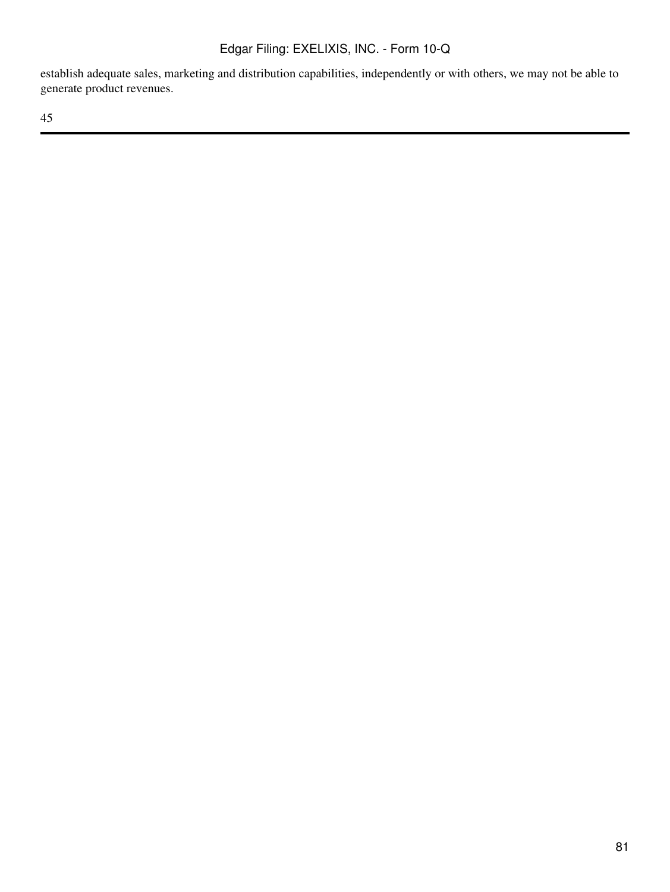establish adequate sales, marketing and distribution capabilities, independently or with others, we may not be able to generate product revenues.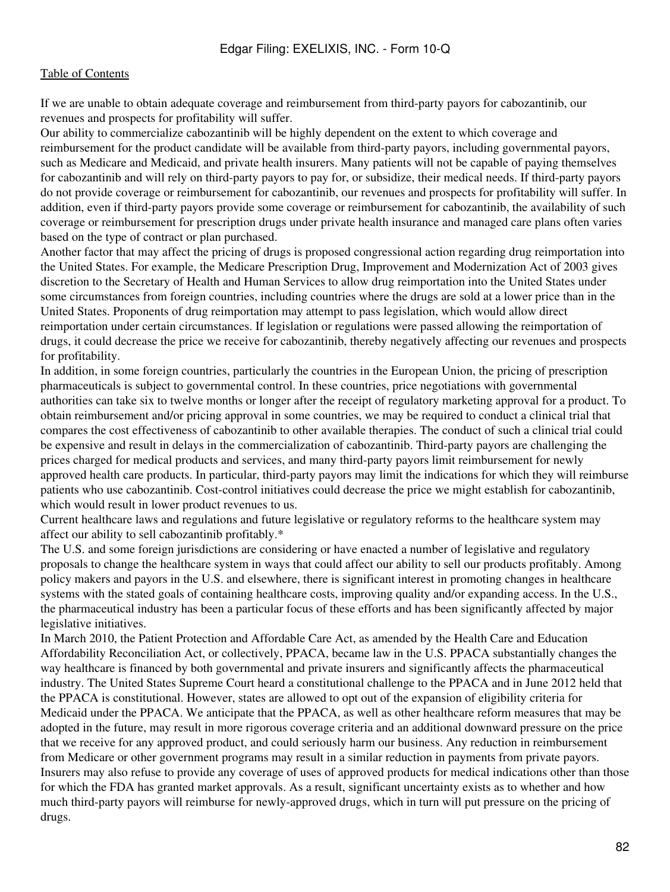If we are unable to obtain adequate coverage and reimbursement from third-party payors for cabozantinib, our revenues and prospects for profitability will suffer.

Our ability to commercialize cabozantinib will be highly dependent on the extent to which coverage and reimbursement for the product candidate will be available from third-party payors, including governmental payors, such as Medicare and Medicaid, and private health insurers. Many patients will not be capable of paying themselves for cabozantinib and will rely on third-party payors to pay for, or subsidize, their medical needs. If third-party payors do not provide coverage or reimbursement for cabozantinib, our revenues and prospects for profitability will suffer. In addition, even if third-party payors provide some coverage or reimbursement for cabozantinib, the availability of such coverage or reimbursement for prescription drugs under private health insurance and managed care plans often varies based on the type of contract or plan purchased.

Another factor that may affect the pricing of drugs is proposed congressional action regarding drug reimportation into the United States. For example, the Medicare Prescription Drug, Improvement and Modernization Act of 2003 gives discretion to the Secretary of Health and Human Services to allow drug reimportation into the United States under some circumstances from foreign countries, including countries where the drugs are sold at a lower price than in the United States. Proponents of drug reimportation may attempt to pass legislation, which would allow direct reimportation under certain circumstances. If legislation or regulations were passed allowing the reimportation of drugs, it could decrease the price we receive for cabozantinib, thereby negatively affecting our revenues and prospects for profitability.

In addition, in some foreign countries, particularly the countries in the European Union, the pricing of prescription pharmaceuticals is subject to governmental control. In these countries, price negotiations with governmental authorities can take six to twelve months or longer after the receipt of regulatory marketing approval for a product. To obtain reimbursement and/or pricing approval in some countries, we may be required to conduct a clinical trial that compares the cost effectiveness of cabozantinib to other available therapies. The conduct of such a clinical trial could be expensive and result in delays in the commercialization of cabozantinib. Third-party payors are challenging the prices charged for medical products and services, and many third-party payors limit reimbursement for newly approved health care products. In particular, third-party payors may limit the indications for which they will reimburse patients who use cabozantinib. Cost-control initiatives could decrease the price we might establish for cabozantinib, which would result in lower product revenues to us.

Current healthcare laws and regulations and future legislative or regulatory reforms to the healthcare system may affect our ability to sell cabozantinib profitably.\*

The U.S. and some foreign jurisdictions are considering or have enacted a number of legislative and regulatory proposals to change the healthcare system in ways that could affect our ability to sell our products profitably. Among policy makers and payors in the U.S. and elsewhere, there is significant interest in promoting changes in healthcare systems with the stated goals of containing healthcare costs, improving quality and/or expanding access. In the U.S., the pharmaceutical industry has been a particular focus of these efforts and has been significantly affected by major legislative initiatives.

In March 2010, the Patient Protection and Affordable Care Act, as amended by the Health Care and Education Affordability Reconciliation Act, or collectively, PPACA, became law in the U.S. PPACA substantially changes the way healthcare is financed by both governmental and private insurers and significantly affects the pharmaceutical industry. The United States Supreme Court heard a constitutional challenge to the PPACA and in June 2012 held that the PPACA is constitutional. However, states are allowed to opt out of the expansion of eligibility criteria for Medicaid under the PPACA. We anticipate that the PPACA, as well as other healthcare reform measures that may be adopted in the future, may result in more rigorous coverage criteria and an additional downward pressure on the price that we receive for any approved product, and could seriously harm our business. Any reduction in reimbursement from Medicare or other government programs may result in a similar reduction in payments from private payors. Insurers may also refuse to provide any coverage of uses of approved products for medical indications other than those for which the FDA has granted market approvals. As a result, significant uncertainty exists as to whether and how much third-party payors will reimburse for newly-approved drugs, which in turn will put pressure on the pricing of drugs.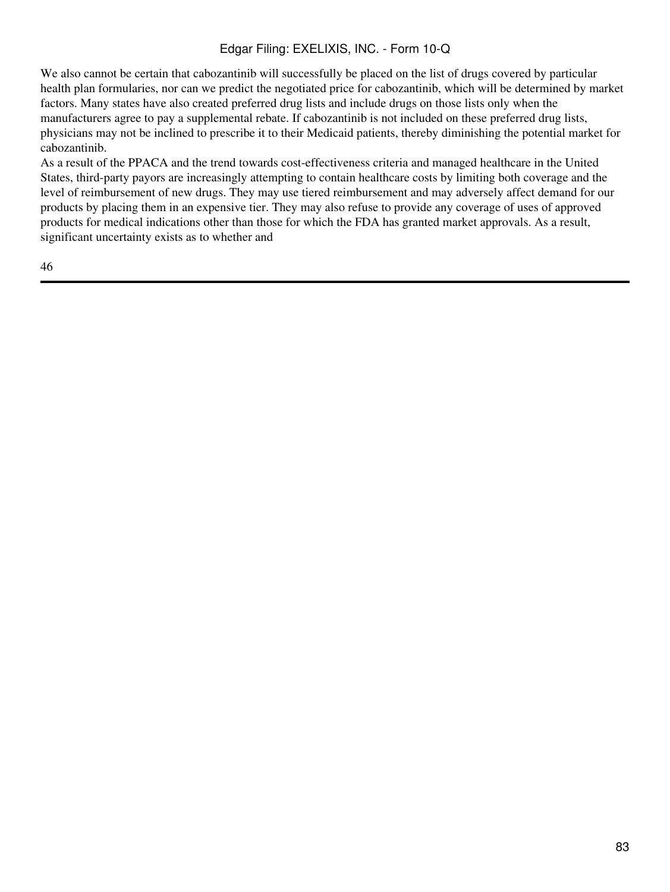We also cannot be certain that cabozantinib will successfully be placed on the list of drugs covered by particular health plan formularies, nor can we predict the negotiated price for cabozantinib, which will be determined by market factors. Many states have also created preferred drug lists and include drugs on those lists only when the manufacturers agree to pay a supplemental rebate. If cabozantinib is not included on these preferred drug lists, physicians may not be inclined to prescribe it to their Medicaid patients, thereby diminishing the potential market for cabozantinib.

As a result of the PPACA and the trend towards cost-effectiveness criteria and managed healthcare in the United States, third-party payors are increasingly attempting to contain healthcare costs by limiting both coverage and the level of reimbursement of new drugs. They may use tiered reimbursement and may adversely affect demand for our products by placing them in an expensive tier. They may also refuse to provide any coverage of uses of approved products for medical indications other than those for which the FDA has granted market approvals. As a result, significant uncertainty exists as to whether and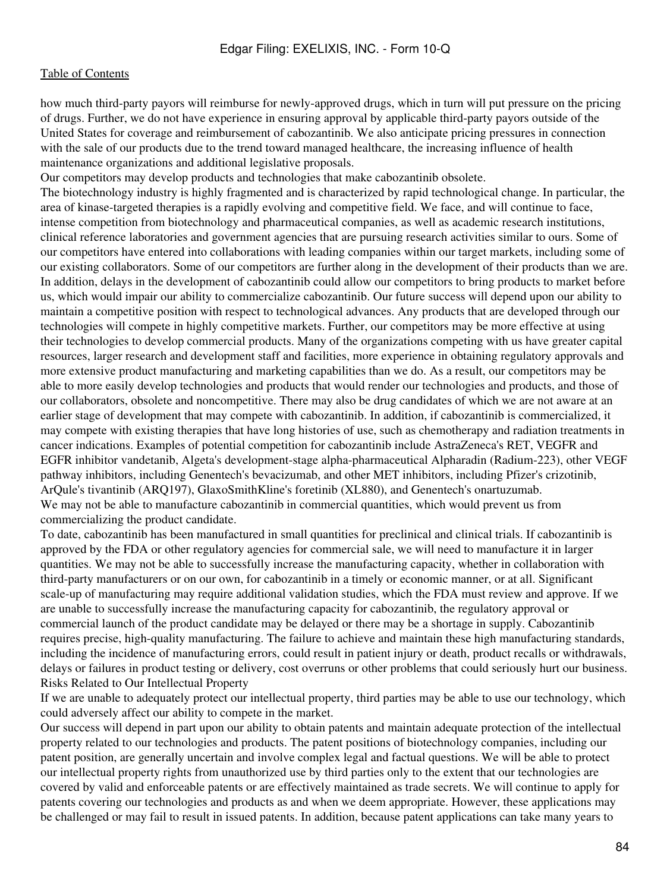how much third-party payors will reimburse for newly-approved drugs, which in turn will put pressure on the pricing of drugs. Further, we do not have experience in ensuring approval by applicable third-party payors outside of the United States for coverage and reimbursement of cabozantinib. We also anticipate pricing pressures in connection with the sale of our products due to the trend toward managed healthcare, the increasing influence of health maintenance organizations and additional legislative proposals.

Our competitors may develop products and technologies that make cabozantinib obsolete.

The biotechnology industry is highly fragmented and is characterized by rapid technological change. In particular, the area of kinase-targeted therapies is a rapidly evolving and competitive field. We face, and will continue to face, intense competition from biotechnology and pharmaceutical companies, as well as academic research institutions, clinical reference laboratories and government agencies that are pursuing research activities similar to ours. Some of our competitors have entered into collaborations with leading companies within our target markets, including some of our existing collaborators. Some of our competitors are further along in the development of their products than we are. In addition, delays in the development of cabozantinib could allow our competitors to bring products to market before us, which would impair our ability to commercialize cabozantinib. Our future success will depend upon our ability to maintain a competitive position with respect to technological advances. Any products that are developed through our technologies will compete in highly competitive markets. Further, our competitors may be more effective at using their technologies to develop commercial products. Many of the organizations competing with us have greater capital resources, larger research and development staff and facilities, more experience in obtaining regulatory approvals and more extensive product manufacturing and marketing capabilities than we do. As a result, our competitors may be able to more easily develop technologies and products that would render our technologies and products, and those of our collaborators, obsolete and noncompetitive. There may also be drug candidates of which we are not aware at an earlier stage of development that may compete with cabozantinib. In addition, if cabozantinib is commercialized, it may compete with existing therapies that have long histories of use, such as chemotherapy and radiation treatments in cancer indications. Examples of potential competition for cabozantinib include AstraZeneca's RET, VEGFR and EGFR inhibitor vandetanib, Algeta's development-stage alpha-pharmaceutical Alpharadin (Radium-223), other VEGF pathway inhibitors, including Genentech's bevacizumab, and other MET inhibitors, including Pfizer's crizotinib, ArQule's tivantinib (ARQ197), GlaxoSmithKline's foretinib (XL880), and Genentech's onartuzumab. We may not be able to manufacture cabozantinib in commercial quantities, which would prevent us from commercializing the product candidate.

To date, cabozantinib has been manufactured in small quantities for preclinical and clinical trials. If cabozantinib is approved by the FDA or other regulatory agencies for commercial sale, we will need to manufacture it in larger quantities. We may not be able to successfully increase the manufacturing capacity, whether in collaboration with third-party manufacturers or on our own, for cabozantinib in a timely or economic manner, or at all. Significant scale-up of manufacturing may require additional validation studies, which the FDA must review and approve. If we are unable to successfully increase the manufacturing capacity for cabozantinib, the regulatory approval or commercial launch of the product candidate may be delayed or there may be a shortage in supply. Cabozantinib requires precise, high-quality manufacturing. The failure to achieve and maintain these high manufacturing standards, including the incidence of manufacturing errors, could result in patient injury or death, product recalls or withdrawals, delays or failures in product testing or delivery, cost overruns or other problems that could seriously hurt our business. Risks Related to Our Intellectual Property

If we are unable to adequately protect our intellectual property, third parties may be able to use our technology, which could adversely affect our ability to compete in the market.

Our success will depend in part upon our ability to obtain patents and maintain adequate protection of the intellectual property related to our technologies and products. The patent positions of biotechnology companies, including our patent position, are generally uncertain and involve complex legal and factual questions. We will be able to protect our intellectual property rights from unauthorized use by third parties only to the extent that our technologies are covered by valid and enforceable patents or are effectively maintained as trade secrets. We will continue to apply for patents covering our technologies and products as and when we deem appropriate. However, these applications may be challenged or may fail to result in issued patents. In addition, because patent applications can take many years to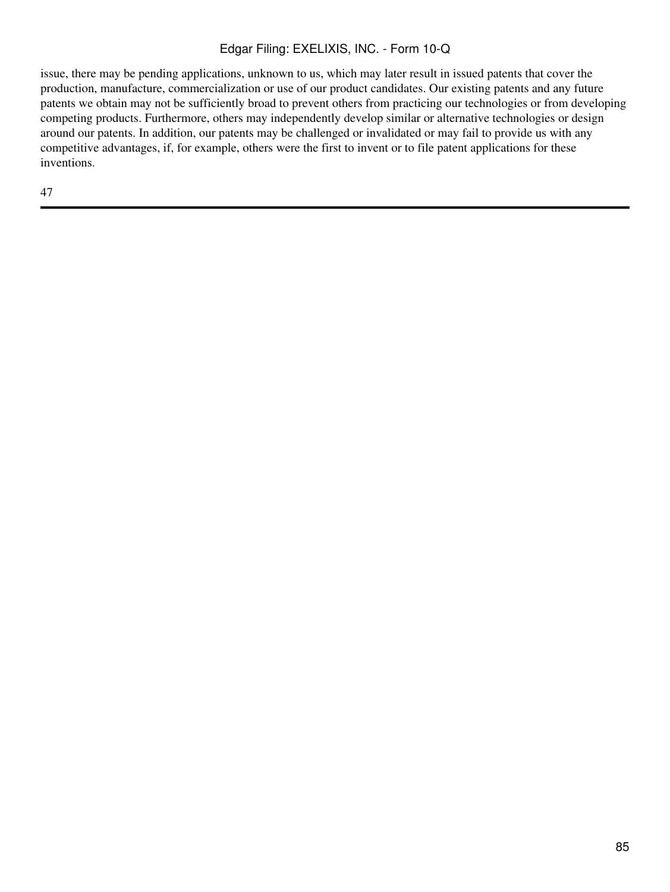issue, there may be pending applications, unknown to us, which may later result in issued patents that cover the production, manufacture, commercialization or use of our product candidates. Our existing patents and any future patents we obtain may not be sufficiently broad to prevent others from practicing our technologies or from developing competing products. Furthermore, others may independently develop similar or alternative technologies or design around our patents. In addition, our patents may be challenged or invalidated or may fail to provide us with any competitive advantages, if, for example, others were the first to invent or to file patent applications for these inventions.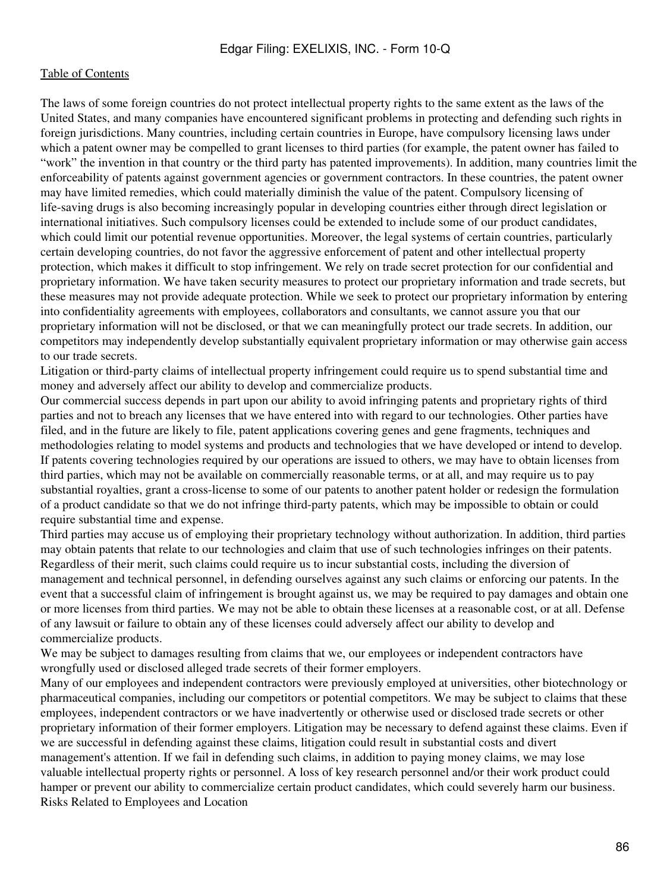The laws of some foreign countries do not protect intellectual property rights to the same extent as the laws of the United States, and many companies have encountered significant problems in protecting and defending such rights in foreign jurisdictions. Many countries, including certain countries in Europe, have compulsory licensing laws under which a patent owner may be compelled to grant licenses to third parties (for example, the patent owner has failed to "work" the invention in that country or the third party has patented improvements). In addition, many countries limit the enforceability of patents against government agencies or government contractors. In these countries, the patent owner may have limited remedies, which could materially diminish the value of the patent. Compulsory licensing of life-saving drugs is also becoming increasingly popular in developing countries either through direct legislation or international initiatives. Such compulsory licenses could be extended to include some of our product candidates, which could limit our potential revenue opportunities. Moreover, the legal systems of certain countries, particularly certain developing countries, do not favor the aggressive enforcement of patent and other intellectual property protection, which makes it difficult to stop infringement. We rely on trade secret protection for our confidential and proprietary information. We have taken security measures to protect our proprietary information and trade secrets, but these measures may not provide adequate protection. While we seek to protect our proprietary information by entering into confidentiality agreements with employees, collaborators and consultants, we cannot assure you that our proprietary information will not be disclosed, or that we can meaningfully protect our trade secrets. In addition, our competitors may independently develop substantially equivalent proprietary information or may otherwise gain access to our trade secrets.

Litigation or third-party claims of intellectual property infringement could require us to spend substantial time and money and adversely affect our ability to develop and commercialize products.

Our commercial success depends in part upon our ability to avoid infringing patents and proprietary rights of third parties and not to breach any licenses that we have entered into with regard to our technologies. Other parties have filed, and in the future are likely to file, patent applications covering genes and gene fragments, techniques and methodologies relating to model systems and products and technologies that we have developed or intend to develop. If patents covering technologies required by our operations are issued to others, we may have to obtain licenses from third parties, which may not be available on commercially reasonable terms, or at all, and may require us to pay substantial royalties, grant a cross-license to some of our patents to another patent holder or redesign the formulation of a product candidate so that we do not infringe third-party patents, which may be impossible to obtain or could require substantial time and expense.

Third parties may accuse us of employing their proprietary technology without authorization. In addition, third parties may obtain patents that relate to our technologies and claim that use of such technologies infringes on their patents. Regardless of their merit, such claims could require us to incur substantial costs, including the diversion of management and technical personnel, in defending ourselves against any such claims or enforcing our patents. In the event that a successful claim of infringement is brought against us, we may be required to pay damages and obtain one or more licenses from third parties. We may not be able to obtain these licenses at a reasonable cost, or at all. Defense of any lawsuit or failure to obtain any of these licenses could adversely affect our ability to develop and commercialize products.

We may be subject to damages resulting from claims that we, our employees or independent contractors have wrongfully used or disclosed alleged trade secrets of their former employers.

Many of our employees and independent contractors were previously employed at universities, other biotechnology or pharmaceutical companies, including our competitors or potential competitors. We may be subject to claims that these employees, independent contractors or we have inadvertently or otherwise used or disclosed trade secrets or other proprietary information of their former employers. Litigation may be necessary to defend against these claims. Even if we are successful in defending against these claims, litigation could result in substantial costs and divert management's attention. If we fail in defending such claims, in addition to paying money claims, we may lose valuable intellectual property rights or personnel. A loss of key research personnel and/or their work product could hamper or prevent our ability to commercialize certain product candidates, which could severely harm our business. Risks Related to Employees and Location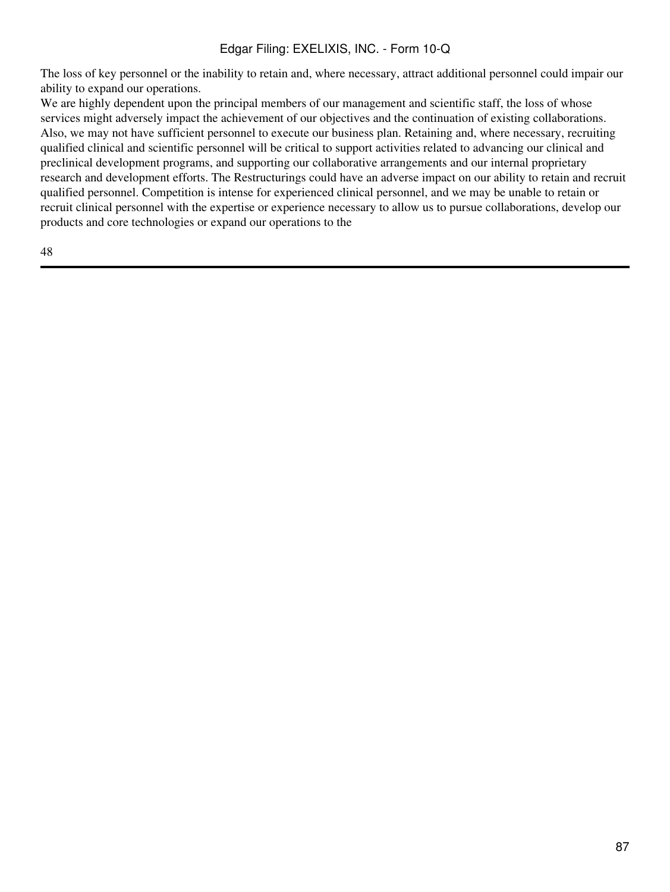The loss of key personnel or the inability to retain and, where necessary, attract additional personnel could impair our ability to expand our operations.

We are highly dependent upon the principal members of our management and scientific staff, the loss of whose services might adversely impact the achievement of our objectives and the continuation of existing collaborations. Also, we may not have sufficient personnel to execute our business plan. Retaining and, where necessary, recruiting qualified clinical and scientific personnel will be critical to support activities related to advancing our clinical and preclinical development programs, and supporting our collaborative arrangements and our internal proprietary research and development efforts. The Restructurings could have an adverse impact on our ability to retain and recruit qualified personnel. Competition is intense for experienced clinical personnel, and we may be unable to retain or recruit clinical personnel with the expertise or experience necessary to allow us to pursue collaborations, develop our products and core technologies or expand our operations to the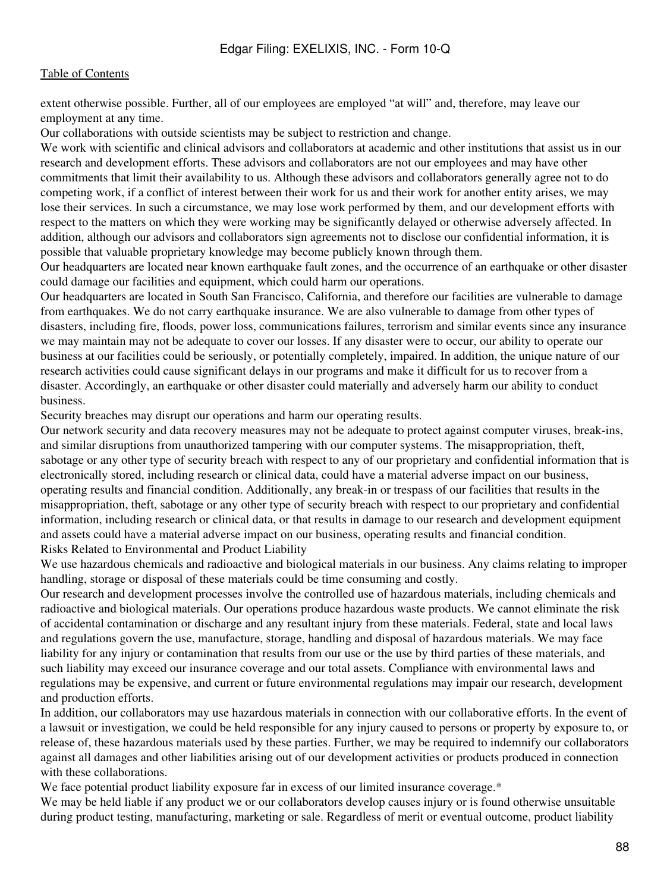extent otherwise possible. Further, all of our employees are employed "at will" and, therefore, may leave our employment at any time.

Our collaborations with outside scientists may be subject to restriction and change.

We work with scientific and clinical advisors and collaborators at academic and other institutions that assist us in our research and development efforts. These advisors and collaborators are not our employees and may have other commitments that limit their availability to us. Although these advisors and collaborators generally agree not to do competing work, if a conflict of interest between their work for us and their work for another entity arises, we may lose their services. In such a circumstance, we may lose work performed by them, and our development efforts with respect to the matters on which they were working may be significantly delayed or otherwise adversely affected. In addition, although our advisors and collaborators sign agreements not to disclose our confidential information, it is possible that valuable proprietary knowledge may become publicly known through them.

Our headquarters are located near known earthquake fault zones, and the occurrence of an earthquake or other disaster could damage our facilities and equipment, which could harm our operations.

Our headquarters are located in South San Francisco, California, and therefore our facilities are vulnerable to damage from earthquakes. We do not carry earthquake insurance. We are also vulnerable to damage from other types of disasters, including fire, floods, power loss, communications failures, terrorism and similar events since any insurance we may maintain may not be adequate to cover our losses. If any disaster were to occur, our ability to operate our business at our facilities could be seriously, or potentially completely, impaired. In addition, the unique nature of our research activities could cause significant delays in our programs and make it difficult for us to recover from a disaster. Accordingly, an earthquake or other disaster could materially and adversely harm our ability to conduct business.

Security breaches may disrupt our operations and harm our operating results.

Our network security and data recovery measures may not be adequate to protect against computer viruses, break-ins, and similar disruptions from unauthorized tampering with our computer systems. The misappropriation, theft, sabotage or any other type of security breach with respect to any of our proprietary and confidential information that is electronically stored, including research or clinical data, could have a material adverse impact on our business, operating results and financial condition. Additionally, any break-in or trespass of our facilities that results in the misappropriation, theft, sabotage or any other type of security breach with respect to our proprietary and confidential information, including research or clinical data, or that results in damage to our research and development equipment and assets could have a material adverse impact on our business, operating results and financial condition. Risks Related to Environmental and Product Liability

We use hazardous chemicals and radioactive and biological materials in our business. Any claims relating to improper handling, storage or disposal of these materials could be time consuming and costly.

Our research and development processes involve the controlled use of hazardous materials, including chemicals and radioactive and biological materials. Our operations produce hazardous waste products. We cannot eliminate the risk of accidental contamination or discharge and any resultant injury from these materials. Federal, state and local laws and regulations govern the use, manufacture, storage, handling and disposal of hazardous materials. We may face liability for any injury or contamination that results from our use or the use by third parties of these materials, and such liability may exceed our insurance coverage and our total assets. Compliance with environmental laws and regulations may be expensive, and current or future environmental regulations may impair our research, development and production efforts.

In addition, our collaborators may use hazardous materials in connection with our collaborative efforts. In the event of a lawsuit or investigation, we could be held responsible for any injury caused to persons or property by exposure to, or release of, these hazardous materials used by these parties. Further, we may be required to indemnify our collaborators against all damages and other liabilities arising out of our development activities or products produced in connection with these collaborations.

We face potential product liability exposure far in excess of our limited insurance coverage.\*

We may be held liable if any product we or our collaborators develop causes injury or is found otherwise unsuitable during product testing, manufacturing, marketing or sale. Regardless of merit or eventual outcome, product liability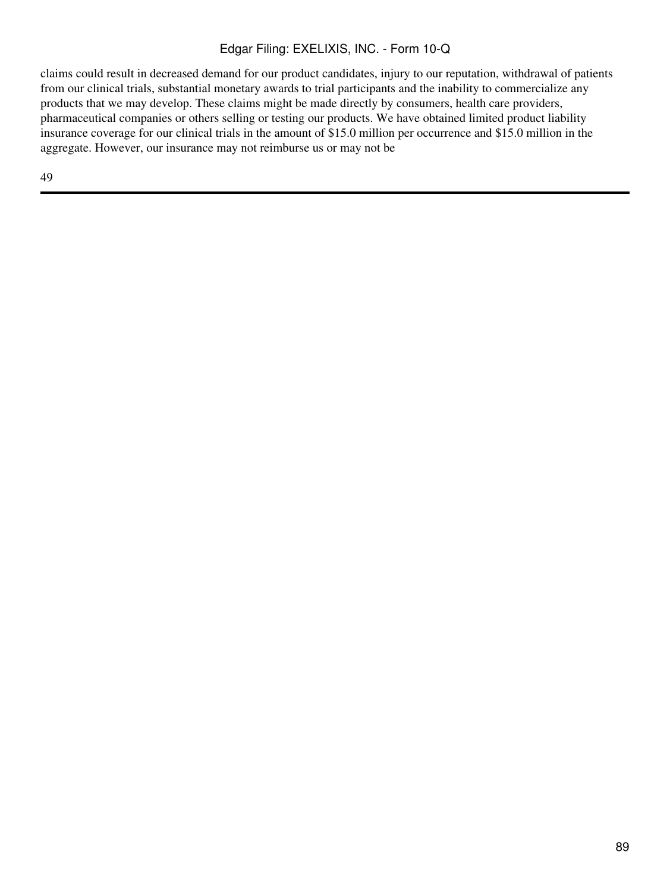claims could result in decreased demand for our product candidates, injury to our reputation, withdrawal of patients from our clinical trials, substantial monetary awards to trial participants and the inability to commercialize any products that we may develop. These claims might be made directly by consumers, health care providers, pharmaceutical companies or others selling or testing our products. We have obtained limited product liability insurance coverage for our clinical trials in the amount of \$15.0 million per occurrence and \$15.0 million in the aggregate. However, our insurance may not reimburse us or may not be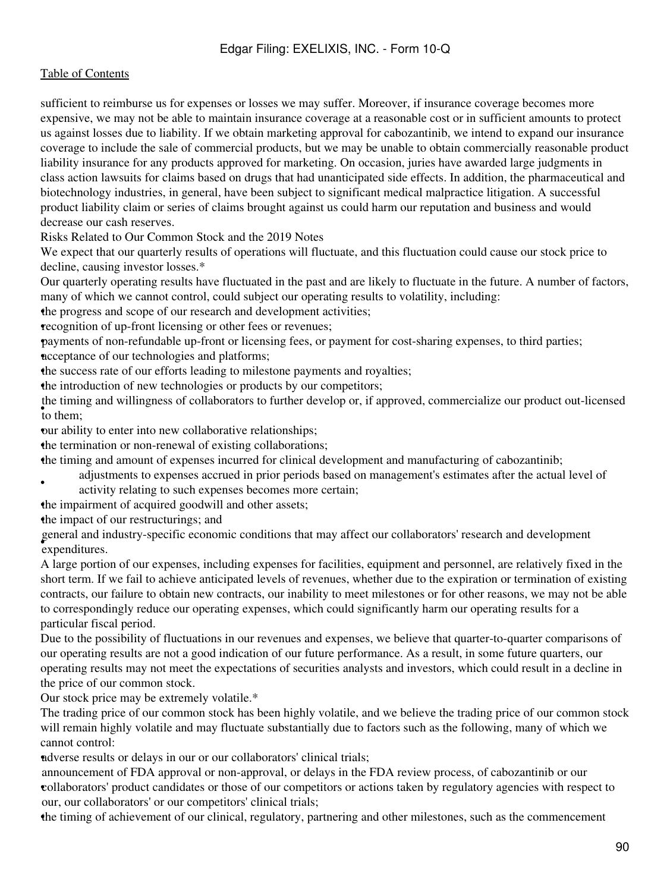### [Table of Contents](#page-2-0)

sufficient to reimburse us for expenses or losses we may suffer. Moreover, if insurance coverage becomes more expensive, we may not be able to maintain insurance coverage at a reasonable cost or in sufficient amounts to protect us against losses due to liability. If we obtain marketing approval for cabozantinib, we intend to expand our insurance coverage to include the sale of commercial products, but we may be unable to obtain commercially reasonable product liability insurance for any products approved for marketing. On occasion, juries have awarded large judgments in class action lawsuits for claims based on drugs that had unanticipated side effects. In addition, the pharmaceutical and biotechnology industries, in general, have been subject to significant medical malpractice litigation. A successful product liability claim or series of claims brought against us could harm our reputation and business and would decrease our cash reserves.

Risks Related to Our Common Stock and the 2019 Notes

We expect that our quarterly results of operations will fluctuate, and this fluctuation could cause our stock price to decline, causing investor losses.\*

Our quarterly operating results have fluctuated in the past and are likely to fluctuate in the future. A number of factors, many of which we cannot control, could subject our operating results to volatility, including:

•the progress and scope of our research and development activities;

•recognition of up-front licensing or other fees or revenues;

•payments of non-refundable up-front or licensing fees, or payment for cost-sharing expenses, to third parties; neceptance of our technologies and platforms;

•the success rate of our efforts leading to milestone payments and royalties;

the introduction of new technologies or products by our competitors;

• to them; the timing and willingness of collaborators to further develop or, if approved, commercialize our product out-licensed

•our ability to enter into new collaborative relationships;

the termination or non-renewal of existing collaborations;

•the timing and amount of expenses incurred for clinical development and manufacturing of cabozantinib;

- adjustments to expenses accrued in prior periods based on management's estimates after the actual level of
- activity relating to such expenses becomes more certain;

the impairment of acquired goodwill and other assets;

the impact of our restructurings; and

seneral and m general and industry-specific economic conditions that may affect our collaborators' research and development

A large portion of our expenses, including expenses for facilities, equipment and personnel, are relatively fixed in the short term. If we fail to achieve anticipated levels of revenues, whether due to the expiration or termination of existing contracts, our failure to obtain new contracts, our inability to meet milestones or for other reasons, we may not be able to correspondingly reduce our operating expenses, which could significantly harm our operating results for a particular fiscal period.

Due to the possibility of fluctuations in our revenues and expenses, we believe that quarter-to-quarter comparisons of our operating results are not a good indication of our future performance. As a result, in some future quarters, our operating results may not meet the expectations of securities analysts and investors, which could result in a decline in the price of our common stock.

Our stock price may be extremely volatile.\*

The trading price of our common stock has been highly volatile, and we believe the trading price of our common stock will remain highly volatile and may fluctuate substantially due to factors such as the following, many of which we cannot control:

•adverse results or delays in our or our collaborators' clinical trials;

• collaborators' product candidates or those of our competitors or actions taken by regulatory agencies with respect to announcement of FDA approval or non-approval, or delays in the FDA review process, of cabozantinib or our our, our collaborators' or our competitors' clinical trials;

•the timing of achievement of our clinical, regulatory, partnering and other milestones, such as the commencement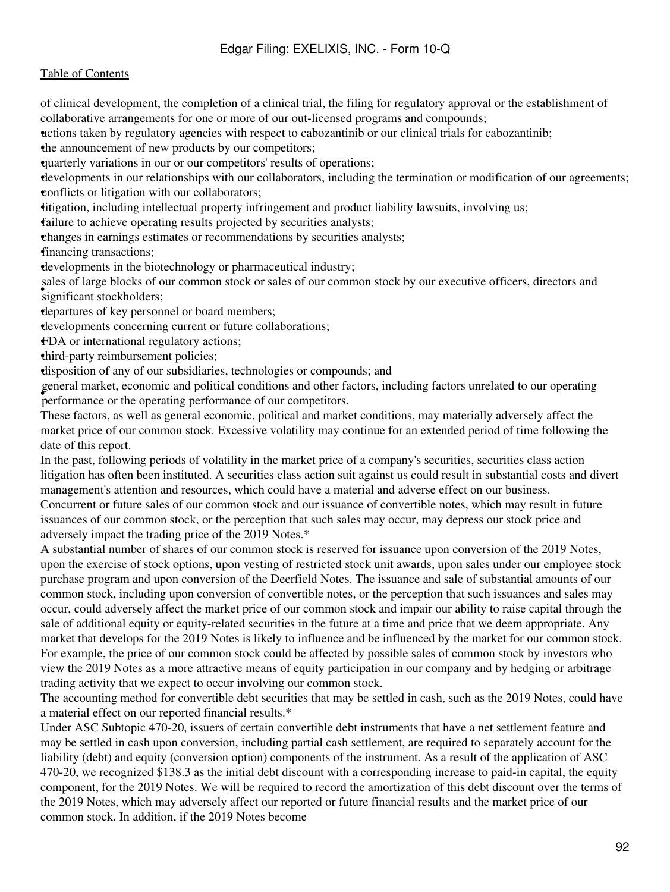### [Table of Contents](#page-2-0)

of clinical development, the completion of a clinical trial, the filing for regulatory approval or the establishment of collaborative arrangements for one or more of our out-licensed programs and compounds;

•actions taken by regulatory agencies with respect to cabozantinib or our clinical trials for cabozantinib;

the announcement of new products by our competitors;

•quarterly variations in our or our competitors' results of operations;

•developments in our relationships with our collaborators, including the termination or modification of our agreements; •conflicts or litigation with our collaborators;

•litigation, including intellectual property infringement and product liability lawsuits, involving us;

failure to achieve operating results projected by securities analysts;

•changes in earnings estimates or recommendations by securities analysts;

•financing transactions;

•developments in the biotechnology or pharmaceutical industry;

significant stockholders; sales of large blocks of our common stock or sales of our common stock by our executive officers, directors and

•departures of key personnel or board members;

•developments concerning current or future collaborations;

•FDA or international regulatory actions;

•third-party reimbursement policies;

•disposition of any of our subsidiaries, technologies or compounds; and

• performance or the operating performance of our competitors. general market, economic and political conditions and other factors, including factors unrelated to our operating

These factors, as well as general economic, political and market conditions, may materially adversely affect the market price of our common stock. Excessive volatility may continue for an extended period of time following the date of this report.

In the past, following periods of volatility in the market price of a company's securities, securities class action litigation has often been instituted. A securities class action suit against us could result in substantial costs and divert management's attention and resources, which could have a material and adverse effect on our business. Concurrent or future sales of our common stock and our issuance of convertible notes, which may result in future

issuances of our common stock, or the perception that such sales may occur, may depress our stock price and adversely impact the trading price of the 2019 Notes.\*

A substantial number of shares of our common stock is reserved for issuance upon conversion of the 2019 Notes, upon the exercise of stock options, upon vesting of restricted stock unit awards, upon sales under our employee stock purchase program and upon conversion of the Deerfield Notes. The issuance and sale of substantial amounts of our common stock, including upon conversion of convertible notes, or the perception that such issuances and sales may occur, could adversely affect the market price of our common stock and impair our ability to raise capital through the sale of additional equity or equity-related securities in the future at a time and price that we deem appropriate. Any market that develops for the 2019 Notes is likely to influence and be influenced by the market for our common stock. For example, the price of our common stock could be affected by possible sales of common stock by investors who view the 2019 Notes as a more attractive means of equity participation in our company and by hedging or arbitrage trading activity that we expect to occur involving our common stock.

The accounting method for convertible debt securities that may be settled in cash, such as the 2019 Notes, could have a material effect on our reported financial results.\*

Under ASC Subtopic 470-20, issuers of certain convertible debt instruments that have a net settlement feature and may be settled in cash upon conversion, including partial cash settlement, are required to separately account for the liability (debt) and equity (conversion option) components of the instrument. As a result of the application of ASC 470-20, we recognized \$138.3 as the initial debt discount with a corresponding increase to paid-in capital, the equity component, for the 2019 Notes. We will be required to record the amortization of this debt discount over the terms of the 2019 Notes, which may adversely affect our reported or future financial results and the market price of our common stock. In addition, if the 2019 Notes become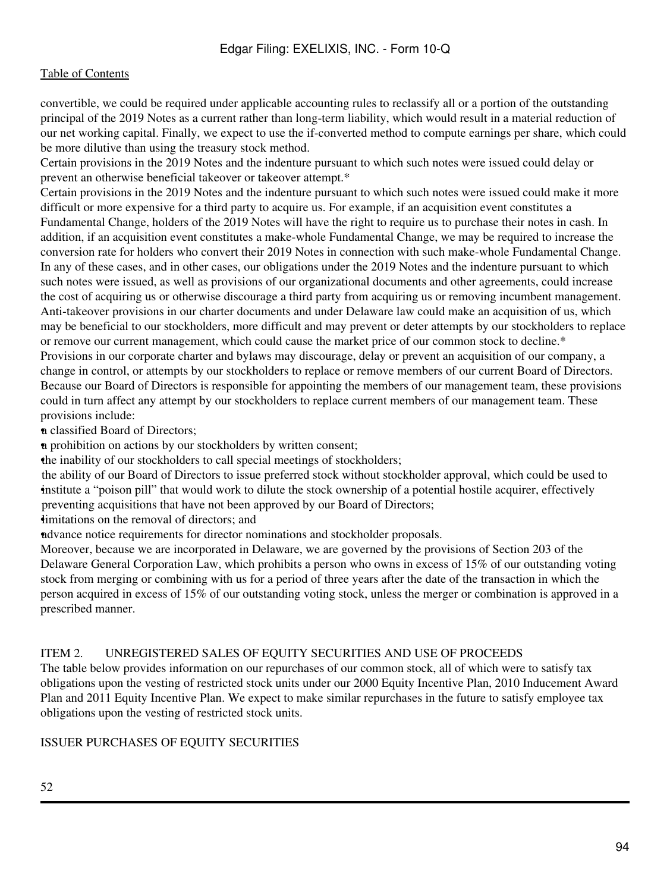convertible, we could be required under applicable accounting rules to reclassify all or a portion of the outstanding principal of the 2019 Notes as a current rather than long-term liability, which would result in a material reduction of our net working capital. Finally, we expect to use the if-converted method to compute earnings per share, which could be more dilutive than using the treasury stock method.

Certain provisions in the 2019 Notes and the indenture pursuant to which such notes were issued could delay or prevent an otherwise beneficial takeover or takeover attempt.\*

Certain provisions in the 2019 Notes and the indenture pursuant to which such notes were issued could make it more difficult or more expensive for a third party to acquire us. For example, if an acquisition event constitutes a Fundamental Change, holders of the 2019 Notes will have the right to require us to purchase their notes in cash. In addition, if an acquisition event constitutes a make-whole Fundamental Change, we may be required to increase the conversion rate for holders who convert their 2019 Notes in connection with such make-whole Fundamental Change. In any of these cases, and in other cases, our obligations under the 2019 Notes and the indenture pursuant to which such notes were issued, as well as provisions of our organizational documents and other agreements, could increase the cost of acquiring us or otherwise discourage a third party from acquiring us or removing incumbent management. Anti-takeover provisions in our charter documents and under Delaware law could make an acquisition of us, which may be beneficial to our stockholders, more difficult and may prevent or deter attempts by our stockholders to replace or remove our current management, which could cause the market price of our common stock to decline.\* Provisions in our corporate charter and bylaws may discourage, delay or prevent an acquisition of our company, a change in control, or attempts by our stockholders to replace or remove members of our current Board of Directors. Because our Board of Directors is responsible for appointing the members of our management team, these provisions could in turn affect any attempt by our stockholders to replace current members of our management team. These provisions include:

•a classified Board of Directors;

•a prohibition on actions by our stockholders by written consent;

•the inability of our stockholders to call special meetings of stockholders;

• institute a "poison pill" that would work to dilute the stock ownership of a potential hostile acquirer, effectively the ability of our Board of Directors to issue preferred stock without stockholder approval, which could be used to preventing acquisitions that have not been approved by our Board of Directors;

imitations on the removal of directors; and

•advance notice requirements for director nominations and stockholder proposals.

Moreover, because we are incorporated in Delaware, we are governed by the provisions of Section 203 of the Delaware General Corporation Law, which prohibits a person who owns in excess of 15% of our outstanding voting stock from merging or combining with us for a period of three years after the date of the transaction in which the person acquired in excess of 15% of our outstanding voting stock, unless the merger or combination is approved in a prescribed manner.

#### ITEM 2. UNREGISTERED SALES OF EQUITY SECURITIES AND USE OF PROCEEDS

The table below provides information on our repurchases of our common stock, all of which were to satisfy tax obligations upon the vesting of restricted stock units under our 2000 Equity Incentive Plan, 2010 Inducement Award Plan and 2011 Equity Incentive Plan. We expect to make similar repurchases in the future to satisfy employee tax obligations upon the vesting of restricted stock units.

#### ISSUER PURCHASES OF EQUITY SECURITIES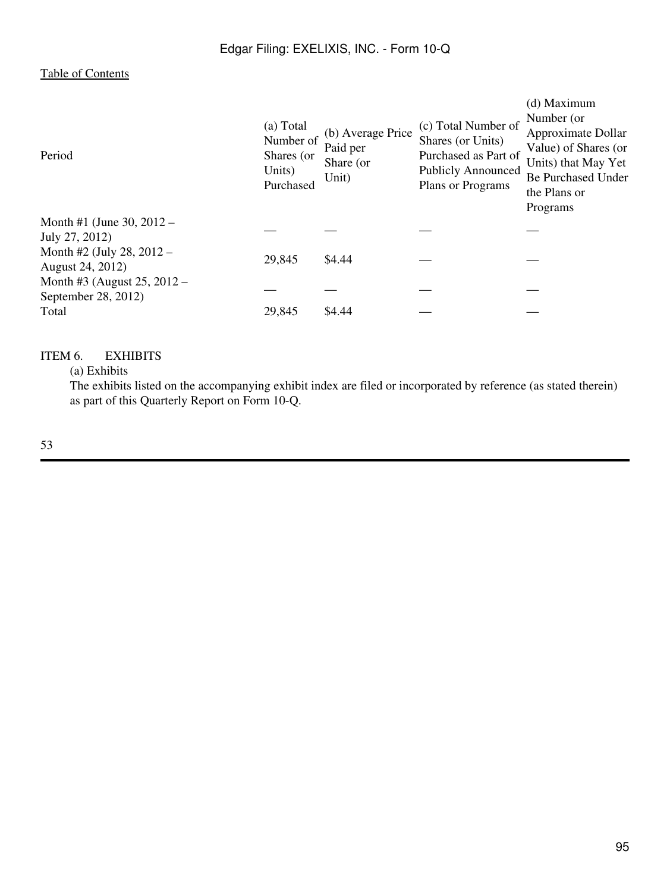| Period                                                  | (a) Total<br>Number of<br>Shares (or<br>Units)<br>Purchased | (b) Average Price<br>Paid per<br>Share (or<br>Unit) | (c) Total Number of<br>Shares (or Units)<br>Purchased as Part of<br><b>Publicly Announced</b><br>Plans or Programs | Number (or<br>Approximate Dollar<br>Value) of Shares (or<br>Units) that May Yet<br><b>Be Purchased Under</b><br>the Plans or<br>Programs |
|---------------------------------------------------------|-------------------------------------------------------------|-----------------------------------------------------|--------------------------------------------------------------------------------------------------------------------|------------------------------------------------------------------------------------------------------------------------------------------|
| Month #1 (June 30, $2012 -$<br>July 27, 2012)           |                                                             |                                                     |                                                                                                                    |                                                                                                                                          |
| Month #2 (July 28, $2012 -$<br>August 24, 2012)         | 29,845                                                      | \$4.44                                              |                                                                                                                    |                                                                                                                                          |
| Month #3 (August $25$ , $2012 -$<br>September 28, 2012) |                                                             |                                                     |                                                                                                                    |                                                                                                                                          |
| Total                                                   | 29,845                                                      | \$4.44                                              |                                                                                                                    |                                                                                                                                          |

### ITEM 6. EXHIBITS

(a) Exhibits

The exhibits listed on the accompanying exhibit index are filed or incorporated by reference (as stated therein) as part of this Quarterly Report on Form 10-Q.

53

(d) Maximum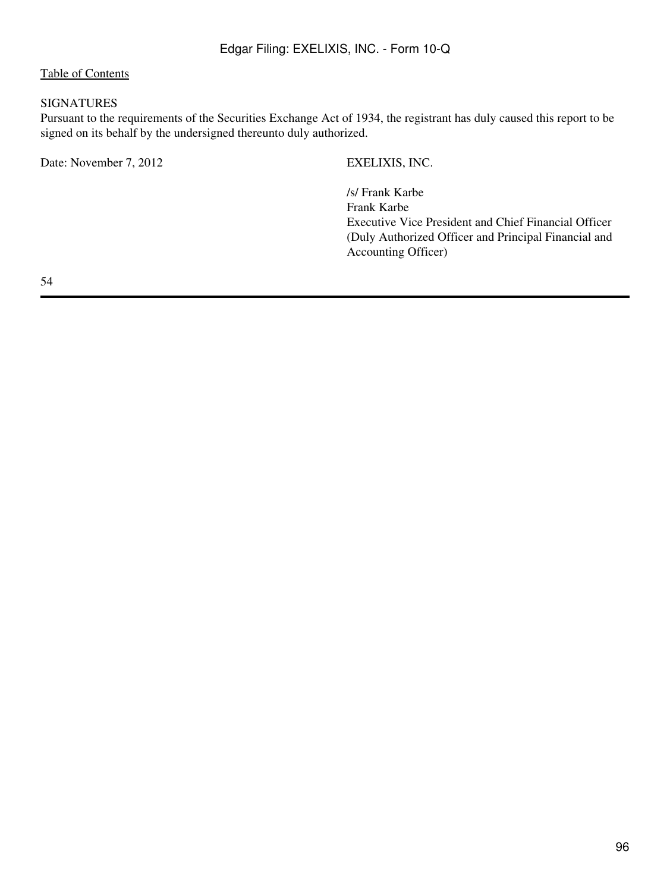### SIGNATURES

Pursuant to the requirements of the Securities Exchange Act of 1934, the registrant has duly caused this report to be signed on its behalf by the undersigned thereunto duly authorized.

Date: November 7, 2012 EXELIXIS, INC.

/s/ Frank Karbe Frank Karbe Executive Vice President and Chief Financial Officer (Duly Authorized Officer and Principal Financial and Accounting Officer)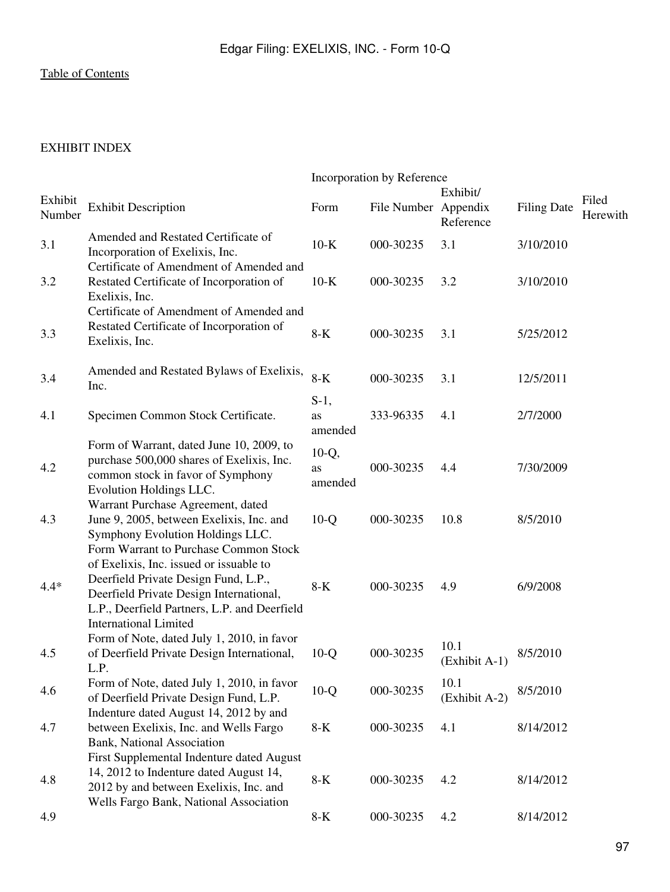## EXHIBIT INDEX

|                   |                                                                                                                                                                                                                                                                                         | Incorporation by Reference |                      |                       |                    |                   |  |
|-------------------|-----------------------------------------------------------------------------------------------------------------------------------------------------------------------------------------------------------------------------------------------------------------------------------------|----------------------------|----------------------|-----------------------|--------------------|-------------------|--|
| Exhibit<br>Number | <b>Exhibit Description</b>                                                                                                                                                                                                                                                              | Form                       | File Number Appendix | Exhibit/<br>Reference | <b>Filing Date</b> | Filed<br>Herewith |  |
| 3.1               | Amended and Restated Certificate of<br>Incorporation of Exelixis, Inc.                                                                                                                                                                                                                  | $10-K$                     | 000-30235            | 3.1                   | 3/10/2010          |                   |  |
| 3.2               | Certificate of Amendment of Amended and<br>Restated Certificate of Incorporation of<br>Exelixis, Inc.                                                                                                                                                                                   | $10-K$                     | 000-30235            | 3.2                   | 3/10/2010          |                   |  |
| 3.3               | Certificate of Amendment of Amended and<br>Restated Certificate of Incorporation of<br>Exelixis, Inc.                                                                                                                                                                                   | $8-K$                      | 000-30235            | 3.1                   | 5/25/2012          |                   |  |
| 3.4               | Amended and Restated Bylaws of Exelixis,<br>Inc.                                                                                                                                                                                                                                        | $8-K$                      | 000-30235            | 3.1                   | 12/5/2011          |                   |  |
| 4.1               | Specimen Common Stock Certificate.                                                                                                                                                                                                                                                      | $S-1$ ,<br>as<br>amended   | 333-96335            | 4.1                   | 2/7/2000           |                   |  |
| 4.2               | Form of Warrant, dated June 10, 2009, to<br>purchase 500,000 shares of Exelixis, Inc.<br>common stock in favor of Symphony<br>Evolution Holdings LLC.                                                                                                                                   | $10-Q,$<br>as<br>amended   | 000-30235            | 4.4                   | 7/30/2009          |                   |  |
| 4.3               | Warrant Purchase Agreement, dated<br>June 9, 2005, between Exelixis, Inc. and                                                                                                                                                                                                           | $10-Q$                     | 000-30235            | 10.8                  | 8/5/2010           |                   |  |
| $4.4*$            | Symphony Evolution Holdings LLC.<br>Form Warrant to Purchase Common Stock<br>of Exelixis, Inc. issued or issuable to<br>Deerfield Private Design Fund, L.P.,<br>Deerfield Private Design International,<br>L.P., Deerfield Partners, L.P. and Deerfield<br><b>International Limited</b> | $8-K$                      | 000-30235            | 4.9                   | 6/9/2008           |                   |  |
| 4.5               | Form of Note, dated July 1, 2010, in favor<br>of Deerfield Private Design International,<br>L.P.                                                                                                                                                                                        | $10-Q$                     | 000-30235            | 10.1<br>(Exhibit A-1) | 8/5/2010           |                   |  |
| 4.6               | Form of Note, dated July 1, 2010, in favor<br>of Deerfield Private Design Fund, L.P.                                                                                                                                                                                                    | $10-Q$                     | 000-30235            | 10.1<br>(Exhibit A-2) | 8/5/2010           |                   |  |
| 4.7               | Indenture dated August 14, 2012 by and<br>between Exelixis, Inc. and Wells Fargo<br><b>Bank, National Association</b>                                                                                                                                                                   | $8-K$                      | 000-30235            | 4.1                   | 8/14/2012          |                   |  |
| 4.8               | First Supplemental Indenture dated August<br>14, 2012 to Indenture dated August 14,<br>2012 by and between Exelixis, Inc. and<br>Wells Fargo Bank, National Association                                                                                                                 | $8-K$                      | 000-30235            | 4.2                   | 8/14/2012          |                   |  |
| 4.9               |                                                                                                                                                                                                                                                                                         | $8-K$                      | 000-30235            | 4.2                   | 8/14/2012          |                   |  |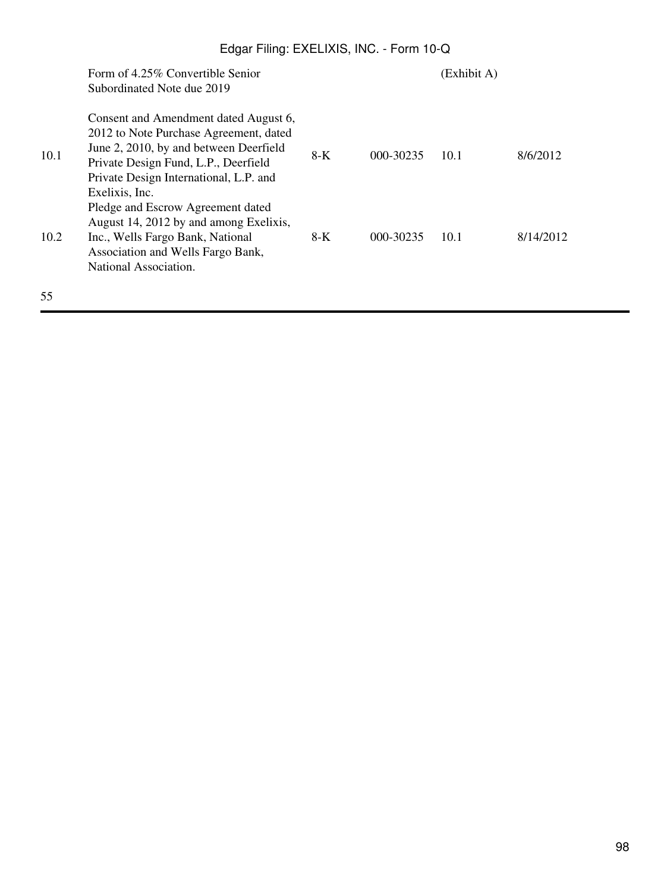|      | Form of 4.25% Convertible Senior<br>Subordinated Note due 2019                                                                                                                                              |       |           | (Exhibit A) |           |
|------|-------------------------------------------------------------------------------------------------------------------------------------------------------------------------------------------------------------|-------|-----------|-------------|-----------|
| 10.1 | Consent and Amendment dated August 6,<br>2012 to Note Purchase Agreement, dated<br>June 2, 2010, by and between Deerfield<br>Private Design Fund, L.P., Deerfield<br>Private Design International, L.P. and | $8-K$ | 000-30235 | 10.1        | 8/6/2012  |
| 10.2 | Exelixis, Inc.<br>Pledge and Escrow Agreement dated<br>August 14, 2012 by and among Exelixis,<br>Inc., Wells Fargo Bank, National<br>Association and Wells Fargo Bank,<br>National Association.             | 8-K   | 000-30235 | 10.1        | 8/14/2012 |
| 55   |                                                                                                                                                                                                             |       |           |             |           |